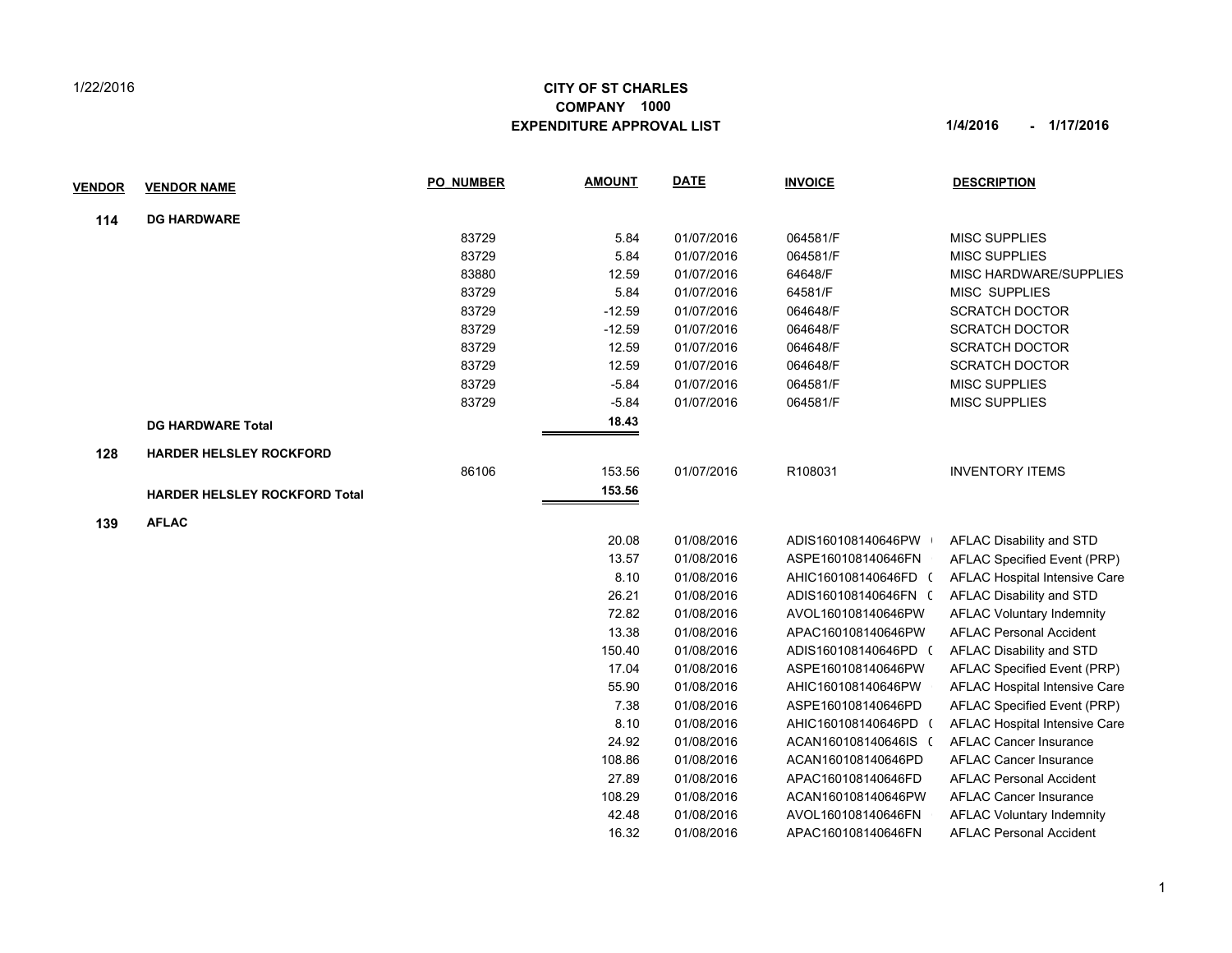## 1/22/2016

## **CITY OF ST CHARLES EXPENDITURE APPROVAL LIST 1/4/2016 - 1/17/2016 COMPANY 1000**

| <u>VENDOR</u> | <b>VENDOR NAME</b>                   | <b>PO NUMBER</b> | <b>AMOUNT</b> | <b>DATE</b> | <b>INVOICE</b>       | <b>DESCRIPTION</b>               |
|---------------|--------------------------------------|------------------|---------------|-------------|----------------------|----------------------------------|
| 114           | <b>DG HARDWARE</b>                   |                  |               |             |                      |                                  |
|               |                                      | 83729            | 5.84          | 01/07/2016  | 064581/F             | <b>MISC SUPPLIES</b>             |
|               |                                      | 83729            | 5.84          | 01/07/2016  | 064581/F             | <b>MISC SUPPLIES</b>             |
|               |                                      | 83880            | 12.59         | 01/07/2016  | 64648/F              | <b>MISC HARDWARE/SUPPLIES</b>    |
|               |                                      | 83729            | 5.84          | 01/07/2016  | 64581/F              | <b>MISC SUPPLIES</b>             |
|               |                                      | 83729            | $-12.59$      | 01/07/2016  | 064648/F             | <b>SCRATCH DOCTOR</b>            |
|               |                                      | 83729            | $-12.59$      | 01/07/2016  | 064648/F             | <b>SCRATCH DOCTOR</b>            |
|               |                                      | 83729            | 12.59         | 01/07/2016  | 064648/F             | <b>SCRATCH DOCTOR</b>            |
|               |                                      | 83729            | 12.59         | 01/07/2016  | 064648/F             | <b>SCRATCH DOCTOR</b>            |
|               |                                      | 83729            | $-5.84$       | 01/07/2016  | 064581/F             | <b>MISC SUPPLIES</b>             |
|               |                                      | 83729            | $-5.84$       | 01/07/2016  | 064581/F             | <b>MISC SUPPLIES</b>             |
|               | <b>DG HARDWARE Total</b>             |                  | 18.43         |             |                      |                                  |
| 128           | <b>HARDER HELSLEY ROCKFORD</b>       |                  |               |             |                      |                                  |
|               |                                      | 86106            | 153.56        | 01/07/2016  | R108031              | <b>INVENTORY ITEMS</b>           |
|               | <b>HARDER HELSLEY ROCKFORD Total</b> |                  | 153.56        |             |                      |                                  |
| 139           | <b>AFLAC</b>                         |                  |               |             |                      |                                  |
|               |                                      |                  | 20.08         | 01/08/2016  | ADIS160108140646PW   | AFLAC Disability and STD         |
|               |                                      |                  | 13.57         | 01/08/2016  | ASPE160108140646FN   | AFLAC Specified Event (PRP)      |
|               |                                      |                  | 8.10          | 01/08/2016  | AHIC160108140646FD ( | AFLAC Hospital Intensive Care    |
|               |                                      |                  | 26.21         | 01/08/2016  | ADIS160108140646FN ( | AFLAC Disability and STD         |
|               |                                      |                  | 72.82         | 01/08/2016  | AVOL160108140646PW   | <b>AFLAC Voluntary Indemnity</b> |
|               |                                      |                  | 13.38         | 01/08/2016  | APAC160108140646PW   | <b>AFLAC Personal Accident</b>   |

150.40 01/08/2016 ADIS160108140646PD ( AFLAC Disability and STD 17.04 01/08/2016 ASPE160108140646PW 0 AFLAC Specified Event (PRP) 55.90 01/08/2016 AHIC160108140646PW 0 AFLAC Hospital Intensive Care 7.38 01/08/2016 ASPE160108140646PD AFLAC Specified Event (PRP) 8.10 01/08/2016 AHIC160108140646PD ( AFLAC Hospital Intensive Care 24.92 01/08/2016 ACAN160108140646IS 0 AFLAC Cancer Insurance 108.86 01/08/2016 ACAN160108140646PD 0 AFLAC Cancer Insurance 27.89 01/08/2016 APAC160108140646FD AFLAC Personal Accident 108.29 01/08/2016 ACAN160108140646PW 0 AFLAC Cancer Insurance 42.48 01/08/2016 AVOL160108140646FN AFLAC Voluntary Indemnity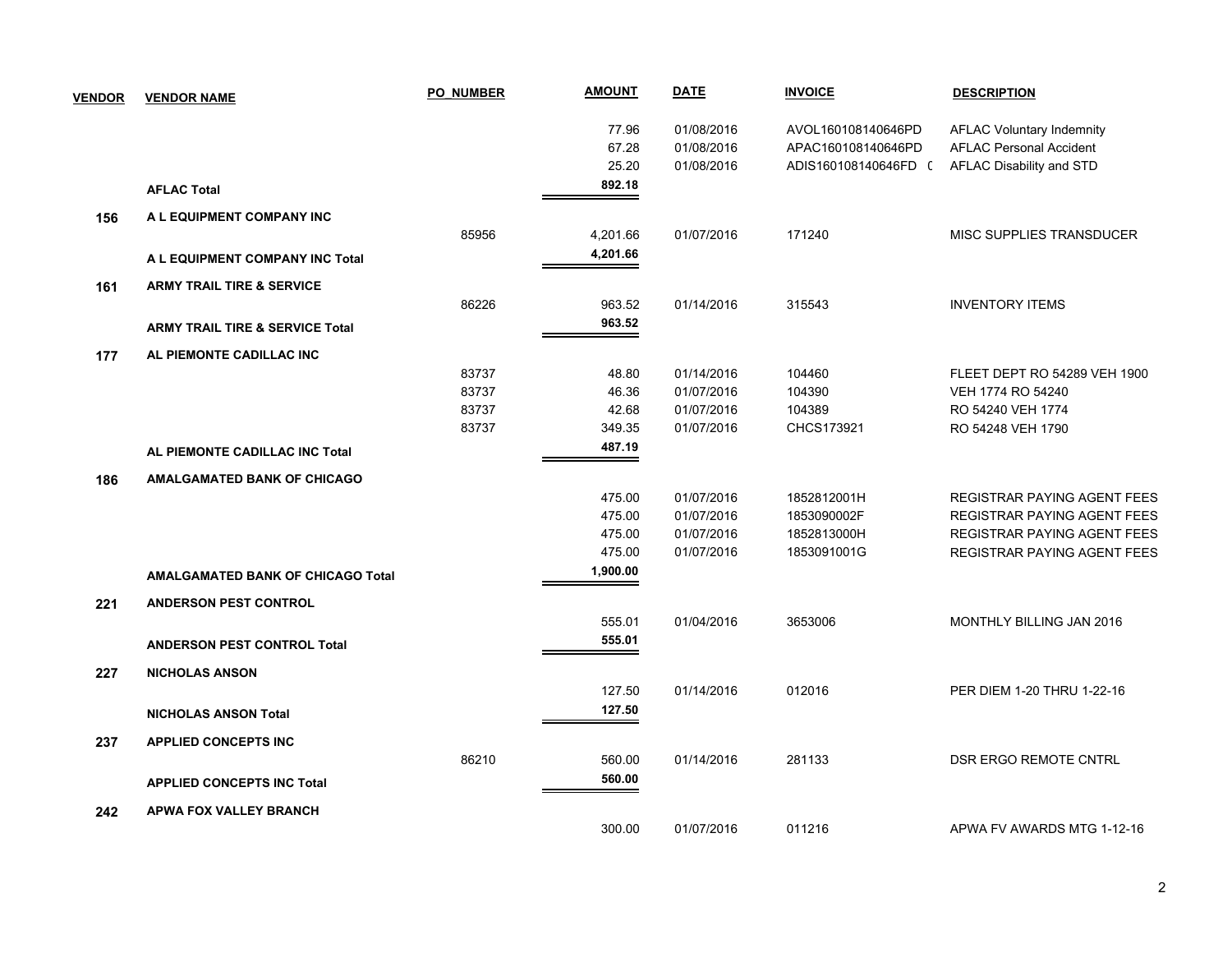| <b>VENDOR</b> | <b>VENDOR NAME</b>                         | <b>PO NUMBER</b> | <u>AMOUNT</u> | <b>DATE</b> | <b>INVOICE</b>       | <b>DESCRIPTION</b>                 |
|---------------|--------------------------------------------|------------------|---------------|-------------|----------------------|------------------------------------|
|               |                                            |                  | 77.96         | 01/08/2016  | AVOL160108140646PD   | <b>AFLAC Voluntary Indemnity</b>   |
|               |                                            |                  | 67.28         | 01/08/2016  | APAC160108140646PD   | <b>AFLAC Personal Accident</b>     |
|               |                                            |                  | 25.20         | 01/08/2016  | ADIS160108140646FD ( | AFLAC Disability and STD           |
|               | <b>AFLAC Total</b>                         |                  | 892.18        |             |                      |                                    |
| 156           | A L EQUIPMENT COMPANY INC                  |                  |               |             |                      |                                    |
|               |                                            | 85956            | 4,201.66      | 01/07/2016  | 171240               | MISC SUPPLIES TRANSDUCER           |
|               | A L EQUIPMENT COMPANY INC Total            |                  | 4,201.66      |             |                      |                                    |
| 161           | <b>ARMY TRAIL TIRE &amp; SERVICE</b>       |                  |               |             |                      |                                    |
|               |                                            | 86226            | 963.52        | 01/14/2016  | 315543               | <b>INVENTORY ITEMS</b>             |
|               | <b>ARMY TRAIL TIRE &amp; SERVICE Total</b> |                  | 963.52        |             |                      |                                    |
| 177           | AL PIEMONTE CADILLAC INC                   |                  |               |             |                      |                                    |
|               |                                            | 83737            | 48.80         | 01/14/2016  | 104460               | FLEET DEPT RO 54289 VEH 1900       |
|               |                                            | 83737            | 46.36         | 01/07/2016  | 104390               | VEH 1774 RO 54240                  |
|               |                                            | 83737            | 42.68         | 01/07/2016  | 104389               | RO 54240 VEH 1774                  |
|               |                                            | 83737            | 349.35        | 01/07/2016  | CHCS173921           | RO 54248 VEH 1790                  |
|               | AL PIEMONTE CADILLAC INC Total             |                  | 487.19        |             |                      |                                    |
| 186           | <b>AMALGAMATED BANK OF CHICAGO</b>         |                  |               |             |                      |                                    |
|               |                                            |                  | 475.00        | 01/07/2016  | 1852812001H          | <b>REGISTRAR PAYING AGENT FEES</b> |
|               |                                            |                  | 475.00        | 01/07/2016  | 1853090002F          | <b>REGISTRAR PAYING AGENT FEES</b> |
|               |                                            |                  | 475.00        | 01/07/2016  | 1852813000H          | <b>REGISTRAR PAYING AGENT FEES</b> |
|               |                                            |                  | 475.00        | 01/07/2016  | 1853091001G          | <b>REGISTRAR PAYING AGENT FEES</b> |
|               | <b>AMALGAMATED BANK OF CHICAGO Total</b>   |                  | 1,900.00      |             |                      |                                    |
| 221           | <b>ANDERSON PEST CONTROL</b>               |                  |               |             |                      |                                    |
|               |                                            |                  | 555.01        | 01/04/2016  | 3653006              | MONTHLY BILLING JAN 2016           |
|               | <b>ANDERSON PEST CONTROL Total</b>         |                  | 555.01        |             |                      |                                    |
| 227           | <b>NICHOLAS ANSON</b>                      |                  |               |             |                      |                                    |
|               |                                            |                  | 127.50        | 01/14/2016  | 012016               | PER DIEM 1-20 THRU 1-22-16         |
|               | <b>NICHOLAS ANSON Total</b>                |                  | 127.50        |             |                      |                                    |
| 237           | <b>APPLIED CONCEPTS INC</b>                |                  |               |             |                      |                                    |
|               |                                            | 86210            | 560.00        | 01/14/2016  | 281133               | DSR ERGO REMOTE CNTRL              |
|               | <b>APPLIED CONCEPTS INC Total</b>          |                  | 560.00        |             |                      |                                    |
| 242           | <b>APWA FOX VALLEY BRANCH</b>              |                  |               |             |                      |                                    |
|               |                                            |                  | 300.00        | 01/07/2016  | 011216               | APWA FV AWARDS MTG 1-12-16         |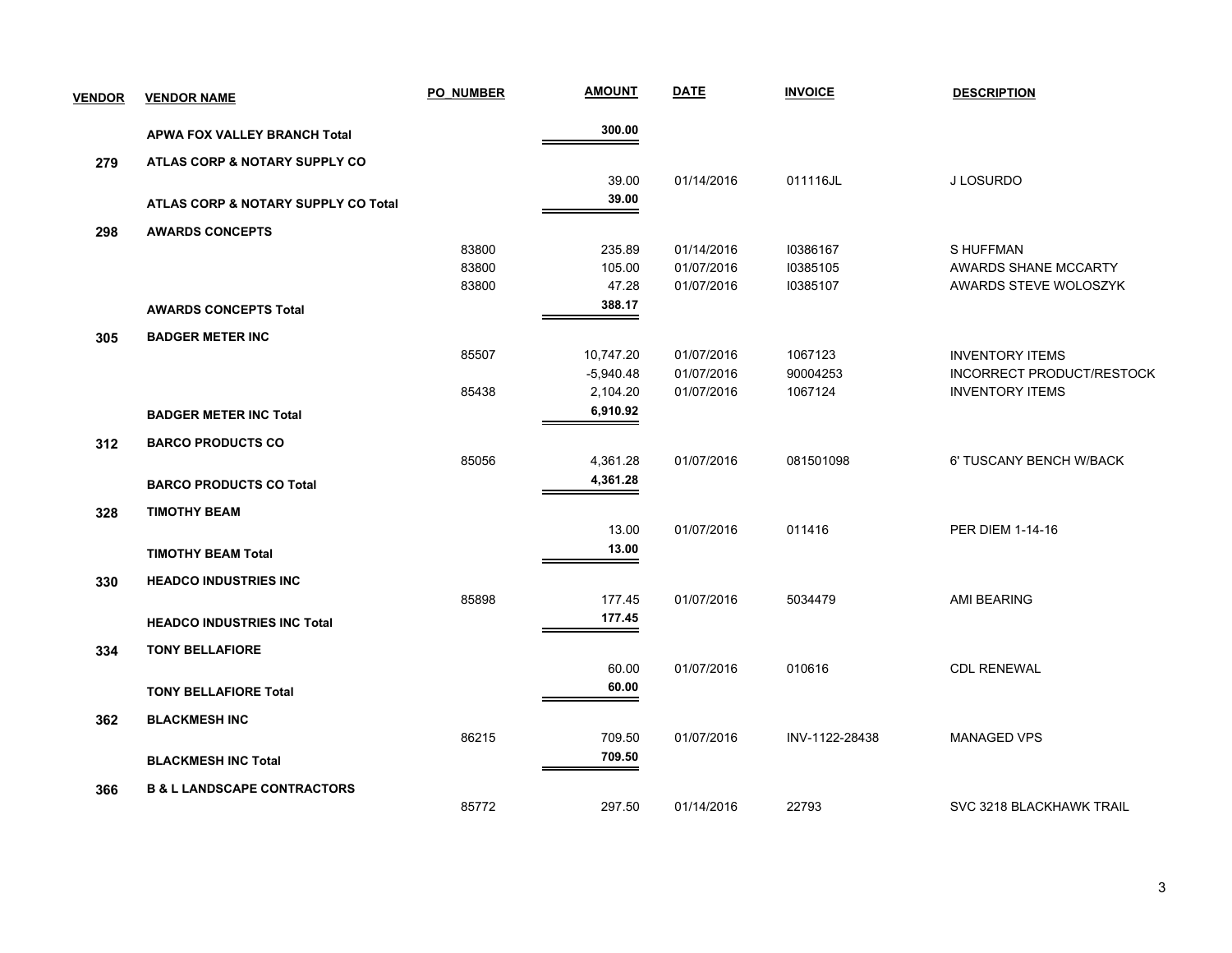| <b>VENDOR</b> | <b>VENDOR NAME</b>                             | <b>PO NUMBER</b> | <b>AMOUNT</b> | <b>DATE</b> | <b>INVOICE</b> | <b>DESCRIPTION</b>          |
|---------------|------------------------------------------------|------------------|---------------|-------------|----------------|-----------------------------|
|               | <b>APWA FOX VALLEY BRANCH Total</b>            |                  | 300.00        |             |                |                             |
| 279           | ATLAS CORP & NOTARY SUPPLY CO                  |                  |               |             |                |                             |
|               |                                                |                  | 39.00         | 01/14/2016  | 011116JL       | J LOSURDO                   |
|               | <b>ATLAS CORP &amp; NOTARY SUPPLY CO Total</b> |                  | 39.00         |             |                |                             |
| 298           | <b>AWARDS CONCEPTS</b>                         |                  |               |             |                |                             |
|               |                                                | 83800            | 235.89        | 01/14/2016  | 10386167       | S HUFFMAN                   |
|               |                                                | 83800            | 105.00        | 01/07/2016  | 10385105       | <b>AWARDS SHANE MCCARTY</b> |
|               |                                                | 83800            | 47.28         | 01/07/2016  | 10385107       | AWARDS STEVE WOLOSZYK       |
|               | <b>AWARDS CONCEPTS Total</b>                   |                  | 388.17        |             |                |                             |
| 305           | <b>BADGER METER INC</b>                        |                  |               |             |                |                             |
|               |                                                | 85507            | 10,747.20     | 01/07/2016  | 1067123        | <b>INVENTORY ITEMS</b>      |
|               |                                                |                  | $-5,940.48$   | 01/07/2016  | 90004253       | INCORRECT PRODUCT/RESTOCK   |
|               |                                                | 85438            | 2,104.20      | 01/07/2016  | 1067124        | <b>INVENTORY ITEMS</b>      |
|               | <b>BADGER METER INC Total</b>                  |                  | 6,910.92      |             |                |                             |
| 312           | <b>BARCO PRODUCTS CO</b>                       |                  |               |             |                |                             |
|               |                                                | 85056            | 4,361.28      | 01/07/2016  | 081501098      | 6' TUSCANY BENCH W/BACK     |
|               | <b>BARCO PRODUCTS CO Total</b>                 |                  | 4,361.28      |             |                |                             |
| 328           | <b>TIMOTHY BEAM</b>                            |                  |               |             |                |                             |
|               |                                                |                  | 13.00         | 01/07/2016  | 011416         | <b>PER DIEM 1-14-16</b>     |
|               | <b>TIMOTHY BEAM Total</b>                      |                  | 13.00         |             |                |                             |
| 330           | <b>HEADCO INDUSTRIES INC</b>                   |                  |               |             |                |                             |
|               |                                                | 85898            | 177.45        | 01/07/2016  | 5034479        | AMI BEARING                 |
|               | <b>HEADCO INDUSTRIES INC Total</b>             |                  | 177.45        |             |                |                             |
|               |                                                |                  |               |             |                |                             |
| 334           | <b>TONY BELLAFIORE</b>                         |                  |               |             |                |                             |
|               |                                                |                  | 60.00         | 01/07/2016  | 010616         | <b>CDL RENEWAL</b>          |
|               | <b>TONY BELLAFIORE Total</b>                   |                  | 60.00         |             |                |                             |
| 362           | <b>BLACKMESH INC</b>                           |                  |               |             |                |                             |
|               |                                                | 86215            | 709.50        | 01/07/2016  | INV-1122-28438 | <b>MANAGED VPS</b>          |
|               | <b>BLACKMESH INC Total</b>                     |                  | 709.50        |             |                |                             |
| 366           | <b>B &amp; L LANDSCAPE CONTRACTORS</b>         |                  |               |             |                |                             |
|               |                                                | 85772            | 297.50        | 01/14/2016  | 22793          | SVC 3218 BLACKHAWK TRAIL    |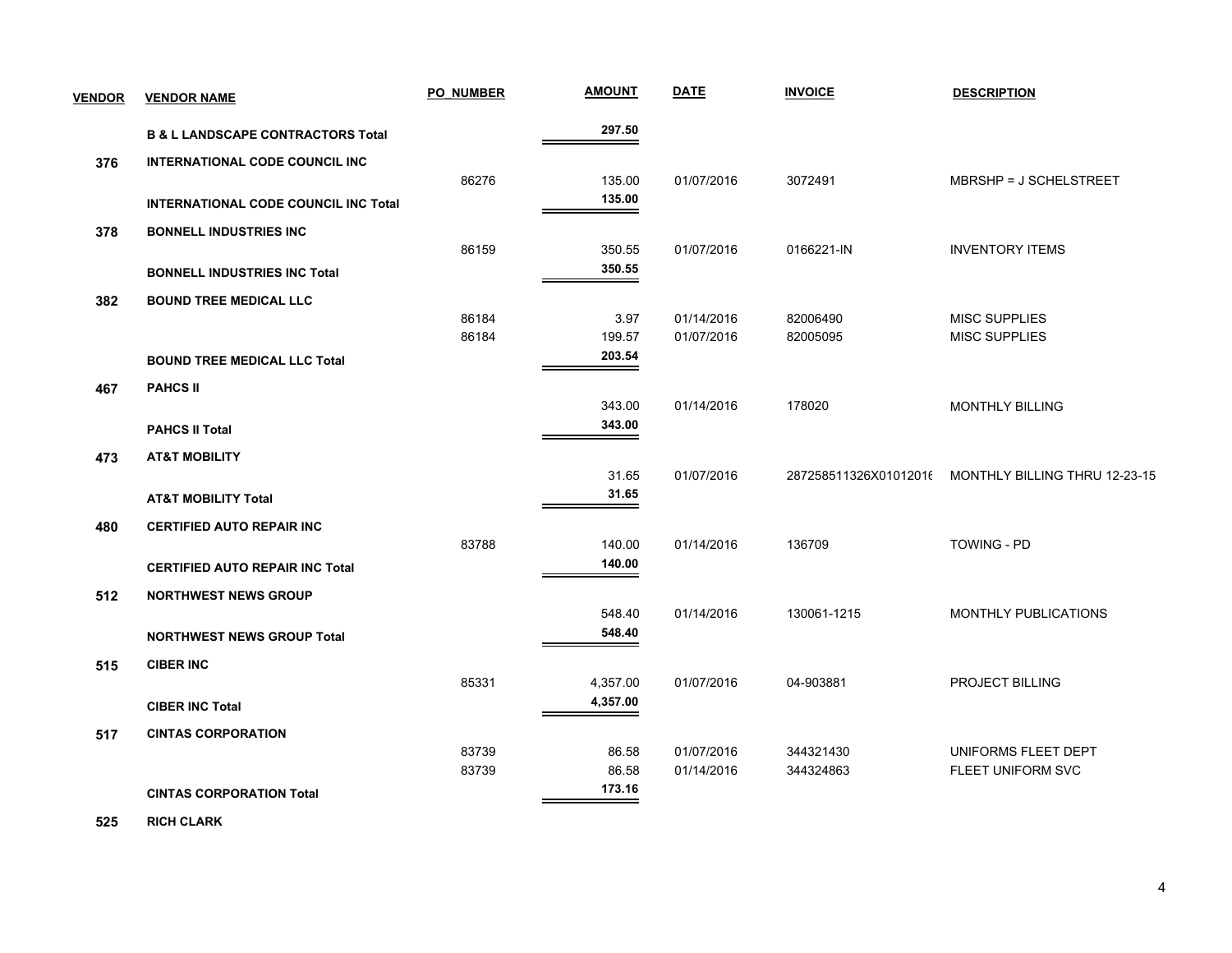| <b>VENDOR</b> | <b>VENDOR NAME</b>                           | <b>PO NUMBER</b> | <b>AMOUNT</b> | <b>DATE</b> | <b>INVOICE</b>        | <b>DESCRIPTION</b>            |
|---------------|----------------------------------------------|------------------|---------------|-------------|-----------------------|-------------------------------|
|               | <b>B &amp; L LANDSCAPE CONTRACTORS Total</b> |                  | 297.50        |             |                       |                               |
| 376           | <b>INTERNATIONAL CODE COUNCIL INC</b>        |                  |               |             |                       |                               |
|               |                                              | 86276            | 135.00        | 01/07/2016  | 3072491               | MBRSHP = J SCHELSTREET        |
|               | <b>INTERNATIONAL CODE COUNCIL INC Total</b>  |                  | 135.00        |             |                       |                               |
| 378           | <b>BONNELL INDUSTRIES INC</b>                |                  |               |             |                       |                               |
|               |                                              | 86159            | 350.55        | 01/07/2016  | 0166221-IN            | <b>INVENTORY ITEMS</b>        |
|               | <b>BONNELL INDUSTRIES INC Total</b>          |                  | 350.55        |             |                       |                               |
| 382           | <b>BOUND TREE MEDICAL LLC</b>                |                  |               |             |                       |                               |
|               |                                              | 86184            | 3.97          | 01/14/2016  | 82006490              | <b>MISC SUPPLIES</b>          |
|               |                                              | 86184            | 199.57        | 01/07/2016  | 82005095              | <b>MISC SUPPLIES</b>          |
|               | <b>BOUND TREE MEDICAL LLC Total</b>          |                  | 203.54        |             |                       |                               |
| 467           | <b>PAHCS II</b>                              |                  |               |             |                       |                               |
|               |                                              |                  | 343.00        | 01/14/2016  | 178020                | <b>MONTHLY BILLING</b>        |
|               | <b>PAHCS II Total</b>                        |                  | 343.00        |             |                       |                               |
| 473           | <b>AT&amp;T MOBILITY</b>                     |                  |               |             |                       |                               |
|               |                                              |                  | 31.65         | 01/07/2016  | 287258511326X01012016 | MONTHLY BILLING THRU 12-23-15 |
|               | <b>AT&amp;T MOBILITY Total</b>               |                  | 31.65         |             |                       |                               |
| 480           | <b>CERTIFIED AUTO REPAIR INC</b>             |                  |               |             |                       |                               |
|               |                                              | 83788            | 140.00        | 01/14/2016  | 136709                | <b>TOWING - PD</b>            |
|               | <b>CERTIFIED AUTO REPAIR INC Total</b>       |                  | 140.00        |             |                       |                               |
| 512           | <b>NORTHWEST NEWS GROUP</b>                  |                  |               |             |                       |                               |
|               |                                              |                  | 548.40        | 01/14/2016  | 130061-1215           | MONTHLY PUBLICATIONS          |
|               | <b>NORTHWEST NEWS GROUP Total</b>            |                  | 548.40        |             |                       |                               |
| 515           | <b>CIBER INC</b>                             |                  |               |             |                       |                               |
|               |                                              | 85331            | 4,357.00      | 01/07/2016  | 04-903881             | PROJECT BILLING               |
|               | <b>CIBER INC Total</b>                       |                  | 4,357.00      |             |                       |                               |
| 517           | <b>CINTAS CORPORATION</b>                    |                  |               |             |                       |                               |
|               |                                              | 83739            | 86.58         | 01/07/2016  | 344321430             | UNIFORMS FLEET DEPT           |
|               |                                              | 83739            | 86.58         | 01/14/2016  | 344324863             | FLEET UNIFORM SVC             |
|               | <b>CINTAS CORPORATION Total</b>              |                  | 173.16        |             |                       |                               |

 **525 RICH CLARK**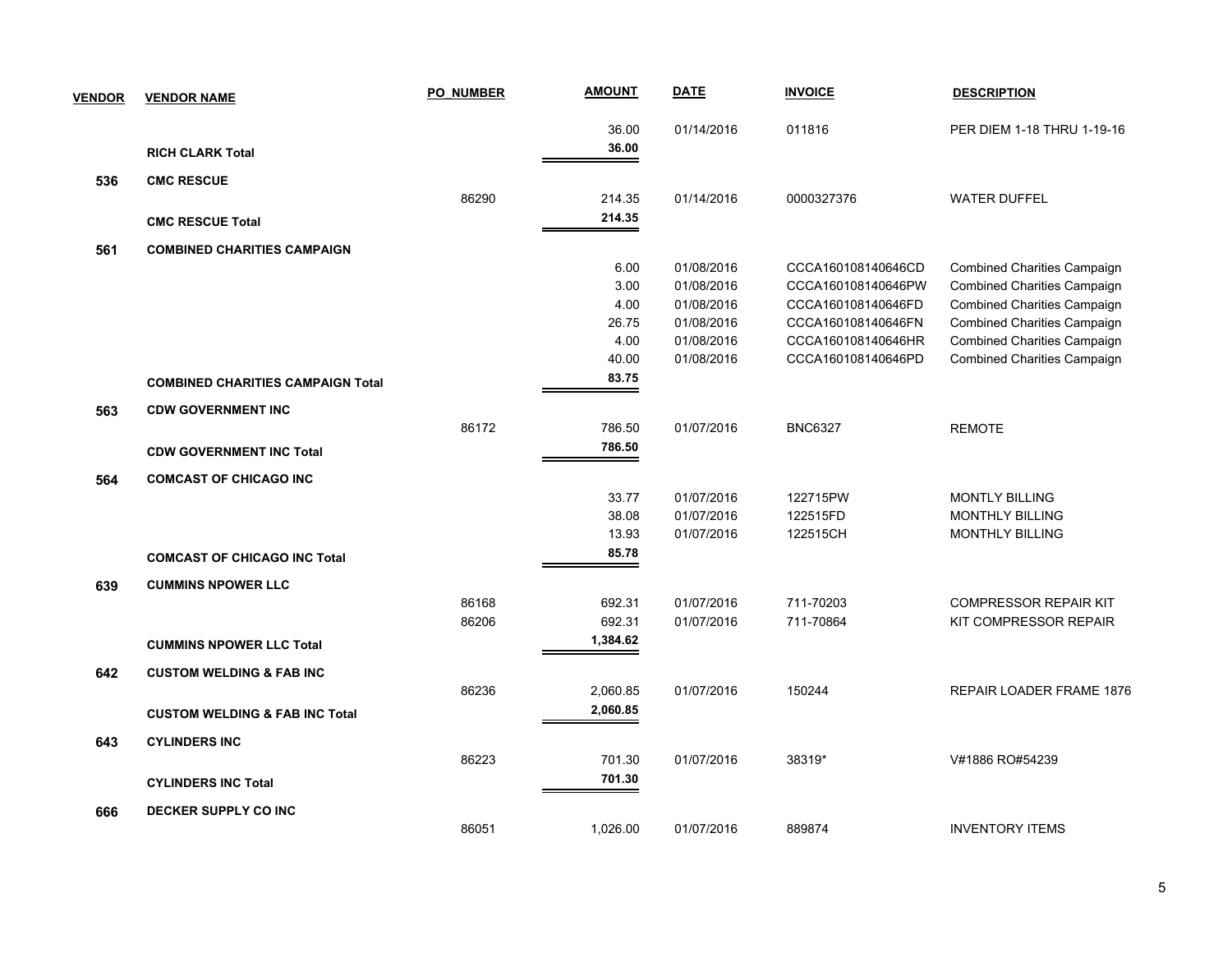| <b>VENDOR</b> | <b>VENDOR NAME</b>                        | <b>PO NUMBER</b> | <b>AMOUNT</b> | <b>DATE</b> | <b>INVOICE</b>     | <b>DESCRIPTION</b>                 |
|---------------|-------------------------------------------|------------------|---------------|-------------|--------------------|------------------------------------|
|               |                                           |                  | 36.00         | 01/14/2016  | 011816             | PER DIEM 1-18 THRU 1-19-16         |
|               | <b>RICH CLARK Total</b>                   |                  | 36.00         |             |                    |                                    |
| 536           | <b>CMC RESCUE</b>                         |                  |               |             |                    |                                    |
|               |                                           | 86290            | 214.35        | 01/14/2016  | 0000327376         | <b>WATER DUFFEL</b>                |
|               | <b>CMC RESCUE Total</b>                   |                  | 214.35        |             |                    |                                    |
| 561           | <b>COMBINED CHARITIES CAMPAIGN</b>        |                  |               |             |                    |                                    |
|               |                                           |                  | 6.00          | 01/08/2016  | CCCA160108140646CD | <b>Combined Charities Campaign</b> |
|               |                                           |                  | 3.00          | 01/08/2016  | CCCA160108140646PW | Combined Charities Campaign        |
|               |                                           |                  | 4.00          | 01/08/2016  | CCCA160108140646FD | <b>Combined Charities Campaign</b> |
|               |                                           |                  | 26.75         | 01/08/2016  | CCCA160108140646FN | <b>Combined Charities Campaign</b> |
|               |                                           |                  | 4.00          | 01/08/2016  | CCCA160108140646HR | <b>Combined Charities Campaign</b> |
|               |                                           |                  | 40.00         | 01/08/2016  | CCCA160108140646PD | <b>Combined Charities Campaign</b> |
|               | <b>COMBINED CHARITIES CAMPAIGN Total</b>  |                  | 83.75         |             |                    |                                    |
| 563           | <b>CDW GOVERNMENT INC</b>                 |                  |               |             |                    |                                    |
|               |                                           | 86172            | 786.50        | 01/07/2016  | <b>BNC6327</b>     | <b>REMOTE</b>                      |
|               | <b>CDW GOVERNMENT INC Total</b>           |                  | 786.50        |             |                    |                                    |
| 564           | <b>COMCAST OF CHICAGO INC</b>             |                  |               |             |                    |                                    |
|               |                                           |                  | 33.77         | 01/07/2016  | 122715PW           | <b>MONTLY BILLING</b>              |
|               |                                           |                  | 38.08         | 01/07/2016  | 122515FD           | MONTHLY BILLING                    |
|               |                                           |                  | 13.93         | 01/07/2016  | 122515CH           | <b>MONTHLY BILLING</b>             |
|               | <b>COMCAST OF CHICAGO INC Total</b>       |                  | 85.78         |             |                    |                                    |
| 639           | <b>CUMMINS NPOWER LLC</b>                 |                  |               |             |                    |                                    |
|               |                                           | 86168            | 692.31        | 01/07/2016  | 711-70203          | <b>COMPRESSOR REPAIR KIT</b>       |
|               |                                           | 86206            | 692.31        | 01/07/2016  | 711-70864          | KIT COMPRESSOR REPAIR              |
|               | <b>CUMMINS NPOWER LLC Total</b>           |                  | 1,384.62      |             |                    |                                    |
| 642           | <b>CUSTOM WELDING &amp; FAB INC</b>       |                  |               |             |                    |                                    |
|               |                                           | 86236            | 2,060.85      | 01/07/2016  | 150244             | REPAIR LOADER FRAME 1876           |
|               | <b>CUSTOM WELDING &amp; FAB INC Total</b> |                  | 2,060.85      |             |                    |                                    |
| 643           | <b>CYLINDERS INC</b>                      |                  |               |             |                    |                                    |
|               |                                           | 86223            | 701.30        | 01/07/2016  | 38319*             | V#1886 RO#54239                    |
|               | <b>CYLINDERS INC Total</b>                |                  | 701.30        |             |                    |                                    |
|               |                                           |                  |               |             |                    |                                    |
| 666           | DECKER SUPPLY CO INC                      |                  |               |             |                    |                                    |
|               |                                           | 86051            | 1,026.00      | 01/07/2016  | 889874             | <b>INVENTORY ITEMS</b>             |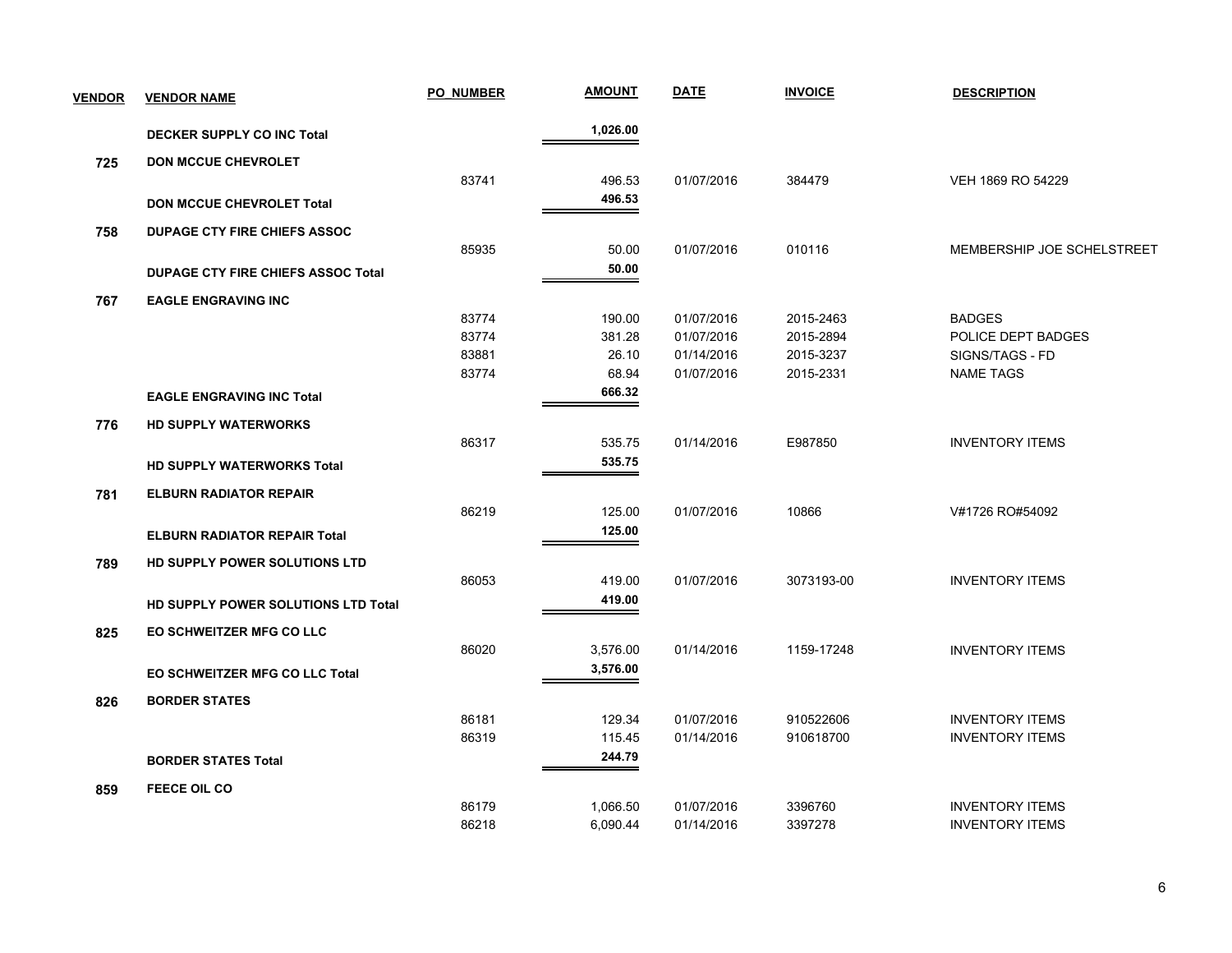| <b>VENDOR</b> | <b>VENDOR NAME</b>                        | <b>PO NUMBER</b> | <b>AMOUNT</b> | <b>DATE</b> | <b>INVOICE</b> | <b>DESCRIPTION</b>         |
|---------------|-------------------------------------------|------------------|---------------|-------------|----------------|----------------------------|
|               | <b>DECKER SUPPLY CO INC Total</b>         |                  | 1,026.00      |             |                |                            |
| 725           | <b>DON MCCUE CHEVROLET</b>                |                  |               |             |                |                            |
|               |                                           | 83741            | 496.53        | 01/07/2016  | 384479         | VEH 1869 RO 54229          |
|               | <b>DON MCCUE CHEVROLET Total</b>          |                  | 496.53        |             |                |                            |
| 758           | <b>DUPAGE CTY FIRE CHIEFS ASSOC</b>       |                  |               |             |                |                            |
|               |                                           | 85935            | 50.00         | 01/07/2016  | 010116         | MEMBERSHIP JOE SCHELSTREET |
|               | <b>DUPAGE CTY FIRE CHIEFS ASSOC Total</b> |                  | 50.00         |             |                |                            |
| 767           | <b>EAGLE ENGRAVING INC</b>                |                  |               |             |                |                            |
|               |                                           | 83774            | 190.00        | 01/07/2016  | 2015-2463      | <b>BADGES</b>              |
|               |                                           | 83774            | 381.28        | 01/07/2016  | 2015-2894      | POLICE DEPT BADGES         |
|               |                                           | 83881            | 26.10         | 01/14/2016  | 2015-3237      | SIGNS/TAGS - FD            |
|               |                                           | 83774            | 68.94         | 01/07/2016  | 2015-2331      | <b>NAME TAGS</b>           |
|               | <b>EAGLE ENGRAVING INC Total</b>          |                  | 666.32        |             |                |                            |
| 776           | <b>HD SUPPLY WATERWORKS</b>               |                  |               |             |                |                            |
|               |                                           | 86317            | 535.75        | 01/14/2016  | E987850        | <b>INVENTORY ITEMS</b>     |
|               | <b>HD SUPPLY WATERWORKS Total</b>         |                  | 535.75        |             |                |                            |
| 781           | <b>ELBURN RADIATOR REPAIR</b>             |                  |               |             |                |                            |
|               |                                           | 86219            | 125.00        | 01/07/2016  | 10866          | V#1726 RO#54092            |
|               | <b>ELBURN RADIATOR REPAIR Total</b>       |                  | 125.00        |             |                |                            |
| 789           | HD SUPPLY POWER SOLUTIONS LTD             |                  |               |             |                |                            |
|               |                                           | 86053            | 419.00        | 01/07/2016  | 3073193-00     | <b>INVENTORY ITEMS</b>     |
|               | HD SUPPLY POWER SOLUTIONS LTD Total       |                  | 419.00        |             |                |                            |
| 825           | <b>EO SCHWEITZER MFG CO LLC</b>           |                  |               |             |                |                            |
|               |                                           | 86020            | 3,576.00      | 01/14/2016  | 1159-17248     | <b>INVENTORY ITEMS</b>     |
|               | EO SCHWEITZER MFG CO LLC Total            |                  | 3,576.00      |             |                |                            |
| 826           | <b>BORDER STATES</b>                      |                  |               |             |                |                            |
|               |                                           | 86181            | 129.34        | 01/07/2016  | 910522606      | <b>INVENTORY ITEMS</b>     |
|               |                                           | 86319            | 115.45        | 01/14/2016  | 910618700      | <b>INVENTORY ITEMS</b>     |
|               | <b>BORDER STATES Total</b>                |                  | 244.79        |             |                |                            |
| 859           | <b>FEECE OIL CO</b>                       |                  |               |             |                |                            |
|               |                                           | 86179            | 1,066.50      | 01/07/2016  | 3396760        | <b>INVENTORY ITEMS</b>     |
|               |                                           | 86218            | 6,090.44      | 01/14/2016  | 3397278        | <b>INVENTORY ITEMS</b>     |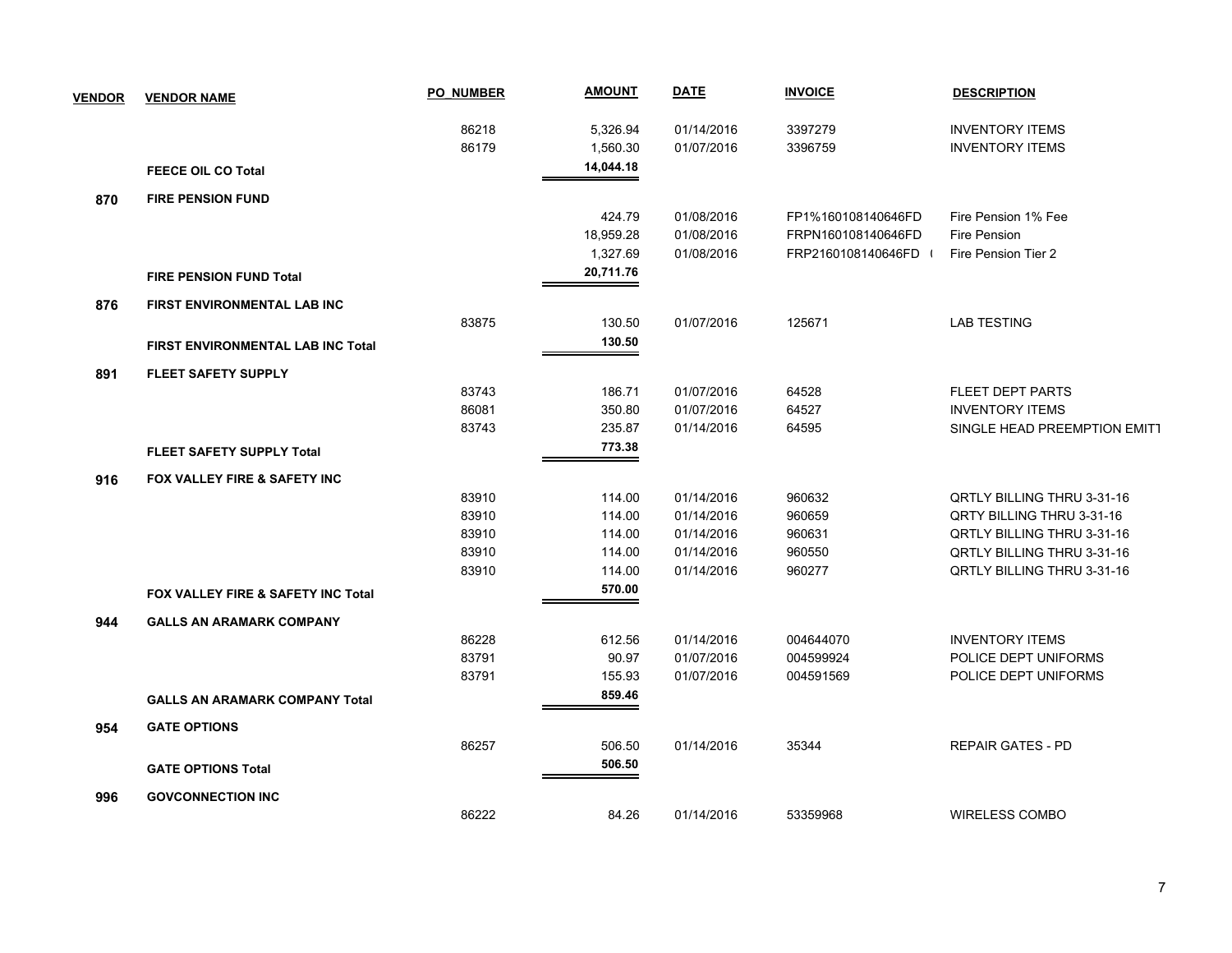| <b>VENDOR</b> | <b>VENDOR NAME</b>                    | <b>PO NUMBER</b> | <u>AMOUNT</u> | <b>DATE</b> | <b>INVOICE</b>     | <b>DESCRIPTION</b>                |
|---------------|---------------------------------------|------------------|---------------|-------------|--------------------|-----------------------------------|
|               |                                       | 86218            | 5,326.94      | 01/14/2016  | 3397279            | <b>INVENTORY ITEMS</b>            |
|               |                                       | 86179            | 1,560.30      | 01/07/2016  | 3396759            | <b>INVENTORY ITEMS</b>            |
|               | <b>FEECE OIL CO Total</b>             |                  | 14,044.18     |             |                    |                                   |
| 870           | <b>FIRE PENSION FUND</b>              |                  |               |             |                    |                                   |
|               |                                       |                  | 424.79        | 01/08/2016  | FP1%160108140646FD | Fire Pension 1% Fee               |
|               |                                       |                  | 18,959.28     | 01/08/2016  | FRPN160108140646FD | <b>Fire Pension</b>               |
|               |                                       |                  | 1,327.69      | 01/08/2016  | FRP2160108140646FD | Fire Pension Tier 2               |
|               | <b>FIRE PENSION FUND Total</b>        |                  | 20,711.76     |             |                    |                                   |
| 876           | FIRST ENVIRONMENTAL LAB INC           |                  |               |             |                    |                                   |
|               |                                       | 83875            | 130.50        | 01/07/2016  | 125671             | <b>LAB TESTING</b>                |
|               | FIRST ENVIRONMENTAL LAB INC Total     |                  | 130.50        |             |                    |                                   |
| 891           | <b>FLEET SAFETY SUPPLY</b>            |                  |               |             |                    |                                   |
|               |                                       | 83743            | 186.71        | 01/07/2016  | 64528              | FLEET DEPT PARTS                  |
|               |                                       | 86081            | 350.80        | 01/07/2016  | 64527              | <b>INVENTORY ITEMS</b>            |
|               |                                       | 83743            | 235.87        | 01/14/2016  | 64595              | SINGLE HEAD PREEMPTION EMIT1      |
|               | <b>FLEET SAFETY SUPPLY Total</b>      |                  | 773.38        |             |                    |                                   |
| 916           | FOX VALLEY FIRE & SAFETY INC          |                  |               |             |                    |                                   |
|               |                                       | 83910            | 114.00        | 01/14/2016  | 960632             | QRTLY BILLING THRU 3-31-16        |
|               |                                       | 83910            | 114.00        | 01/14/2016  | 960659             | QRTY BILLING THRU 3-31-16         |
|               |                                       | 83910            | 114.00        | 01/14/2016  | 960631             | <b>QRTLY BILLING THRU 3-31-16</b> |
|               |                                       | 83910            | 114.00        | 01/14/2016  | 960550             | <b>QRTLY BILLING THRU 3-31-16</b> |
|               |                                       | 83910            | 114.00        | 01/14/2016  | 960277             | <b>QRTLY BILLING THRU 3-31-16</b> |
|               | FOX VALLEY FIRE & SAFETY INC Total    |                  | 570.00        |             |                    |                                   |
| 944           | <b>GALLS AN ARAMARK COMPANY</b>       |                  |               |             |                    |                                   |
|               |                                       | 86228            | 612.56        | 01/14/2016  | 004644070          | <b>INVENTORY ITEMS</b>            |
|               |                                       | 83791            | 90.97         | 01/07/2016  | 004599924          | POLICE DEPT UNIFORMS              |
|               |                                       | 83791            | 155.93        | 01/07/2016  | 004591569          | POLICE DEPT UNIFORMS              |
|               | <b>GALLS AN ARAMARK COMPANY Total</b> |                  | 859.46        |             |                    |                                   |
| 954           | <b>GATE OPTIONS</b>                   |                  |               |             |                    |                                   |
|               |                                       | 86257            | 506.50        | 01/14/2016  | 35344              | <b>REPAIR GATES - PD</b>          |
|               | <b>GATE OPTIONS Total</b>             |                  | 506.50        |             |                    |                                   |
| 996           | <b>GOVCONNECTION INC</b>              |                  |               |             |                    |                                   |
|               |                                       | 86222            | 84.26         | 01/14/2016  | 53359968           | <b>WIRELESS COMBO</b>             |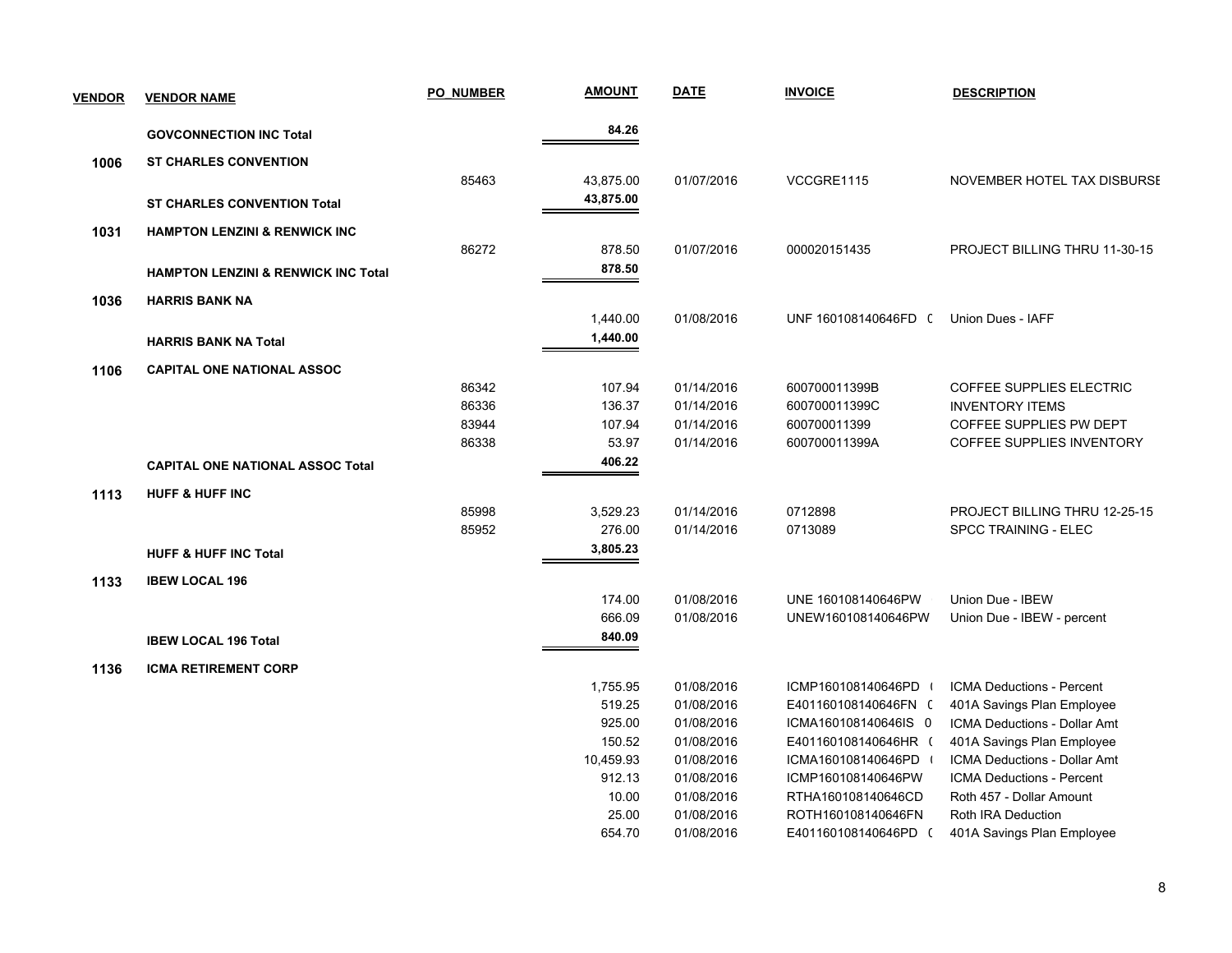| <b>VENDOR</b> | <b>VENDOR NAME</b>                             | <b>PO NUMBER</b> | <b>AMOUNT</b>      | <b>DATE</b>              | <b>INVOICE</b>                 | <b>DESCRIPTION</b>                                 |
|---------------|------------------------------------------------|------------------|--------------------|--------------------------|--------------------------------|----------------------------------------------------|
|               | <b>GOVCONNECTION INC Total</b>                 |                  | 84.26              |                          |                                |                                                    |
| 1006          | <b>ST CHARLES CONVENTION</b>                   |                  |                    |                          |                                |                                                    |
|               |                                                | 85463            | 43,875.00          | 01/07/2016               | VCCGRE1115                     | NOVEMBER HOTEL TAX DISBURSE                        |
|               | <b>ST CHARLES CONVENTION Total</b>             |                  | 43,875.00          |                          |                                |                                                    |
|               |                                                |                  |                    |                          |                                |                                                    |
| 1031          | <b>HAMPTON LENZINI &amp; RENWICK INC</b>       |                  |                    |                          |                                |                                                    |
|               |                                                | 86272            | 878.50             | 01/07/2016               | 000020151435                   | PROJECT BILLING THRU 11-30-15                      |
|               | <b>HAMPTON LENZINI &amp; RENWICK INC Total</b> |                  | 878.50             |                          |                                |                                                    |
| 1036          | <b>HARRIS BANK NA</b>                          |                  |                    |                          |                                |                                                    |
|               |                                                |                  | 1,440.00           | 01/08/2016               | UNF 160108140646FD (           | Union Dues - IAFF                                  |
|               | <b>HARRIS BANK NA Total</b>                    |                  | 1,440.00           |                          |                                |                                                    |
|               |                                                |                  |                    |                          |                                |                                                    |
| 1106          | <b>CAPITAL ONE NATIONAL ASSOC</b>              |                  |                    |                          |                                |                                                    |
|               |                                                | 86342<br>86336   | 107.94<br>136.37   | 01/14/2016<br>01/14/2016 | 600700011399B<br>600700011399C | COFFEE SUPPLIES ELECTRIC<br><b>INVENTORY ITEMS</b> |
|               |                                                | 83944            | 107.94             | 01/14/2016               | 600700011399                   | COFFEE SUPPLIES PW DEPT                            |
|               |                                                | 86338            | 53.97              | 01/14/2016               | 600700011399A                  | COFFEE SUPPLIES INVENTORY                          |
|               | <b>CAPITAL ONE NATIONAL ASSOC Total</b>        |                  | 406.22             |                          |                                |                                                    |
|               |                                                |                  |                    |                          |                                |                                                    |
| 1113          | <b>HUFF &amp; HUFF INC</b>                     |                  |                    |                          |                                |                                                    |
|               |                                                | 85998<br>85952   | 3,529.23<br>276.00 | 01/14/2016<br>01/14/2016 | 0712898<br>0713089             | PROJECT BILLING THRU 12-25-15                      |
|               |                                                |                  | 3,805.23           |                          |                                | <b>SPCC TRAINING - ELEC</b>                        |
|               | <b>HUFF &amp; HUFF INC Total</b>               |                  |                    |                          |                                |                                                    |
| 1133          | <b>IBEW LOCAL 196</b>                          |                  |                    |                          |                                |                                                    |
|               |                                                |                  | 174.00             | 01/08/2016               | UNE 160108140646PW             | Union Due - IBEW                                   |
|               |                                                |                  | 666.09             | 01/08/2016               | UNEW160108140646PW             | Union Due - IBEW - percent                         |
|               | <b>IBEW LOCAL 196 Total</b>                    |                  | 840.09             |                          |                                |                                                    |
| 1136          | <b>ICMA RETIREMENT CORP</b>                    |                  |                    |                          |                                |                                                    |
|               |                                                |                  | 1,755.95           | 01/08/2016               | ICMP160108140646PD             | ICMA Deductions - Percent                          |
|               |                                                |                  | 519.25             | 01/08/2016               | E401160108140646FN (           | 401A Savings Plan Employee                         |
|               |                                                |                  | 925.00             | 01/08/2016               | ICMA160108140646IS 0           | ICMA Deductions - Dollar Amt                       |
|               |                                                |                  | 150.52             | 01/08/2016               | E401160108140646HR (           | 401A Savings Plan Employee                         |
|               |                                                |                  | 10,459.93          | 01/08/2016               | ICMA160108140646PD             | ICMA Deductions - Dollar Amt                       |
|               |                                                |                  | 912.13             | 01/08/2016               | ICMP160108140646PW             | ICMA Deductions - Percent                          |
|               |                                                |                  | 10.00              | 01/08/2016               | RTHA160108140646CD             | Roth 457 - Dollar Amount                           |
|               |                                                |                  | 25.00              | 01/08/2016               | ROTH160108140646FN             | Roth IRA Deduction                                 |
|               |                                                |                  | 654.70             | 01/08/2016               | E401160108140646PD (           | 401A Savings Plan Employee                         |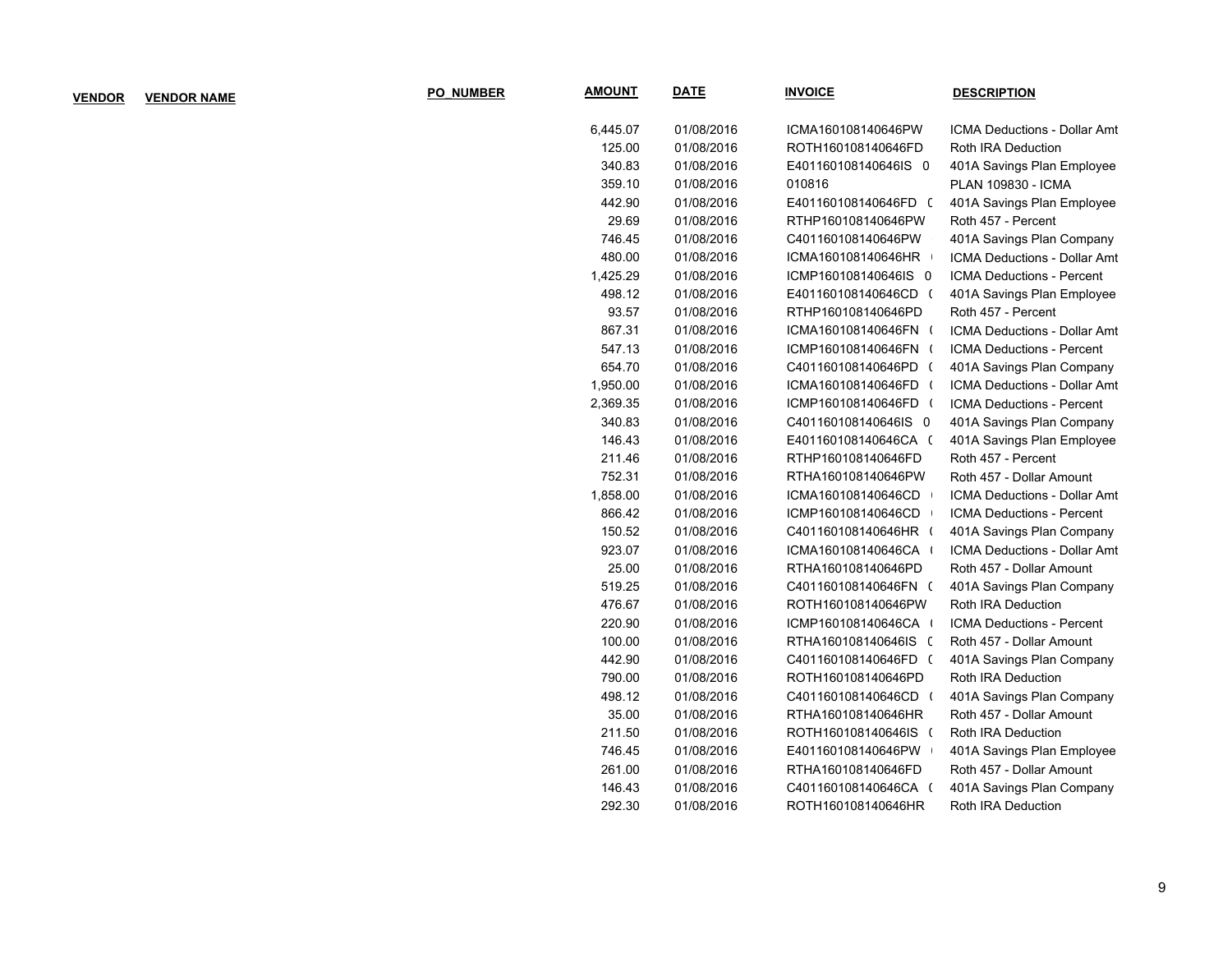| <b>VENDOR</b> | <b>VENDOR NAME</b> | <b>PO NUMBER</b> | <b>AMOUNT</b> | <u>DATE</u> | <b>INVOICE</b>       | <b>DESCRIPTION</b>           |
|---------------|--------------------|------------------|---------------|-------------|----------------------|------------------------------|
|               |                    |                  | 6,445.07      | 01/08/2016  | ICMA160108140646PW   | ICMA Deductions - Dollar Amt |
|               |                    |                  | 125.00        | 01/08/2016  | ROTH160108140646FD   | Roth IRA Deduction           |
|               |                    |                  | 340.83        | 01/08/2016  | E401160108140646IS 0 | 401A Savings Plan Employee   |
|               |                    |                  | 359.10        | 01/08/2016  | 010816               | PLAN 109830 - ICMA           |
|               |                    |                  | 442.90        | 01/08/2016  | E401160108140646FD ( | 401A Savings Plan Employee   |
|               |                    |                  | 29.69         | 01/08/2016  | RTHP160108140646PW   | Roth 457 - Percent           |
|               |                    |                  | 746.45        | 01/08/2016  | C401160108140646PW   | 401A Savings Plan Company    |
|               |                    |                  | 480.00        | 01/08/2016  | ICMA160108140646HR   | ICMA Deductions - Dollar Amt |
|               |                    |                  | 1,425.29      | 01/08/2016  | ICMP160108140646IS 0 | ICMA Deductions - Percent    |
|               |                    |                  | 498.12        | 01/08/2016  | E401160108140646CD ( | 401A Savings Plan Employee   |
|               |                    |                  | 93.57         | 01/08/2016  | RTHP160108140646PD   | Roth 457 - Percent           |
|               |                    |                  | 867.31        | 01/08/2016  | ICMA160108140646FN ( | ICMA Deductions - Dollar Amt |
|               |                    |                  | 547.13        | 01/08/2016  | ICMP160108140646FN ( | ICMA Deductions - Percent    |
|               |                    |                  | 654.70        | 01/08/2016  | C401160108140646PD ( | 401A Savings Plan Company    |
|               |                    |                  | 1,950.00      | 01/08/2016  | ICMA160108140646FD ( | ICMA Deductions - Dollar Amt |
|               |                    |                  | 2,369.35      | 01/08/2016  | ICMP160108140646FD ( | ICMA Deductions - Percent    |
|               |                    |                  | 340.83        | 01/08/2016  | C401160108140646IS 0 | 401A Savings Plan Company    |
|               |                    |                  | 146.43        | 01/08/2016  | E401160108140646CA ( | 401A Savings Plan Employee   |
|               |                    |                  | 211.46        | 01/08/2016  | RTHP160108140646FD   | Roth 457 - Percent           |
|               |                    |                  | 752.31        | 01/08/2016  | RTHA160108140646PW   | Roth 457 - Dollar Amount     |
|               |                    |                  | 1,858.00      | 01/08/2016  | ICMA160108140646CD   | ICMA Deductions - Dollar Amt |
|               |                    |                  | 866.42        | 01/08/2016  | ICMP160108140646CD   | ICMA Deductions - Percent    |
|               |                    |                  | 150.52        | 01/08/2016  | C401160108140646HR ( | 401A Savings Plan Company    |
|               |                    |                  | 923.07        | 01/08/2016  | ICMA160108140646CA + | ICMA Deductions - Dollar Amt |
|               |                    |                  | 25.00         | 01/08/2016  | RTHA160108140646PD   | Roth 457 - Dollar Amount     |
|               |                    |                  | 519.25        | 01/08/2016  | C401160108140646FN ( | 401A Savings Plan Company    |
|               |                    |                  | 476.67        | 01/08/2016  | ROTH160108140646PW   | Roth IRA Deduction           |
|               |                    |                  | 220.90        | 01/08/2016  | ICMP160108140646CA + | ICMA Deductions - Percent    |
|               |                    |                  | 100.00        | 01/08/2016  | RTHA160108140646IS ( | Roth 457 - Dollar Amount     |
|               |                    |                  | 442.90        | 01/08/2016  | C401160108140646FD ( | 401A Savings Plan Company    |
|               |                    |                  | 790.00        | 01/08/2016  | ROTH160108140646PD   | Roth IRA Deduction           |
|               |                    |                  | 498.12        | 01/08/2016  | C401160108140646CD ( | 401A Savings Plan Company    |
|               |                    |                  | 35.00         | 01/08/2016  | RTHA160108140646HR   | Roth 457 - Dollar Amount     |
|               |                    |                  | 211.50        | 01/08/2016  | ROTH160108140646IS ( | Roth IRA Deduction           |
|               |                    |                  | 746.45        | 01/08/2016  | E401160108140646PW   | 401A Savings Plan Employee   |
|               |                    |                  | 261.00        | 01/08/2016  | RTHA160108140646FD   | Roth 457 - Dollar Amount     |
|               |                    |                  | 146.43        | 01/08/2016  | C401160108140646CA ( | 401A Savings Plan Company    |
|               |                    |                  | 292.30        | 01/08/2016  | ROTH160108140646HR   | Roth IRA Deduction           |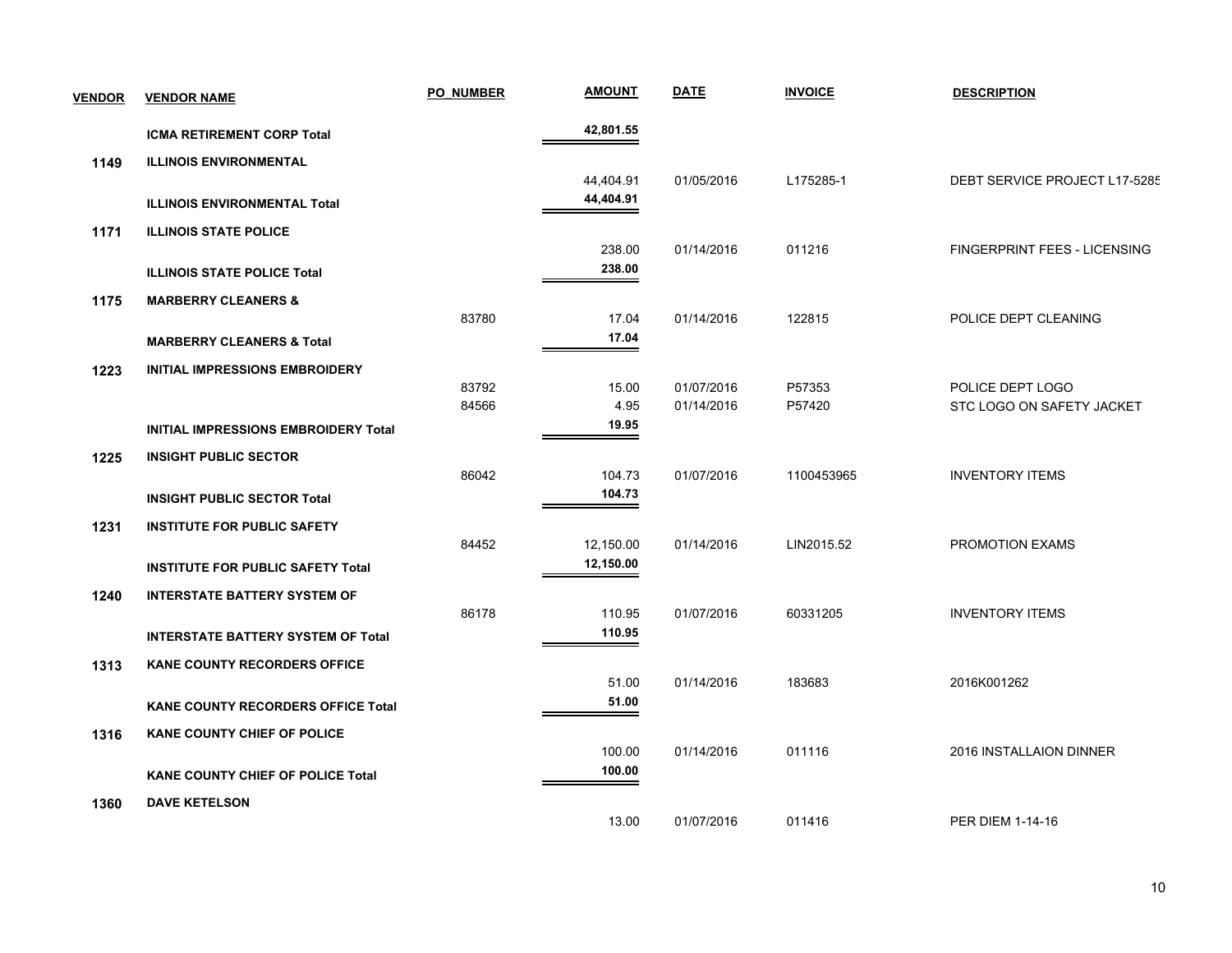| <b>VENDOR</b> | <b>VENDOR NAME</b>                        | <b>PO NUMBER</b> | <b>AMOUNT</b> | <b>DATE</b> | <b>INVOICE</b> | <b>DESCRIPTION</b>                  |
|---------------|-------------------------------------------|------------------|---------------|-------------|----------------|-------------------------------------|
|               | <b>ICMA RETIREMENT CORP Total</b>         |                  | 42,801.55     |             |                |                                     |
| 1149          | <b>ILLINOIS ENVIRONMENTAL</b>             |                  |               |             |                |                                     |
|               |                                           |                  | 44,404.91     | 01/05/2016  | L175285-1      | DEBT SERVICE PROJECT L17-5285       |
|               | <b>ILLINOIS ENVIRONMENTAL Total</b>       |                  | 44,404.91     |             |                |                                     |
| 1171          | <b>ILLINOIS STATE POLICE</b>              |                  |               |             |                |                                     |
|               |                                           |                  | 238.00        | 01/14/2016  | 011216         | <b>FINGERPRINT FEES - LICENSING</b> |
|               | <b>ILLINOIS STATE POLICE Total</b>        |                  | 238.00        |             |                |                                     |
| 1175          | <b>MARBERRY CLEANERS &amp;</b>            |                  |               |             |                |                                     |
|               |                                           | 83780            | 17.04         | 01/14/2016  | 122815         | POLICE DEPT CLEANING                |
|               | <b>MARBERRY CLEANERS &amp; Total</b>      |                  | 17.04         |             |                |                                     |
| 1223          | <b>INITIAL IMPRESSIONS EMBROIDERY</b>     |                  |               |             |                |                                     |
|               |                                           | 83792            | 15.00         | 01/07/2016  | P57353         | POLICE DEPT LOGO                    |
|               |                                           | 84566            | 4.95          | 01/14/2016  | P57420         | STC LOGO ON SAFETY JACKET           |
|               | INITIAL IMPRESSIONS EMBROIDERY Total      |                  | 19.95         |             |                |                                     |
| 1225          | <b>INSIGHT PUBLIC SECTOR</b>              |                  |               |             |                |                                     |
|               |                                           | 86042            | 104.73        | 01/07/2016  | 1100453965     | <b>INVENTORY ITEMS</b>              |
|               | <b>INSIGHT PUBLIC SECTOR Total</b>        |                  | 104.73        |             |                |                                     |
| 1231          | <b>INSTITUTE FOR PUBLIC SAFETY</b>        |                  |               |             |                |                                     |
|               |                                           | 84452            | 12,150.00     | 01/14/2016  | LIN2015.52     | PROMOTION EXAMS                     |
|               | <b>INSTITUTE FOR PUBLIC SAFETY Total</b>  |                  | 12,150.00     |             |                |                                     |
| 1240          | <b>INTERSTATE BATTERY SYSTEM OF</b>       |                  |               |             |                |                                     |
|               |                                           | 86178            | 110.95        | 01/07/2016  | 60331205       | <b>INVENTORY ITEMS</b>              |
|               | <b>INTERSTATE BATTERY SYSTEM OF Total</b> |                  | 110.95        |             |                |                                     |
| 1313          | <b>KANE COUNTY RECORDERS OFFICE</b>       |                  |               |             |                |                                     |
|               |                                           |                  | 51.00         | 01/14/2016  | 183683         | 2016K001262                         |
|               | KANE COUNTY RECORDERS OFFICE Total        |                  | 51.00         |             |                |                                     |
| 1316          | KANE COUNTY CHIEF OF POLICE               |                  |               |             |                |                                     |
|               |                                           |                  | 100.00        | 01/14/2016  | 011116         | 2016 INSTALLAION DINNER             |
|               | <b>KANE COUNTY CHIEF OF POLICE Total</b>  |                  | 100.00        |             |                |                                     |
| 1360          | <b>DAVE KETELSON</b>                      |                  |               |             |                |                                     |
|               |                                           |                  | 13.00         | 01/07/2016  | 011416         | <b>PER DIEM 1-14-16</b>             |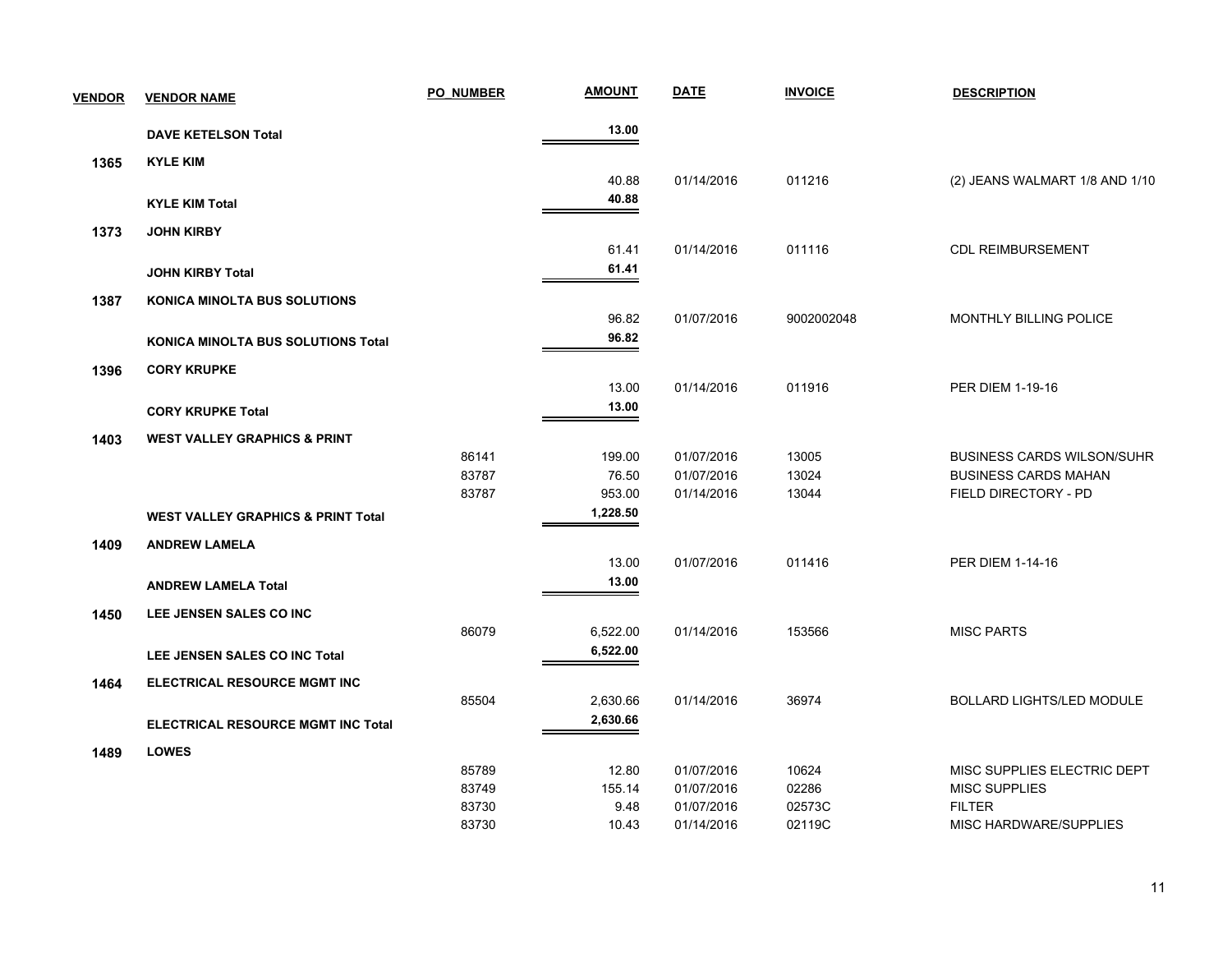| <b>VENDOR</b> | <b>VENDOR NAME</b>                            | <b>PO NUMBER</b> | <b>AMOUNT</b> | <b>DATE</b> | <b>INVOICE</b> | <b>DESCRIPTION</b>                |
|---------------|-----------------------------------------------|------------------|---------------|-------------|----------------|-----------------------------------|
|               | <b>DAVE KETELSON Total</b>                    |                  | 13.00         |             |                |                                   |
| 1365          | <b>KYLE KIM</b>                               |                  |               |             |                |                                   |
|               |                                               |                  | 40.88         | 01/14/2016  | 011216         | (2) JEANS WALMART 1/8 AND 1/10    |
|               | <b>KYLE KIM Total</b>                         |                  | 40.88         |             |                |                                   |
| 1373          | <b>JOHN KIRBY</b>                             |                  |               |             |                |                                   |
|               |                                               |                  | 61.41         | 01/14/2016  | 011116         | <b>CDL REIMBURSEMENT</b>          |
|               | <b>JOHN KIRBY Total</b>                       |                  | 61.41         |             |                |                                   |
| 1387          | <b>KONICA MINOLTA BUS SOLUTIONS</b>           |                  |               |             |                |                                   |
|               |                                               |                  | 96.82         | 01/07/2016  | 9002002048     | MONTHLY BILLING POLICE            |
|               | <b>KONICA MINOLTA BUS SOLUTIONS Total</b>     |                  | 96.82         |             |                |                                   |
| 1396          | <b>CORY KRUPKE</b>                            |                  |               |             |                |                                   |
|               |                                               |                  | 13.00         | 01/14/2016  | 011916         | <b>PER DIEM 1-19-16</b>           |
|               | <b>CORY KRUPKE Total</b>                      |                  | 13.00         |             |                |                                   |
| 1403          | <b>WEST VALLEY GRAPHICS &amp; PRINT</b>       |                  |               |             |                |                                   |
|               |                                               | 86141            | 199.00        | 01/07/2016  | 13005          | <b>BUSINESS CARDS WILSON/SUHR</b> |
|               |                                               | 83787            | 76.50         | 01/07/2016  | 13024          | <b>BUSINESS CARDS MAHAN</b>       |
|               |                                               | 83787            | 953.00        | 01/14/2016  | 13044          | FIELD DIRECTORY - PD              |
|               | <b>WEST VALLEY GRAPHICS &amp; PRINT Total</b> |                  | 1,228.50      |             |                |                                   |
| 1409          | <b>ANDREW LAMELA</b>                          |                  |               |             |                |                                   |
|               |                                               |                  | 13.00         | 01/07/2016  | 011416         | <b>PER DIEM 1-14-16</b>           |
|               | <b>ANDREW LAMELA Total</b>                    |                  | 13.00         |             |                |                                   |
| 1450          | LEE JENSEN SALES CO INC                       |                  |               |             |                |                                   |
|               |                                               | 86079            | 6,522.00      | 01/14/2016  | 153566         | <b>MISC PARTS</b>                 |
|               | LEE JENSEN SALES CO INC Total                 |                  | 6,522.00      |             |                |                                   |
| 1464          | ELECTRICAL RESOURCE MGMT INC                  |                  |               |             |                |                                   |
|               |                                               | 85504            | 2,630.66      | 01/14/2016  | 36974          | <b>BOLLARD LIGHTS/LED MODULE</b>  |
|               | <b>ELECTRICAL RESOURCE MGMT INC Total</b>     |                  | 2,630.66      |             |                |                                   |
| 1489          | <b>LOWES</b>                                  |                  |               |             |                |                                   |
|               |                                               | 85789            | 12.80         | 01/07/2016  | 10624          | MISC SUPPLIES ELECTRIC DEPT       |
|               |                                               | 83749            | 155.14        | 01/07/2016  | 02286          | <b>MISC SUPPLIES</b>              |
|               |                                               | 83730            | 9.48          | 01/07/2016  | 02573C         | <b>FILTER</b>                     |
|               |                                               | 83730            | 10.43         | 01/14/2016  | 02119C         | MISC HARDWARE/SUPPLIES            |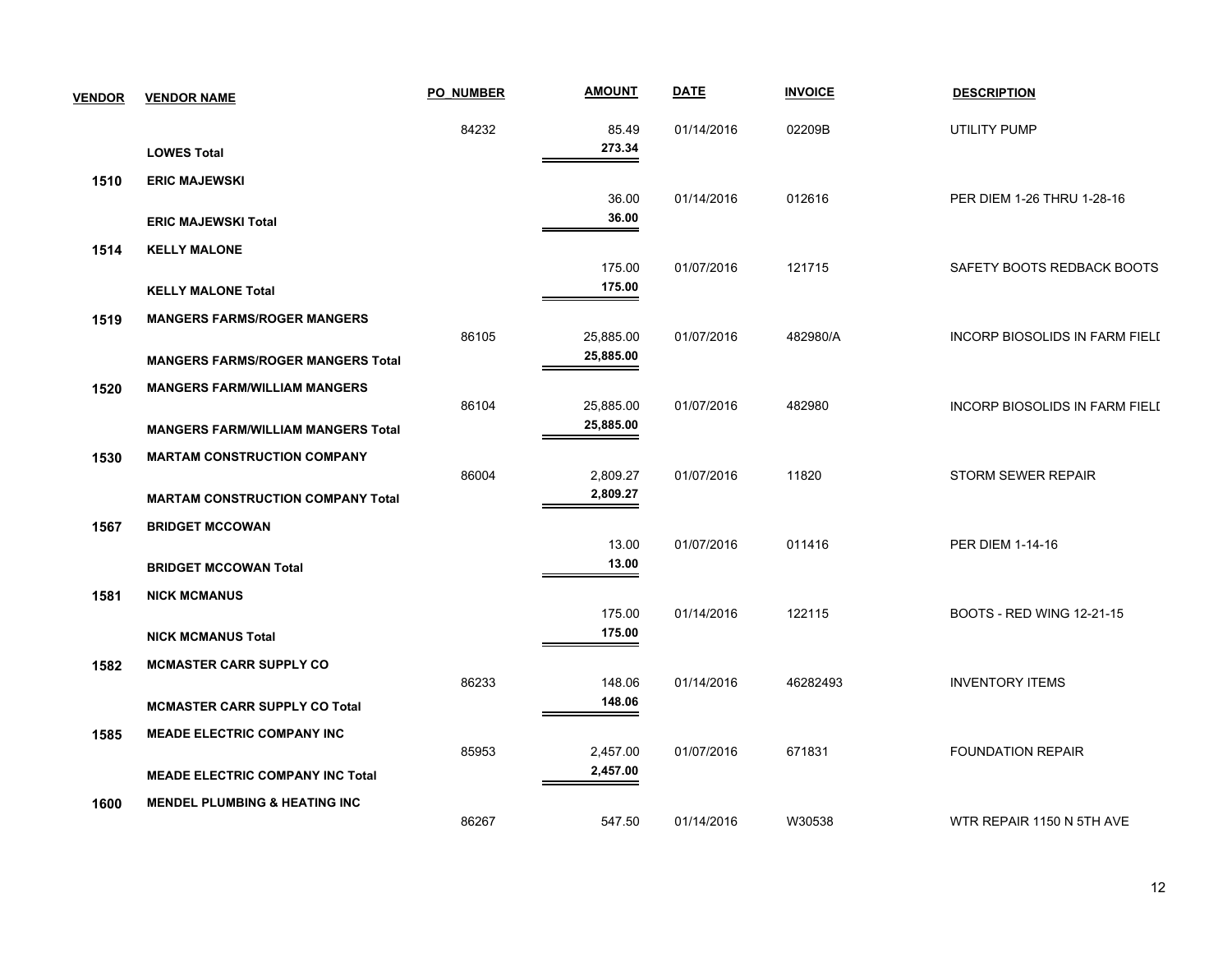| <b>VENDOR</b> | <b>VENDOR NAME</b>                        | <b>PO NUMBER</b> | <b>AMOUNT</b>          | <b>DATE</b> | <b>INVOICE</b> | <b>DESCRIPTION</b>                    |
|---------------|-------------------------------------------|------------------|------------------------|-------------|----------------|---------------------------------------|
|               | <b>LOWES Total</b>                        | 84232            | 85.49<br>273.34        | 01/14/2016  | 02209B         | UTILITY PUMP                          |
| 1510          | <b>ERIC MAJEWSKI</b>                      |                  |                        |             |                |                                       |
|               |                                           |                  | 36.00                  | 01/14/2016  | 012616         | PER DIEM 1-26 THRU 1-28-16            |
|               | <b>ERIC MAJEWSKI Total</b>                |                  | 36.00                  |             |                |                                       |
| 1514          | <b>KELLY MALONE</b>                       |                  |                        |             |                |                                       |
|               | <b>KELLY MALONE Total</b>                 |                  | 175.00<br>175.00       | 01/07/2016  | 121715         | SAFETY BOOTS REDBACK BOOTS            |
| 1519          | <b>MANGERS FARMS/ROGER MANGERS</b>        |                  |                        |             |                |                                       |
|               | <b>MANGERS FARMS/ROGER MANGERS Total</b>  | 86105            | 25,885.00<br>25,885.00 | 01/07/2016  | 482980/A       | <b>INCORP BIOSOLIDS IN FARM FIELD</b> |
| 1520          | <b>MANGERS FARM/WILLIAM MANGERS</b>       | 86104            | 25,885.00              | 01/07/2016  | 482980         | <b>INCORP BIOSOLIDS IN FARM FIELD</b> |
|               | <b>MANGERS FARM/WILLIAM MANGERS Total</b> |                  | 25,885.00              |             |                |                                       |
| 1530          | <b>MARTAM CONSTRUCTION COMPANY</b>        |                  |                        |             |                |                                       |
|               |                                           | 86004            | 2,809.27               | 01/07/2016  | 11820          | <b>STORM SEWER REPAIR</b>             |
|               | <b>MARTAM CONSTRUCTION COMPANY Total</b>  |                  | 2,809.27               |             |                |                                       |
| 1567          | <b>BRIDGET MCCOWAN</b>                    |                  | 13.00                  | 01/07/2016  | 011416         | <b>PER DIEM 1-14-16</b>               |
|               | <b>BRIDGET MCCOWAN Total</b>              |                  | 13.00                  |             |                |                                       |
| 1581          | <b>NICK MCMANUS</b>                       |                  |                        |             |                |                                       |
|               | <b>NICK MCMANUS Total</b>                 |                  | 175.00<br>175.00       | 01/14/2016  | 122115         | BOOTS - RED WING 12-21-15             |
| 1582          | <b>MCMASTER CARR SUPPLY CO</b>            |                  |                        |             |                |                                       |
|               | <b>MCMASTER CARR SUPPLY CO Total</b>      | 86233            | 148.06<br>148.06       | 01/14/2016  | 46282493       | <b>INVENTORY ITEMS</b>                |
| 1585          | <b>MEADE ELECTRIC COMPANY INC</b>         |                  |                        |             |                |                                       |
|               | <b>MEADE ELECTRIC COMPANY INC Total</b>   | 85953            | 2,457.00<br>2,457.00   | 01/07/2016  | 671831         | <b>FOUNDATION REPAIR</b>              |
| 1600          | <b>MENDEL PLUMBING &amp; HEATING INC.</b> |                  |                        |             |                |                                       |
|               |                                           | 86267            | 547.50                 | 01/14/2016  | W30538         | WTR REPAIR 1150 N 5TH AVE             |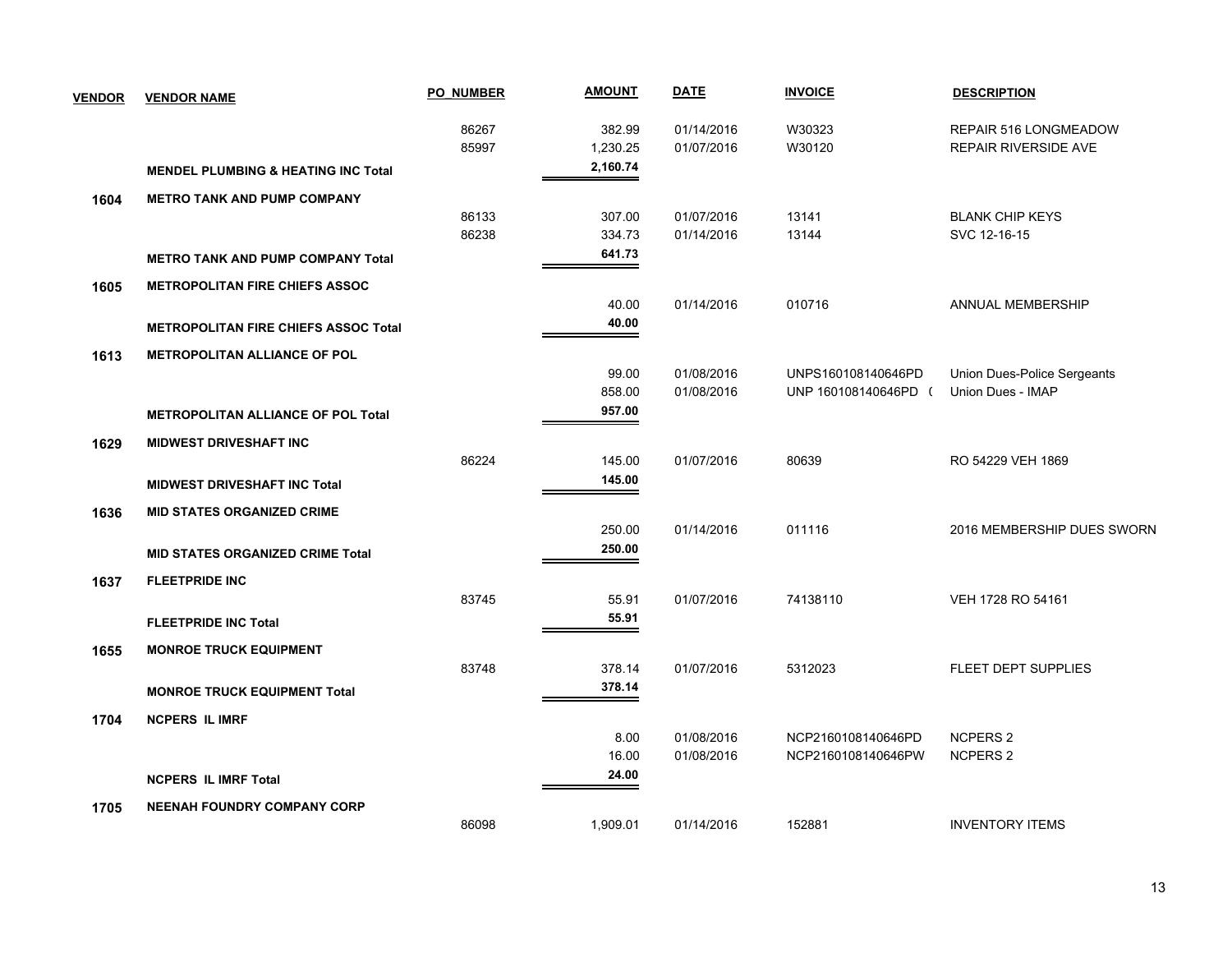| <b>VENDOR</b> | <b>VENDOR NAME</b>                             | <b>PO NUMBER</b> | <b>AMOUNT</b> | <b>DATE</b> | <b>INVOICE</b>       | <b>DESCRIPTION</b>          |
|---------------|------------------------------------------------|------------------|---------------|-------------|----------------------|-----------------------------|
|               |                                                | 86267            | 382.99        | 01/14/2016  | W30323               | REPAIR 516 LONGMEADOW       |
|               |                                                | 85997            | 1,230.25      | 01/07/2016  | W30120               | REPAIR RIVERSIDE AVE        |
|               | <b>MENDEL PLUMBING &amp; HEATING INC Total</b> |                  | 2,160.74      |             |                      |                             |
| 1604          | <b>METRO TANK AND PUMP COMPANY</b>             |                  |               |             |                      |                             |
|               |                                                | 86133            | 307.00        | 01/07/2016  | 13141                | <b>BLANK CHIP KEYS</b>      |
|               |                                                | 86238            | 334.73        | 01/14/2016  | 13144                | SVC 12-16-15                |
|               | <b>METRO TANK AND PUMP COMPANY Total</b>       |                  | 641.73        |             |                      |                             |
| 1605          | <b>METROPOLITAN FIRE CHIEFS ASSOC</b>          |                  |               |             |                      |                             |
|               |                                                |                  | 40.00         | 01/14/2016  | 010716               | ANNUAL MEMBERSHIP           |
|               | <b>METROPOLITAN FIRE CHIEFS ASSOC Total</b>    |                  | 40.00         |             |                      |                             |
| 1613          | <b>METROPOLITAN ALLIANCE OF POL</b>            |                  |               |             |                      |                             |
|               |                                                |                  | 99.00         | 01/08/2016  | UNPS160108140646PD   | Union Dues-Police Sergeants |
|               |                                                |                  | 858.00        | 01/08/2016  | UNP 160108140646PD ( | Union Dues - IMAP           |
|               | <b>METROPOLITAN ALLIANCE OF POL Total</b>      |                  | 957.00        |             |                      |                             |
| 1629          | <b>MIDWEST DRIVESHAFT INC</b>                  |                  |               |             |                      |                             |
|               |                                                | 86224            | 145.00        | 01/07/2016  | 80639                | RO 54229 VEH 1869           |
|               | <b>MIDWEST DRIVESHAFT INC Total</b>            |                  | 145.00        |             |                      |                             |
| 1636          | <b>MID STATES ORGANIZED CRIME</b>              |                  |               |             |                      |                             |
|               |                                                |                  | 250.00        | 01/14/2016  | 011116               | 2016 MEMBERSHIP DUES SWORN  |
|               | <b>MID STATES ORGANIZED CRIME Total</b>        |                  | 250.00        |             |                      |                             |
| 1637          | <b>FLEETPRIDE INC</b>                          |                  |               |             |                      |                             |
|               |                                                | 83745            | 55.91         | 01/07/2016  | 74138110             | VEH 1728 RO 54161           |
|               | <b>FLEETPRIDE INC Total</b>                    |                  | 55.91         |             |                      |                             |
| 1655          | <b>MONROE TRUCK EQUIPMENT</b>                  |                  |               |             |                      |                             |
|               |                                                | 83748            | 378.14        | 01/07/2016  | 5312023              | FLEET DEPT SUPPLIES         |
|               | <b>MONROE TRUCK EQUIPMENT Total</b>            |                  | 378.14        |             |                      |                             |
| 1704          | <b>NCPERS IL IMRF</b>                          |                  |               |             |                      |                             |
|               |                                                |                  | 8.00          | 01/08/2016  | NCP2160108140646PD   | <b>NCPERS 2</b>             |
|               |                                                |                  | 16.00         | 01/08/2016  | NCP2160108140646PW   | <b>NCPERS 2</b>             |
|               | <b>NCPERS IL IMRF Total</b>                    |                  | 24.00         |             |                      |                             |
| 1705          | <b>NEENAH FOUNDRY COMPANY CORP</b>             |                  |               |             |                      |                             |
|               |                                                | 86098            | 1,909.01      | 01/14/2016  | 152881               | <b>INVENTORY ITEMS</b>      |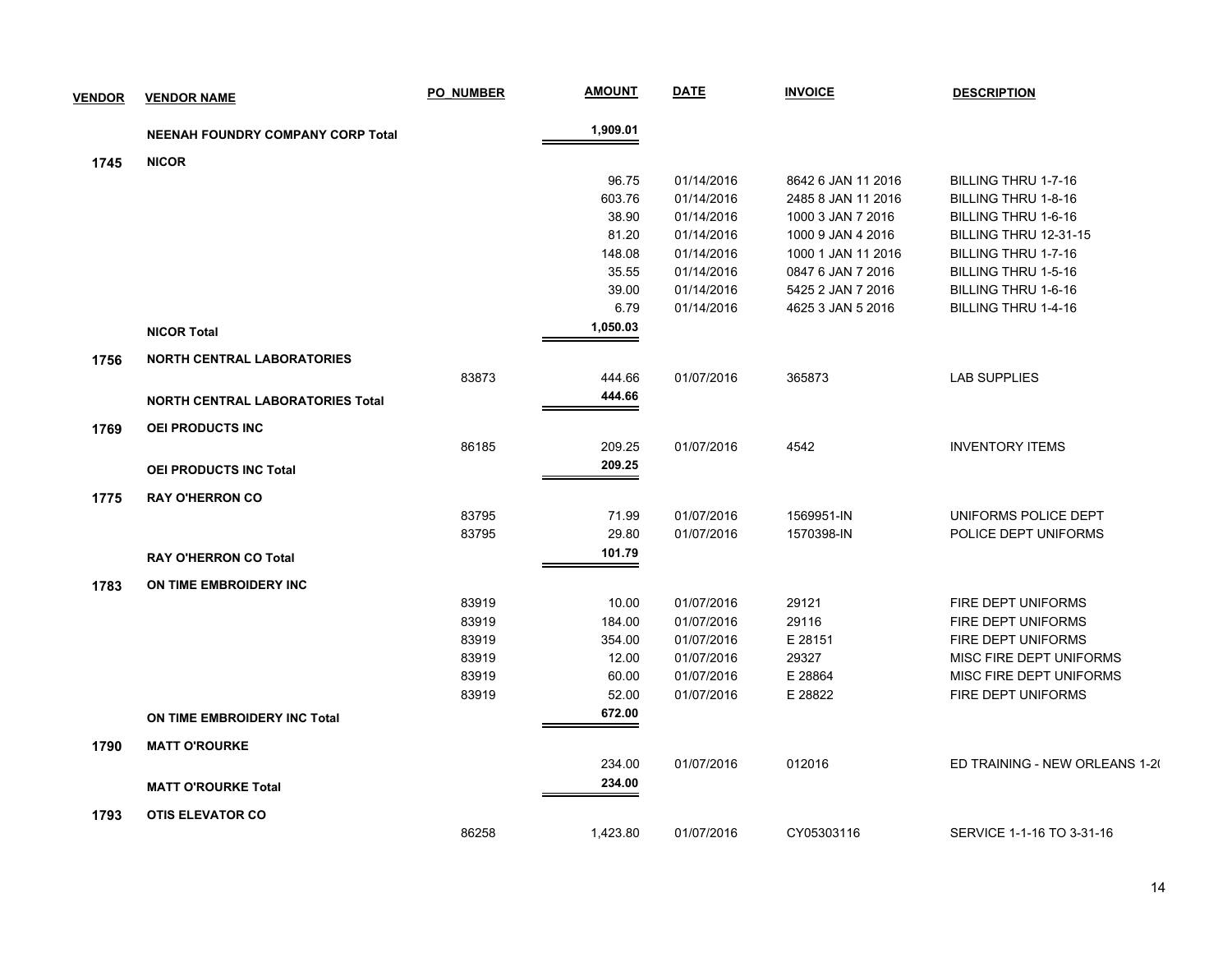| <b>VENDOR</b> | <b>VENDOR NAME</b>                       | <b>PO NUMBER</b> | <u>AMOUNT</u> | <b>DATE</b> | <b>INVOICE</b>     | <b>DESCRIPTION</b>             |
|---------------|------------------------------------------|------------------|---------------|-------------|--------------------|--------------------------------|
|               | <b>NEENAH FOUNDRY COMPANY CORP Total</b> |                  | 1,909.01      |             |                    |                                |
| 1745          | <b>NICOR</b>                             |                  |               |             |                    |                                |
|               |                                          |                  | 96.75         | 01/14/2016  | 8642 6 JAN 11 2016 | BILLING THRU 1-7-16            |
|               |                                          |                  | 603.76        | 01/14/2016  | 2485 8 JAN 11 2016 | BILLING THRU 1-8-16            |
|               |                                          |                  | 38.90         | 01/14/2016  | 1000 3 JAN 7 2016  | BILLING THRU 1-6-16            |
|               |                                          |                  | 81.20         | 01/14/2016  | 1000 9 JAN 4 2016  | BILLING THRU 12-31-15          |
|               |                                          |                  | 148.08        | 01/14/2016  | 1000 1 JAN 11 2016 | BILLING THRU 1-7-16            |
|               |                                          |                  | 35.55         | 01/14/2016  | 0847 6 JAN 7 2016  | BILLING THRU 1-5-16            |
|               |                                          |                  | 39.00         | 01/14/2016  | 5425 2 JAN 7 2016  | BILLING THRU 1-6-16            |
|               |                                          |                  | 6.79          | 01/14/2016  | 4625 3 JAN 5 2016  | BILLING THRU 1-4-16            |
|               | <b>NICOR Total</b>                       |                  | 1,050.03      |             |                    |                                |
| 1756          | <b>NORTH CENTRAL LABORATORIES</b>        |                  |               |             |                    |                                |
|               |                                          | 83873            | 444.66        | 01/07/2016  | 365873             | <b>LAB SUPPLIES</b>            |
|               | <b>NORTH CENTRAL LABORATORIES Total</b>  |                  | 444.66        |             |                    |                                |
| 1769          | OEI PRODUCTS INC                         |                  |               |             |                    |                                |
|               |                                          | 86185            | 209.25        | 01/07/2016  | 4542               | <b>INVENTORY ITEMS</b>         |
|               | OEI PRODUCTS INC Total                   |                  | 209.25        |             |                    |                                |
| 1775          | <b>RAY O'HERRON CO</b>                   |                  |               |             |                    |                                |
|               |                                          | 83795            | 71.99         | 01/07/2016  | 1569951-IN         | UNIFORMS POLICE DEPT           |
|               |                                          | 83795            | 29.80         | 01/07/2016  | 1570398-IN         | POLICE DEPT UNIFORMS           |
|               | <b>RAY O'HERRON CO Total</b>             |                  | 101.79        |             |                    |                                |
| 1783          | ON TIME EMBROIDERY INC                   |                  |               |             |                    |                                |
|               |                                          | 83919            | 10.00         | 01/07/2016  | 29121              | FIRE DEPT UNIFORMS             |
|               |                                          | 83919            | 184.00        | 01/07/2016  | 29116              | FIRE DEPT UNIFORMS             |
|               |                                          | 83919            | 354.00        | 01/07/2016  | E 28151            | FIRE DEPT UNIFORMS             |
|               |                                          | 83919            | 12.00         | 01/07/2016  | 29327              | MISC FIRE DEPT UNIFORMS        |
|               |                                          | 83919            | 60.00         | 01/07/2016  | E 28864            | MISC FIRE DEPT UNIFORMS        |
|               |                                          | 83919            | 52.00         | 01/07/2016  | E 28822            | FIRE DEPT UNIFORMS             |
|               | ON TIME EMBROIDERY INC Total             |                  | 672.00        |             |                    |                                |
| 1790          | <b>MATT O'ROURKE</b>                     |                  |               |             |                    |                                |
|               |                                          |                  | 234.00        | 01/07/2016  | 012016             | ED TRAINING - NEW ORLEANS 1-20 |
|               | <b>MATT O'ROURKE Total</b>               |                  | 234.00        |             |                    |                                |
| 1793          | <b>OTIS ELEVATOR CO</b>                  |                  |               |             |                    |                                |
|               |                                          | 86258            | 1,423.80      | 01/07/2016  | CY05303116         | SERVICE 1-1-16 TO 3-31-16      |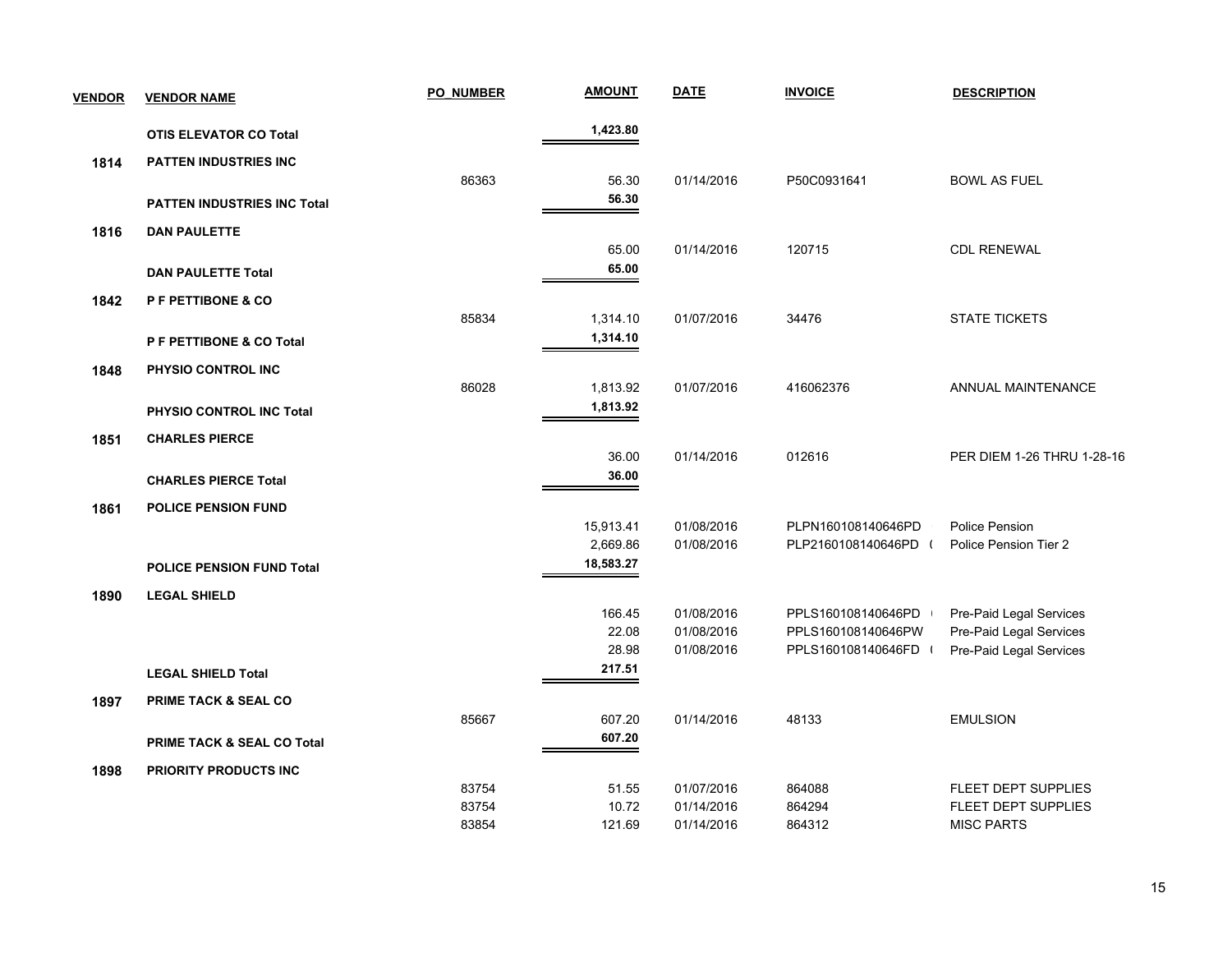| <b>VENDOR</b> | <b>VENDOR NAME</b>                 | <b>PO NUMBER</b> | <b>AMOUNT</b>   | <b>DATE</b> | <b>INVOICE</b>       | <b>DESCRIPTION</b>         |
|---------------|------------------------------------|------------------|-----------------|-------------|----------------------|----------------------------|
|               | <b>OTIS ELEVATOR CO Total</b>      |                  | 1,423.80        |             |                      |                            |
| 1814          | <b>PATTEN INDUSTRIES INC</b>       |                  |                 |             |                      |                            |
|               |                                    | 86363            | 56.30           | 01/14/2016  | P50C0931641          | <b>BOWL AS FUEL</b>        |
|               | <b>PATTEN INDUSTRIES INC Total</b> |                  | 56.30           |             |                      |                            |
| 1816          | <b>DAN PAULETTE</b>                |                  |                 |             |                      |                            |
|               |                                    |                  | 65.00           | 01/14/2016  | 120715               | <b>CDL RENEWAL</b>         |
|               | <b>DAN PAULETTE Total</b>          |                  | 65.00           |             |                      |                            |
| 1842          | P F PETTIBONE & CO                 |                  |                 |             |                      |                            |
|               |                                    | 85834            | 1,314.10        | 01/07/2016  | 34476                | <b>STATE TICKETS</b>       |
|               | P F PETTIBONE & CO Total           |                  | 1,314.10        |             |                      |                            |
| 1848          | PHYSIO CONTROL INC                 |                  |                 |             |                      |                            |
|               |                                    | 86028            | 1,813.92        | 01/07/2016  | 416062376            | <b>ANNUAL MAINTENANCE</b>  |
|               | PHYSIO CONTROL INC Total           |                  | 1,813.92        |             |                      |                            |
| 1851          | <b>CHARLES PIERCE</b>              |                  |                 |             |                      |                            |
|               |                                    |                  | 36.00           | 01/14/2016  | 012616               | PER DIEM 1-26 THRU 1-28-16 |
|               | <b>CHARLES PIERCE Total</b>        |                  | 36.00           |             |                      |                            |
| 1861          | <b>POLICE PENSION FUND</b>         |                  |                 |             |                      |                            |
|               |                                    |                  | 15,913.41       | 01/08/2016  | PLPN160108140646PD   | Police Pension             |
|               |                                    |                  | 2,669.86        | 01/08/2016  | PLP2160108140646PD ( | Police Pension Tier 2      |
|               | <b>POLICE PENSION FUND Total</b>   |                  | 18,583.27       |             |                      |                            |
| 1890          | <b>LEGAL SHIELD</b>                |                  |                 |             |                      |                            |
|               |                                    |                  | 166.45          | 01/08/2016  | PPLS160108140646PD   | Pre-Paid Legal Services    |
|               |                                    |                  | 22.08           | 01/08/2016  | PPLS160108140646PW   | Pre-Paid Legal Services    |
|               |                                    |                  | 28.98<br>217.51 | 01/08/2016  | PPLS160108140646FD   | Pre-Paid Legal Services    |
|               | <b>LEGAL SHIELD Total</b>          |                  |                 |             |                      |                            |
| 1897          | <b>PRIME TACK &amp; SEAL CO</b>    |                  |                 |             |                      |                            |
|               |                                    | 85667            | 607.20          | 01/14/2016  | 48133                | <b>EMULSION</b>            |
|               | PRIME TACK & SEAL CO Total         |                  | 607.20          |             |                      |                            |
| 1898          | PRIORITY PRODUCTS INC              |                  |                 |             |                      |                            |
|               |                                    | 83754            | 51.55           | 01/07/2016  | 864088               | FLEET DEPT SUPPLIES        |
|               |                                    | 83754            | 10.72           | 01/14/2016  | 864294               | FLEET DEPT SUPPLIES        |
|               |                                    | 83854            | 121.69          | 01/14/2016  | 864312               | <b>MISC PARTS</b>          |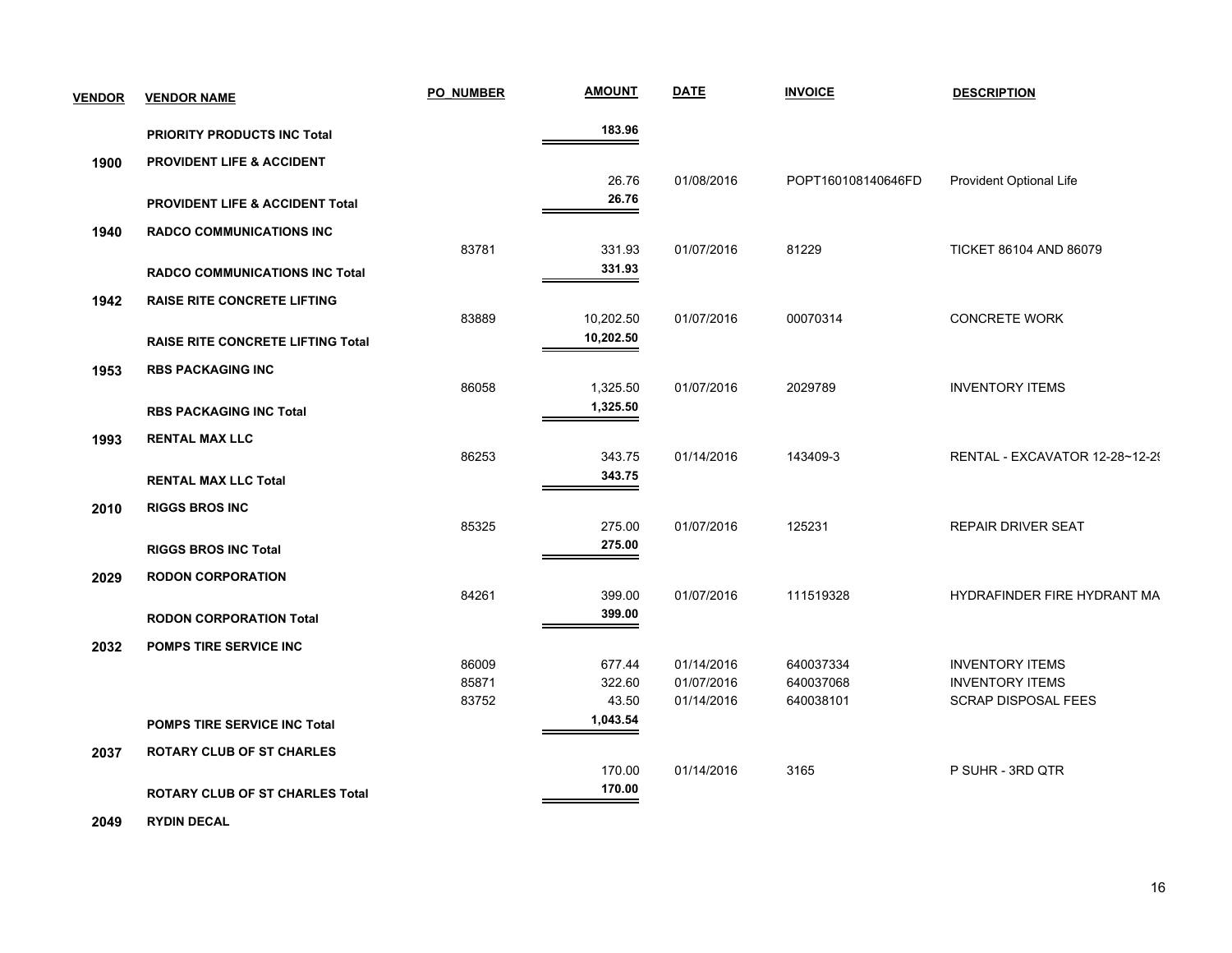| <b>VENDOR</b> | <b>VENDOR NAME</b>                         | <b>PO NUMBER</b> | <b>AMOUNT</b> | <b>DATE</b> | <b>INVOICE</b>     | <b>DESCRIPTION</b>             |
|---------------|--------------------------------------------|------------------|---------------|-------------|--------------------|--------------------------------|
|               | <b>PRIORITY PRODUCTS INC Total</b>         |                  | 183.96        |             |                    |                                |
| 1900          | <b>PROVIDENT LIFE &amp; ACCIDENT</b>       |                  |               |             |                    |                                |
|               |                                            |                  | 26.76         | 01/08/2016  | POPT160108140646FD | Provident Optional Life        |
|               | <b>PROVIDENT LIFE &amp; ACCIDENT Total</b> |                  | 26.76         |             |                    |                                |
| 1940          | <b>RADCO COMMUNICATIONS INC</b>            |                  |               |             |                    |                                |
|               |                                            | 83781            | 331.93        | 01/07/2016  | 81229              | <b>TICKET 86104 AND 86079</b>  |
|               | <b>RADCO COMMUNICATIONS INC Total</b>      |                  | 331.93        |             |                    |                                |
| 1942          | <b>RAISE RITE CONCRETE LIFTING</b>         |                  |               |             |                    |                                |
|               |                                            | 83889            | 10,202.50     | 01/07/2016  | 00070314           | <b>CONCRETE WORK</b>           |
|               | <b>RAISE RITE CONCRETE LIFTING Total</b>   |                  | 10,202.50     |             |                    |                                |
| 1953          | <b>RBS PACKAGING INC</b>                   |                  |               |             |                    |                                |
|               |                                            | 86058            | 1,325.50      | 01/07/2016  | 2029789            | <b>INVENTORY ITEMS</b>         |
|               | <b>RBS PACKAGING INC Total</b>             |                  | 1,325.50      |             |                    |                                |
| 1993          | <b>RENTAL MAX LLC</b>                      |                  |               |             |                    |                                |
|               |                                            | 86253            | 343.75        | 01/14/2016  | 143409-3           | RENTAL - EXCAVATOR 12-28~12-29 |
|               | <b>RENTAL MAX LLC Total</b>                |                  | 343.75        |             |                    |                                |
| 2010          | <b>RIGGS BROS INC</b>                      |                  |               |             |                    |                                |
|               |                                            | 85325            | 275.00        | 01/07/2016  | 125231             | <b>REPAIR DRIVER SEAT</b>      |
|               | <b>RIGGS BROS INC Total</b>                |                  | 275.00        |             |                    |                                |
| 2029          | <b>RODON CORPORATION</b>                   |                  |               |             |                    |                                |
|               |                                            | 84261            | 399.00        | 01/07/2016  | 111519328          | HYDRAFINDER FIRE HYDRANT MA    |
|               | <b>RODON CORPORATION Total</b>             |                  | 399.00        |             |                    |                                |
| 2032          | <b>POMPS TIRE SERVICE INC</b>              |                  |               |             |                    |                                |
|               |                                            | 86009            | 677.44        | 01/14/2016  | 640037334          | <b>INVENTORY ITEMS</b>         |
|               |                                            | 85871            | 322.60        | 01/07/2016  | 640037068          | <b>INVENTORY ITEMS</b>         |
|               |                                            | 83752            | 43.50         | 01/14/2016  | 640038101          | <b>SCRAP DISPOSAL FEES</b>     |
|               | <b>POMPS TIRE SERVICE INC Total</b>        |                  | 1,043.54      |             |                    |                                |
| 2037          | <b>ROTARY CLUB OF ST CHARLES</b>           |                  |               |             |                    |                                |
|               |                                            |                  | 170.00        | 01/14/2016  | 3165               | P SUHR - 3RD QTR               |
|               | <b>ROTARY CLUB OF ST CHARLES Total</b>     |                  | 170.00        |             |                    |                                |
|               |                                            |                  |               |             |                    |                                |

 **2049 RYDIN DECAL**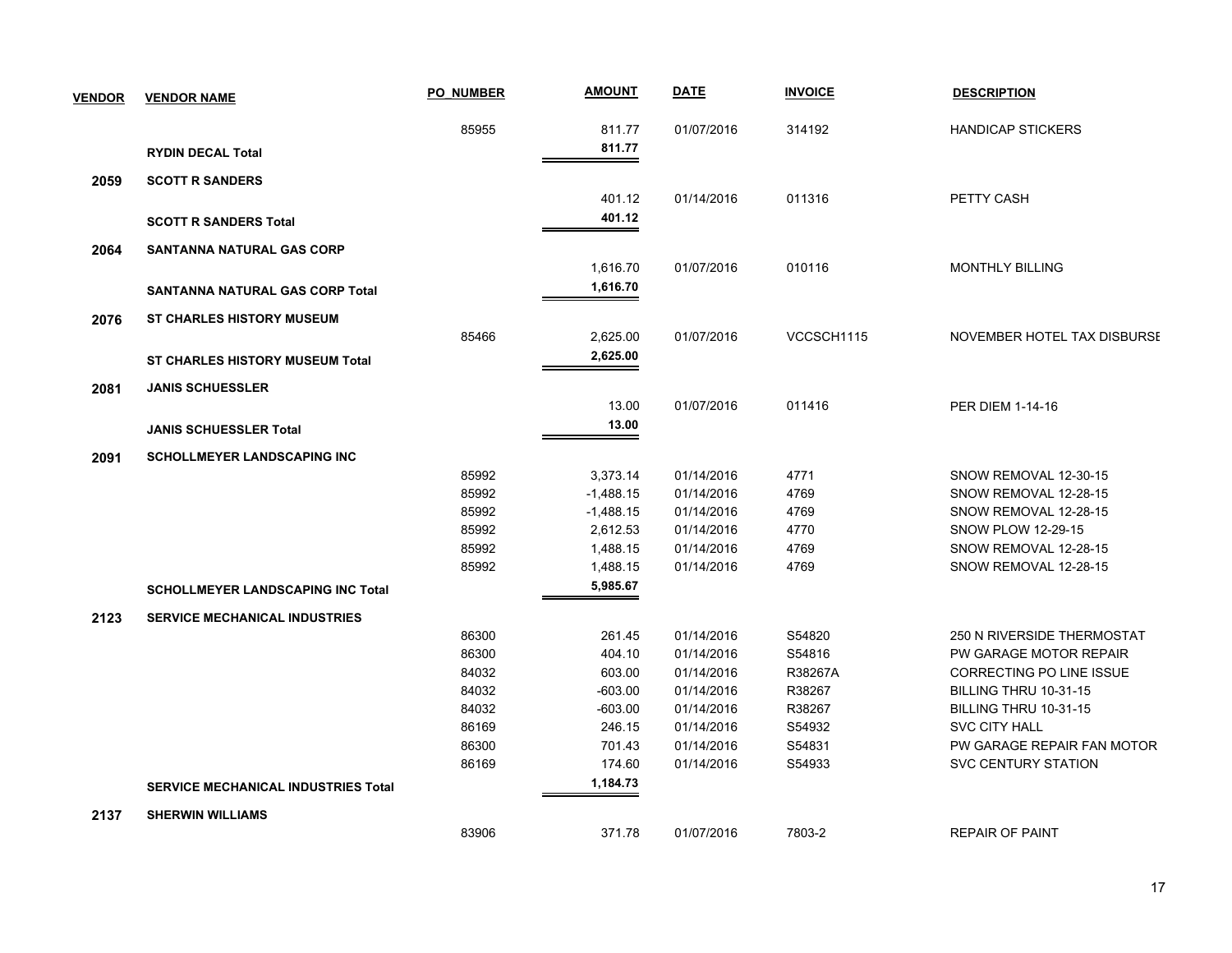| <b>VENDOR</b> | <b>VENDOR NAME</b>                         | <b>PO NUMBER</b> | <b>AMOUNT</b> | <b>DATE</b> | <b>INVOICE</b> | <b>DESCRIPTION</b>          |
|---------------|--------------------------------------------|------------------|---------------|-------------|----------------|-----------------------------|
|               |                                            | 85955            | 811.77        | 01/07/2016  | 314192         | <b>HANDICAP STICKERS</b>    |
|               | <b>RYDIN DECAL Total</b>                   |                  | 811.77        |             |                |                             |
| 2059          | <b>SCOTT R SANDERS</b>                     |                  |               |             |                |                             |
|               |                                            |                  | 401.12        | 01/14/2016  | 011316         | PETTY CASH                  |
|               | <b>SCOTT R SANDERS Total</b>               |                  | 401.12        |             |                |                             |
| 2064          | <b>SANTANNA NATURAL GAS CORP</b>           |                  |               |             |                |                             |
|               |                                            |                  | 1,616.70      | 01/07/2016  | 010116         | <b>MONTHLY BILLING</b>      |
|               | <b>SANTANNA NATURAL GAS CORP Total</b>     |                  | 1,616.70      |             |                |                             |
| 2076          | <b>ST CHARLES HISTORY MUSEUM</b>           |                  |               |             |                |                             |
|               |                                            | 85466            | 2,625.00      | 01/07/2016  | VCCSCH1115     | NOVEMBER HOTEL TAX DISBURSE |
|               | <b>ST CHARLES HISTORY MUSEUM Total</b>     |                  | 2,625.00      |             |                |                             |
|               |                                            |                  |               |             |                |                             |
| 2081          | <b>JANIS SCHUESSLER</b>                    |                  |               |             |                |                             |
|               |                                            |                  | 13.00         | 01/07/2016  | 011416         | <b>PER DIEM 1-14-16</b>     |
|               | <b>JANIS SCHUESSLER Total</b>              |                  | 13.00         |             |                |                             |
| 2091          | <b>SCHOLLMEYER LANDSCAPING INC</b>         |                  |               |             |                |                             |
|               |                                            | 85992            | 3,373.14      | 01/14/2016  | 4771           | SNOW REMOVAL 12-30-15       |
|               |                                            | 85992            | $-1,488.15$   | 01/14/2016  | 4769           | SNOW REMOVAL 12-28-15       |
|               |                                            | 85992            | $-1,488.15$   | 01/14/2016  | 4769           | SNOW REMOVAL 12-28-15       |
|               |                                            | 85992            | 2,612.53      | 01/14/2016  | 4770           | <b>SNOW PLOW 12-29-15</b>   |
|               |                                            | 85992            | 1,488.15      | 01/14/2016  | 4769           | SNOW REMOVAL 12-28-15       |
|               |                                            | 85992            | 1,488.15      | 01/14/2016  | 4769           | SNOW REMOVAL 12-28-15       |
|               | <b>SCHOLLMEYER LANDSCAPING INC Total</b>   |                  | 5,985.67      |             |                |                             |
| 2123          | <b>SERVICE MECHANICAL INDUSTRIES</b>       |                  |               |             |                |                             |
|               |                                            | 86300            | 261.45        | 01/14/2016  | S54820         | 250 N RIVERSIDE THERMOSTAT  |
|               |                                            | 86300            | 404.10        | 01/14/2016  | S54816         | PW GARAGE MOTOR REPAIR      |
|               |                                            | 84032            | 603.00        | 01/14/2016  | R38267A        | CORRECTING PO LINE ISSUE    |
|               |                                            | 84032            | $-603.00$     | 01/14/2016  | R38267         | BILLING THRU 10-31-15       |
|               |                                            | 84032            | $-603.00$     | 01/14/2016  | R38267         | BILLING THRU 10-31-15       |
|               |                                            | 86169            | 246.15        | 01/14/2016  | S54932         | <b>SVC CITY HALL</b>        |
|               |                                            | 86300            | 701.43        | 01/14/2016  | S54831         | PW GARAGE REPAIR FAN MOTOR  |
|               |                                            | 86169            | 174.60        | 01/14/2016  | S54933         | <b>SVC CENTURY STATION</b>  |
|               | <b>SERVICE MECHANICAL INDUSTRIES Total</b> |                  | 1,184.73      |             |                |                             |
| 2137          | <b>SHERWIN WILLIAMS</b>                    |                  |               |             |                |                             |
|               |                                            | 83906            | 371.78        | 01/07/2016  | 7803-2         | <b>REPAIR OF PAINT</b>      |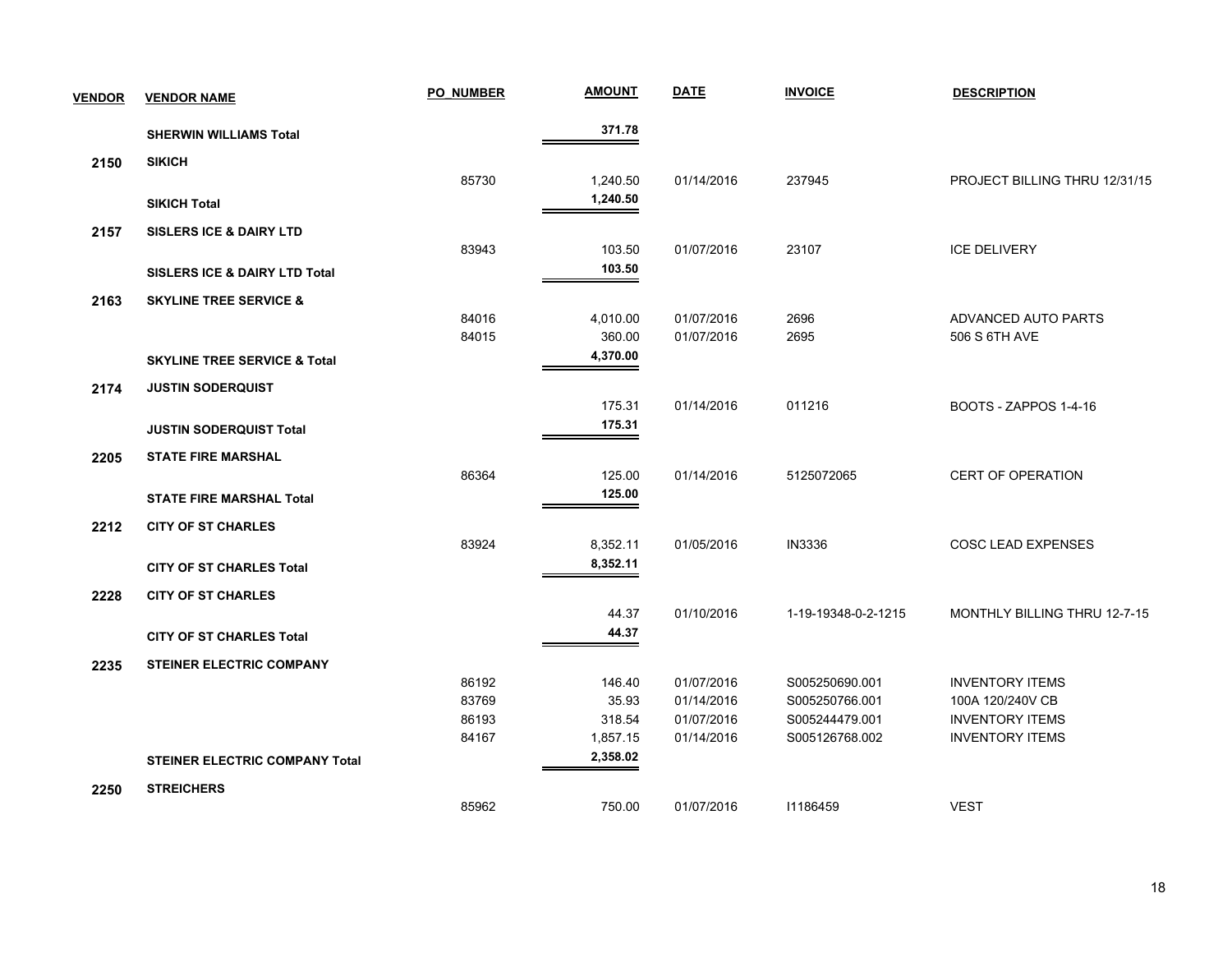| <b>VENDOR</b> | <b>VENDOR NAME</b>                       | <b>PO NUMBER</b> | <b>AMOUNT</b>   | <u>DATE</u>              | <b>INVOICE</b>                   | <b>DESCRIPTION</b>                         |
|---------------|------------------------------------------|------------------|-----------------|--------------------------|----------------------------------|--------------------------------------------|
|               | <b>SHERWIN WILLIAMS Total</b>            |                  | 371.78          |                          |                                  |                                            |
| 2150          | <b>SIKICH</b>                            |                  |                 |                          |                                  |                                            |
|               |                                          | 85730            | 1,240.50        | 01/14/2016               | 237945                           | PROJECT BILLING THRU 12/31/15              |
|               | <b>SIKICH Total</b>                      |                  | 1,240.50        |                          |                                  |                                            |
| 2157          | <b>SISLERS ICE &amp; DAIRY LTD</b>       |                  |                 |                          |                                  |                                            |
|               |                                          | 83943            | 103.50          | 01/07/2016               | 23107                            | <b>ICE DELIVERY</b>                        |
|               | <b>SISLERS ICE &amp; DAIRY LTD Total</b> |                  | 103.50          |                          |                                  |                                            |
| 2163          | <b>SKYLINE TREE SERVICE &amp;</b>        |                  |                 |                          |                                  |                                            |
|               |                                          | 84016            | 4,010.00        | 01/07/2016               | 2696                             | ADVANCED AUTO PARTS                        |
|               |                                          | 84015            | 360.00          | 01/07/2016               | 2695                             | 506 S 6TH AVE                              |
|               | <b>SKYLINE TREE SERVICE &amp; Total</b>  |                  | 4,370.00        |                          |                                  |                                            |
| 2174          | <b>JUSTIN SODERQUIST</b>                 |                  |                 |                          |                                  |                                            |
|               |                                          |                  | 175.31          | 01/14/2016               | 011216                           | BOOTS - ZAPPOS 1-4-16                      |
|               | <b>JUSTIN SODERQUIST Total</b>           |                  | 175.31          |                          |                                  |                                            |
| 2205          | <b>STATE FIRE MARSHAL</b>                |                  |                 |                          |                                  |                                            |
|               |                                          | 86364            | 125.00          | 01/14/2016               | 5125072065                       | <b>CERT OF OPERATION</b>                   |
|               | <b>STATE FIRE MARSHAL Total</b>          |                  | 125.00          |                          |                                  |                                            |
|               |                                          |                  |                 |                          |                                  |                                            |
| 2212          | <b>CITY OF ST CHARLES</b>                | 83924            | 8,352.11        | 01/05/2016               | <b>IN3336</b>                    | <b>COSC LEAD EXPENSES</b>                  |
|               | <b>CITY OF ST CHARLES Total</b>          |                  | 8,352.11        |                          |                                  |                                            |
|               |                                          |                  |                 |                          |                                  |                                            |
| 2228          | <b>CITY OF ST CHARLES</b>                |                  | 44.37           | 01/10/2016               | 1-19-19348-0-2-1215              | MONTHLY BILLING THRU 12-7-15               |
|               | <b>CITY OF ST CHARLES Total</b>          |                  | 44.37           |                          |                                  |                                            |
|               |                                          |                  |                 |                          |                                  |                                            |
| 2235          | <b>STEINER ELECTRIC COMPANY</b>          |                  |                 |                          |                                  |                                            |
|               |                                          | 86192<br>83769   | 146.40<br>35.93 | 01/07/2016<br>01/14/2016 | S005250690.001<br>S005250766.001 | <b>INVENTORY ITEMS</b><br>100A 120/240V CB |
|               |                                          | 86193            | 318.54          | 01/07/2016               | S005244479.001                   | <b>INVENTORY ITEMS</b>                     |
|               |                                          | 84167            | 1,857.15        | 01/14/2016               | S005126768.002                   | <b>INVENTORY ITEMS</b>                     |
|               |                                          |                  | 2,358.02        |                          |                                  |                                            |
|               | <b>STEINER ELECTRIC COMPANY Total</b>    |                  |                 |                          |                                  |                                            |
| 2250          | <b>STREICHERS</b>                        |                  |                 |                          |                                  |                                            |
|               |                                          | 85962            | 750.00          | 01/07/2016               | 11186459                         | <b>VEST</b>                                |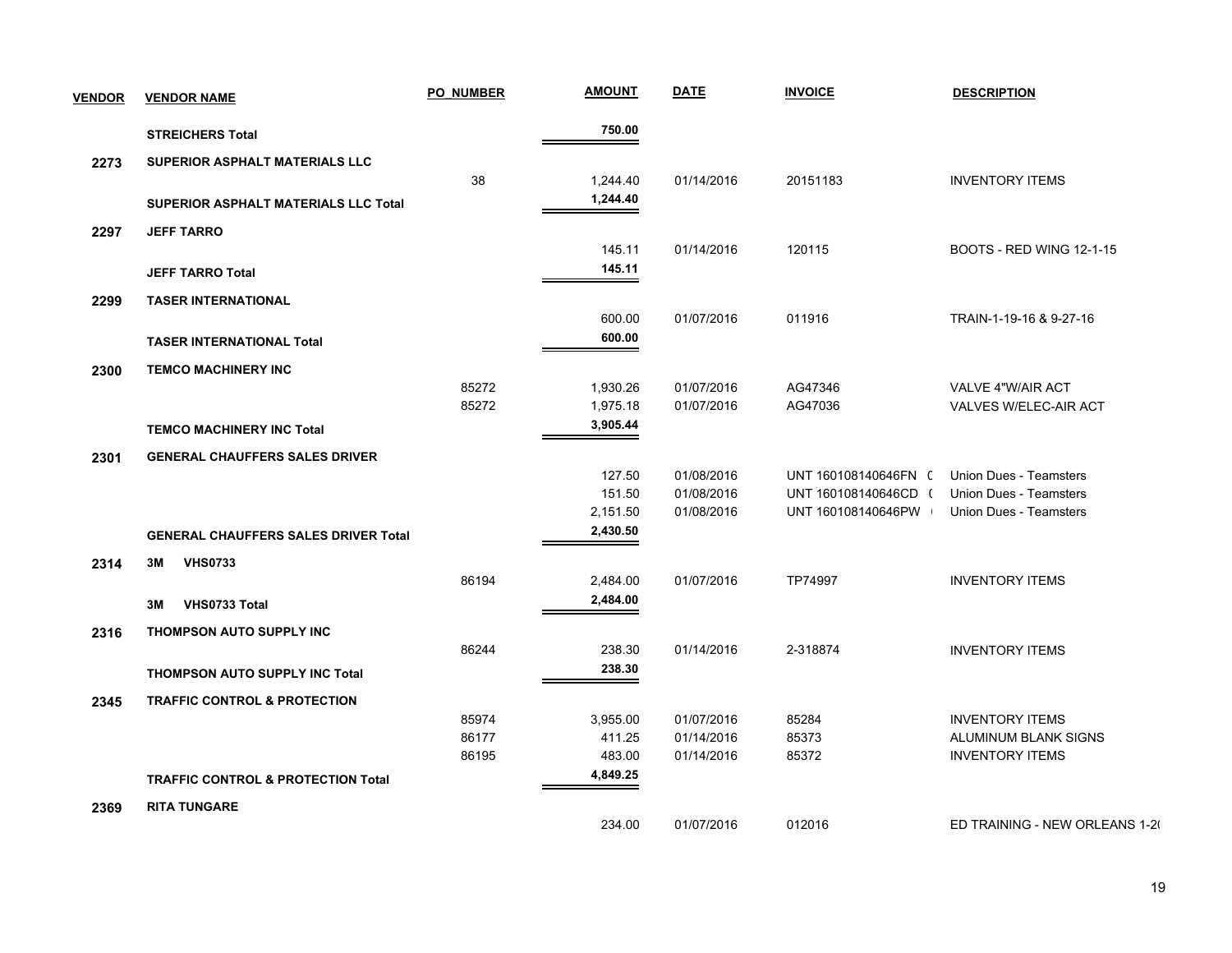| <b>VENDOR</b> | <b>VENDOR NAME</b>                            | <b>PO_NUMBER</b> | <b>AMOUNT</b> | <b>DATE</b> | <b>INVOICE</b>       | <b>DESCRIPTION</b>              |
|---------------|-----------------------------------------------|------------------|---------------|-------------|----------------------|---------------------------------|
|               | <b>STREICHERS Total</b>                       |                  | 750.00        |             |                      |                                 |
| 2273          | SUPERIOR ASPHALT MATERIALS LLC                |                  |               |             |                      |                                 |
|               |                                               | 38               | 1,244.40      | 01/14/2016  | 20151183             | <b>INVENTORY ITEMS</b>          |
|               | <b>SUPERIOR ASPHALT MATERIALS LLC Total</b>   |                  | 1,244.40      |             |                      |                                 |
| 2297          | <b>JEFF TARRO</b>                             |                  |               |             |                      |                                 |
|               |                                               |                  | 145.11        | 01/14/2016  | 120115               | <b>BOOTS - RED WING 12-1-15</b> |
|               | <b>JEFF TARRO Total</b>                       |                  | 145.11        |             |                      |                                 |
| 2299          | <b>TASER INTERNATIONAL</b>                    |                  |               |             |                      |                                 |
|               |                                               |                  | 600.00        | 01/07/2016  | 011916               | TRAIN-1-19-16 & 9-27-16         |
|               | <b>TASER INTERNATIONAL Total</b>              |                  | 600.00        |             |                      |                                 |
| 2300          | <b>TEMCO MACHINERY INC</b>                    |                  |               |             |                      |                                 |
|               |                                               | 85272            | 1,930.26      | 01/07/2016  | AG47346              | VALVE 4"W/AIR ACT               |
|               |                                               | 85272            | 1,975.18      | 01/07/2016  | AG47036              | VALVES W/ELEC-AIR ACT           |
|               | <b>TEMCO MACHINERY INC Total</b>              |                  | 3,905.44      |             |                      |                                 |
| 2301          | <b>GENERAL CHAUFFERS SALES DRIVER</b>         |                  |               |             |                      |                                 |
|               |                                               |                  | 127.50        | 01/08/2016  | UNT 160108140646FN ( | Union Dues - Teamsters          |
|               |                                               |                  | 151.50        | 01/08/2016  | UNT 160108140646CD ( | <b>Union Dues - Teamsters</b>   |
|               |                                               |                  | 2,151.50      | 01/08/2016  | UNT 160108140646PW   | <b>Union Dues - Teamsters</b>   |
|               | <b>GENERAL CHAUFFERS SALES DRIVER Total</b>   |                  | 2,430.50      |             |                      |                                 |
| 2314          | 3M<br><b>VHS0733</b>                          |                  |               |             |                      |                                 |
|               |                                               | 86194            | 2,484.00      | 01/07/2016  | TP74997              | <b>INVENTORY ITEMS</b>          |
|               | VHS0733 Total<br>3M                           |                  | 2,484.00      |             |                      |                                 |
| 2316          | <b>THOMPSON AUTO SUPPLY INC</b>               |                  |               |             |                      |                                 |
|               |                                               | 86244            | 238.30        | 01/14/2016  | 2-318874             | <b>INVENTORY ITEMS</b>          |
|               | <b>THOMPSON AUTO SUPPLY INC Total</b>         |                  | 238.30        |             |                      |                                 |
| 2345          | <b>TRAFFIC CONTROL &amp; PROTECTION</b>       |                  |               |             |                      |                                 |
|               |                                               | 85974            | 3,955.00      | 01/07/2016  | 85284                | <b>INVENTORY ITEMS</b>          |
|               |                                               | 86177            | 411.25        | 01/14/2016  | 85373                | ALUMINUM BLANK SIGNS            |
|               |                                               | 86195            | 483.00        | 01/14/2016  | 85372                | <b>INVENTORY ITEMS</b>          |
|               | <b>TRAFFIC CONTROL &amp; PROTECTION Total</b> |                  | 4,849.25      |             |                      |                                 |
| 2369          | <b>RITA TUNGARE</b>                           |                  |               |             |                      |                                 |
|               |                                               |                  | 234.00        | 01/07/2016  | 012016               | ED TRAINING - NEW ORLEANS 1-20  |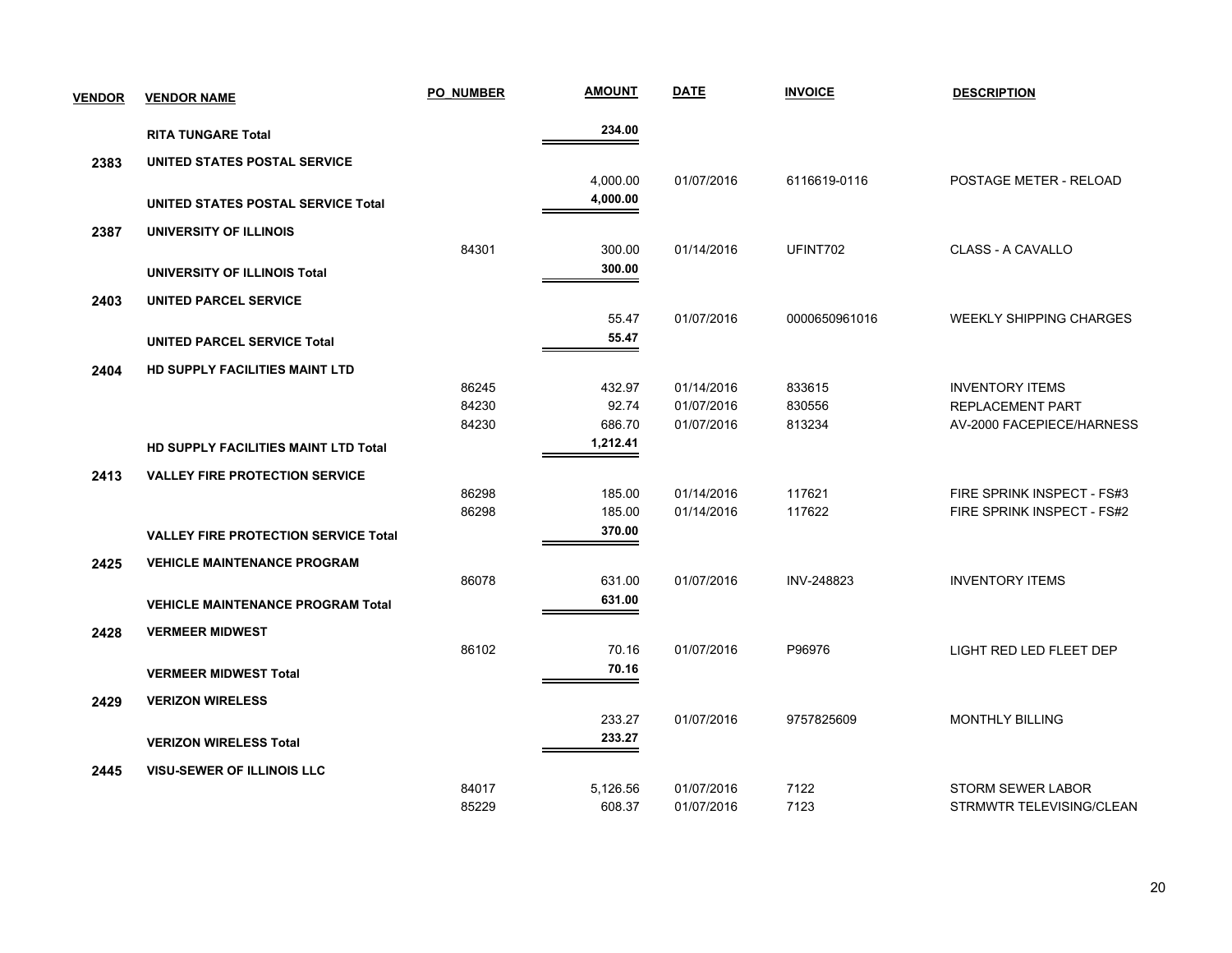| <b>VENDOR</b> | <b>VENDOR NAME</b>                          | <b>PO NUMBER</b> | <b>AMOUNT</b> | <b>DATE</b> | <b>INVOICE</b> | <b>DESCRIPTION</b>             |
|---------------|---------------------------------------------|------------------|---------------|-------------|----------------|--------------------------------|
|               | <b>RITA TUNGARE Total</b>                   |                  | 234.00        |             |                |                                |
| 2383          | UNITED STATES POSTAL SERVICE                |                  |               |             |                |                                |
|               |                                             |                  | 4,000.00      | 01/07/2016  | 6116619-0116   | POSTAGE METER - RELOAD         |
|               | UNITED STATES POSTAL SERVICE Total          |                  | 4,000.00      |             |                |                                |
| 2387          | UNIVERSITY OF ILLINOIS                      |                  |               |             |                |                                |
|               |                                             | 84301            | 300.00        | 01/14/2016  | UFINT702       | CLASS - A CAVALLO              |
|               | UNIVERSITY OF ILLINOIS Total                |                  | 300.00        |             |                |                                |
| 2403          | UNITED PARCEL SERVICE                       |                  |               |             |                |                                |
|               |                                             |                  | 55.47         | 01/07/2016  | 0000650961016  | <b>WEEKLY SHIPPING CHARGES</b> |
|               | <b>UNITED PARCEL SERVICE Total</b>          |                  | 55.47         |             |                |                                |
| 2404          | <b>HD SUPPLY FACILITIES MAINT LTD</b>       |                  |               |             |                |                                |
|               |                                             | 86245            | 432.97        | 01/14/2016  | 833615         | <b>INVENTORY ITEMS</b>         |
|               |                                             | 84230            | 92.74         | 01/07/2016  | 830556         | <b>REPLACEMENT PART</b>        |
|               |                                             | 84230            | 686.70        | 01/07/2016  | 813234         | AV-2000 FACEPIECE/HARNESS      |
|               | <b>HD SUPPLY FACILITIES MAINT LTD Total</b> |                  | 1,212.41      |             |                |                                |
| 2413          | <b>VALLEY FIRE PROTECTION SERVICE</b>       |                  |               |             |                |                                |
|               |                                             | 86298            | 185.00        | 01/14/2016  | 117621         | FIRE SPRINK INSPECT - FS#3     |
|               |                                             | 86298            | 185.00        | 01/14/2016  | 117622         | FIRE SPRINK INSPECT - FS#2     |
|               | <b>VALLEY FIRE PROTECTION SERVICE Total</b> |                  | 370.00        |             |                |                                |
| 2425          | <b>VEHICLE MAINTENANCE PROGRAM</b>          |                  |               |             |                |                                |
|               |                                             | 86078            | 631.00        | 01/07/2016  | INV-248823     | <b>INVENTORY ITEMS</b>         |
|               | <b>VEHICLE MAINTENANCE PROGRAM Total</b>    |                  | 631.00        |             |                |                                |
| 2428          | <b>VERMEER MIDWEST</b>                      |                  |               |             |                |                                |
|               |                                             | 86102            | 70.16         | 01/07/2016  | P96976         | <b>LIGHT RED LED FLEET DEP</b> |
|               | <b>VERMEER MIDWEST Total</b>                |                  | 70.16         |             |                |                                |
| 2429          | <b>VERIZON WIRELESS</b>                     |                  |               |             |                |                                |
|               |                                             |                  | 233.27        | 01/07/2016  | 9757825609     | <b>MONTHLY BILLING</b>         |
|               | <b>VERIZON WIRELESS Total</b>               |                  | 233.27        |             |                |                                |
| 2445          | <b>VISU-SEWER OF ILLINOIS LLC</b>           |                  |               |             |                |                                |
|               |                                             | 84017            | 5,126.56      | 01/07/2016  | 7122           | <b>STORM SEWER LABOR</b>       |
|               |                                             | 85229            | 608.37        | 01/07/2016  | 7123           | STRMWTR TELEVISING/CLEAN       |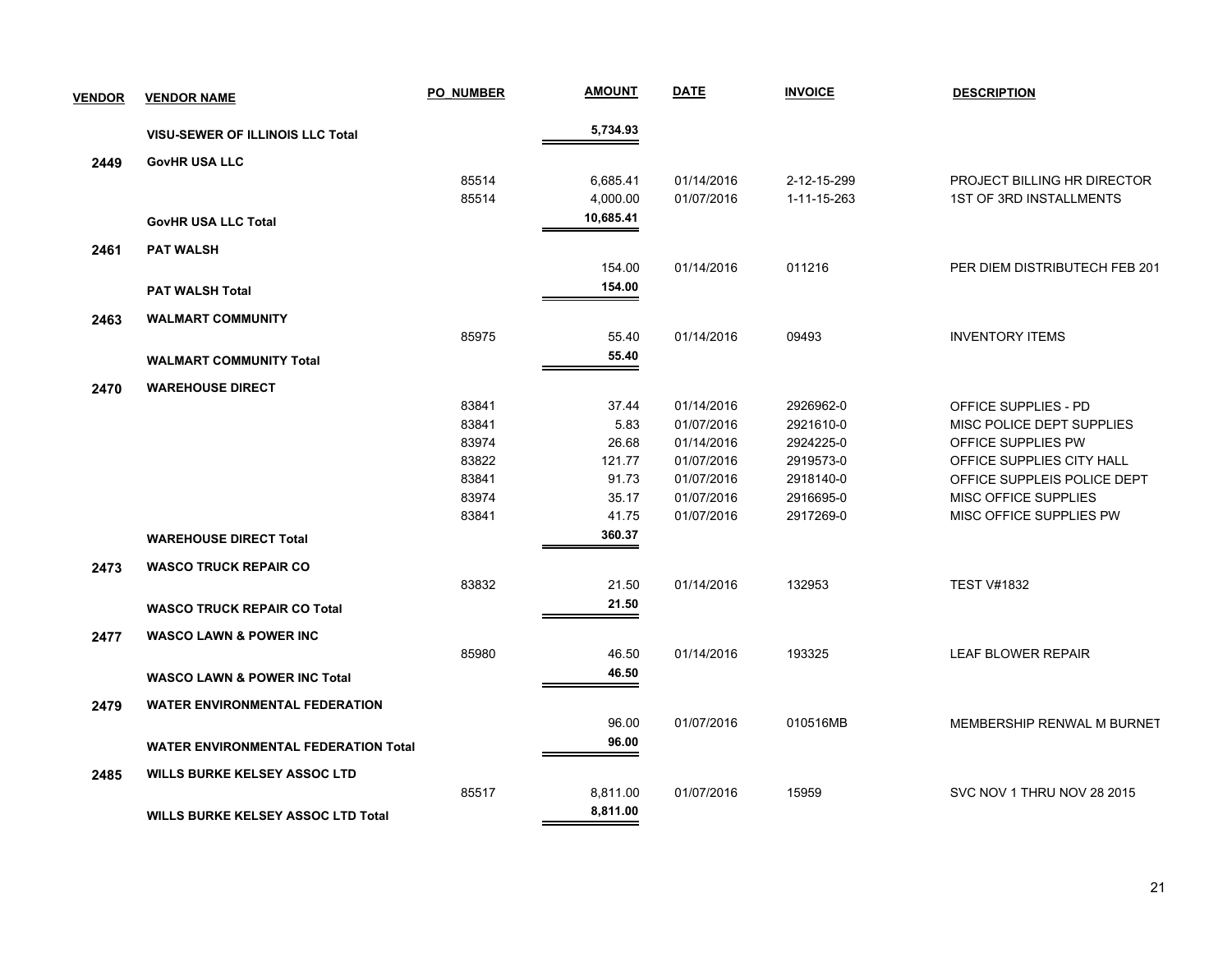| <b>VENDOR</b> | <b>VENDOR NAME</b>                          | <b>PO NUMBER</b> | <b>AMOUNT</b> | <b>DATE</b> | <b>INVOICE</b> | <b>DESCRIPTION</b>             |
|---------------|---------------------------------------------|------------------|---------------|-------------|----------------|--------------------------------|
|               | <b>VISU-SEWER OF ILLINOIS LLC Total</b>     |                  | 5,734.93      |             |                |                                |
| 2449          | <b>GovHR USA LLC</b>                        |                  |               |             |                |                                |
|               |                                             | 85514            | 6,685.41      | 01/14/2016  | 2-12-15-299    | PROJECT BILLING HR DIRECTOR    |
|               |                                             | 85514            | 4,000.00      | 01/07/2016  | 1-11-15-263    | <b>1ST OF 3RD INSTALLMENTS</b> |
|               | <b>GovHR USA LLC Total</b>                  |                  | 10,685.41     |             |                |                                |
| 2461          | <b>PAT WALSH</b>                            |                  |               |             |                |                                |
|               |                                             |                  | 154.00        | 01/14/2016  | 011216         | PER DIEM DISTRIBUTECH FEB 201  |
|               | <b>PAT WALSH Total</b>                      |                  | 154.00        |             |                |                                |
| 2463          | <b>WALMART COMMUNITY</b>                    |                  |               |             |                |                                |
|               |                                             | 85975            | 55.40         | 01/14/2016  | 09493          | <b>INVENTORY ITEMS</b>         |
|               | <b>WALMART COMMUNITY Total</b>              |                  | 55.40         |             |                |                                |
| 2470          | <b>WAREHOUSE DIRECT</b>                     |                  |               |             |                |                                |
|               |                                             | 83841            | 37.44         | 01/14/2016  | 2926962-0      | OFFICE SUPPLIES - PD           |
|               |                                             | 83841            | 5.83          | 01/07/2016  | 2921610-0      | MISC POLICE DEPT SUPPLIES      |
|               |                                             | 83974            | 26.68         | 01/14/2016  | 2924225-0      | OFFICE SUPPLIES PW             |
|               |                                             | 83822            | 121.77        | 01/07/2016  | 2919573-0      | OFFICE SUPPLIES CITY HALL      |
|               |                                             | 83841            | 91.73         | 01/07/2016  | 2918140-0      | OFFICE SUPPLEIS POLICE DEPT    |
|               |                                             | 83974            | 35.17         | 01/07/2016  | 2916695-0      | MISC OFFICE SUPPLIES           |
|               |                                             | 83841            | 41.75         | 01/07/2016  | 2917269-0      | MISC OFFICE SUPPLIES PW        |
|               | <b>WAREHOUSE DIRECT Total</b>               |                  | 360.37        |             |                |                                |
| 2473          | <b>WASCO TRUCK REPAIR CO</b>                |                  |               |             |                |                                |
|               |                                             | 83832            | 21.50         | 01/14/2016  | 132953         | <b>TEST V#1832</b>             |
|               | <b>WASCO TRUCK REPAIR CO Total</b>          |                  | 21.50         |             |                |                                |
| 2477          | <b>WASCO LAWN &amp; POWER INC</b>           |                  |               |             |                |                                |
|               |                                             | 85980            | 46.50         | 01/14/2016  | 193325         | <b>LEAF BLOWER REPAIR</b>      |
|               | <b>WASCO LAWN &amp; POWER INC Total</b>     |                  | 46.50         |             |                |                                |
| 2479          | <b>WATER ENVIRONMENTAL FEDERATION</b>       |                  |               |             |                |                                |
|               |                                             |                  | 96.00         | 01/07/2016  | 010516MB       | MEMBERSHIP RENWAL M BURNET     |
|               | <b>WATER ENVIRONMENTAL FEDERATION Total</b> |                  | 96.00         |             |                |                                |
| 2485          | <b>WILLS BURKE KELSEY ASSOC LTD</b>         |                  |               |             |                |                                |
|               |                                             | 85517            | 8,811.00      | 01/07/2016  | 15959          | SVC NOV 1 THRU NOV 28 2015     |
|               | <b>WILLS BURKE KELSEY ASSOC LTD Total</b>   |                  | 8,811.00      |             |                |                                |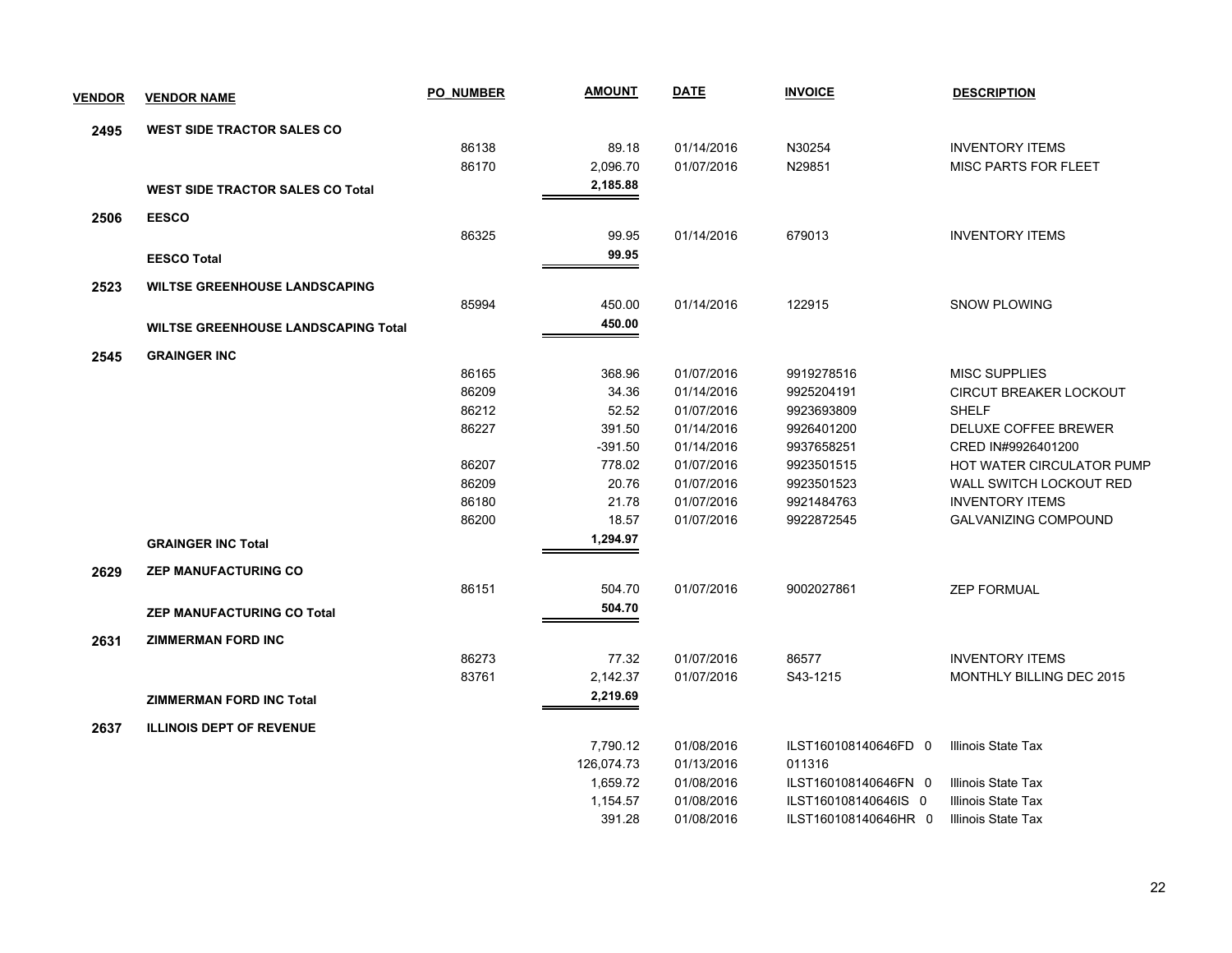| <b>VENDOR</b> | <b>VENDOR NAME</b>                         | <b>PO NUMBER</b> | <b>AMOUNT</b> | <b>DATE</b> | <b>INVOICE</b>       | <b>DESCRIPTION</b>              |
|---------------|--------------------------------------------|------------------|---------------|-------------|----------------------|---------------------------------|
| 2495          | <b>WEST SIDE TRACTOR SALES CO</b>          |                  |               |             |                      |                                 |
|               |                                            | 86138            | 89.18         | 01/14/2016  | N30254               | <b>INVENTORY ITEMS</b>          |
|               |                                            | 86170            | 2,096.70      | 01/07/2016  | N29851               | <b>MISC PARTS FOR FLEET</b>     |
|               | <b>WEST SIDE TRACTOR SALES CO Total</b>    |                  | 2,185.88      |             |                      |                                 |
| 2506          | <b>EESCO</b>                               |                  |               |             |                      |                                 |
|               |                                            | 86325            | 99.95         | 01/14/2016  | 679013               | <b>INVENTORY ITEMS</b>          |
|               | <b>EESCO Total</b>                         |                  | 99.95         |             |                      |                                 |
| 2523          | <b>WILTSE GREENHOUSE LANDSCAPING</b>       |                  |               |             |                      |                                 |
|               |                                            | 85994            | 450.00        | 01/14/2016  | 122915               | <b>SNOW PLOWING</b>             |
|               | <b>WILTSE GREENHOUSE LANDSCAPING Total</b> |                  | 450.00        |             |                      |                                 |
| 2545          | <b>GRAINGER INC</b>                        |                  |               |             |                      |                                 |
|               |                                            | 86165            | 368.96        | 01/07/2016  | 9919278516           | <b>MISC SUPPLIES</b>            |
|               |                                            | 86209            | 34.36         | 01/14/2016  | 9925204191           | CIRCUT BREAKER LOCKOUT          |
|               |                                            | 86212            | 52.52         | 01/07/2016  | 9923693809           | <b>SHELF</b>                    |
|               |                                            | 86227            | 391.50        | 01/14/2016  | 9926401200           | DELUXE COFFEE BREWER            |
|               |                                            |                  | $-391.50$     | 01/14/2016  | 9937658251           | CRED IN#9926401200              |
|               |                                            | 86207            | 778.02        | 01/07/2016  | 9923501515           | HOT WATER CIRCULATOR PUMP       |
|               |                                            | 86209            | 20.76         | 01/07/2016  | 9923501523           | WALL SWITCH LOCKOUT RED         |
|               |                                            | 86180            | 21.78         | 01/07/2016  | 9921484763           | <b>INVENTORY ITEMS</b>          |
|               |                                            | 86200            | 18.57         | 01/07/2016  | 9922872545           | <b>GALVANIZING COMPOUND</b>     |
|               | <b>GRAINGER INC Total</b>                  |                  | 1,294.97      |             |                      |                                 |
| 2629          | <b>ZEP MANUFACTURING CO</b>                |                  |               |             |                      |                                 |
|               |                                            | 86151            | 504.70        | 01/07/2016  | 9002027861           | <b>ZEP FORMUAL</b>              |
|               | <b>ZEP MANUFACTURING CO Total</b>          |                  | 504.70        |             |                      |                                 |
| 2631          | <b>ZIMMERMAN FORD INC</b>                  |                  |               |             |                      |                                 |
|               |                                            | 86273            | 77.32         | 01/07/2016  | 86577                | <b>INVENTORY ITEMS</b>          |
|               |                                            | 83761            | 2,142.37      | 01/07/2016  | S43-1215             | <b>MONTHLY BILLING DEC 2015</b> |
|               | <b>ZIMMERMAN FORD INC Total</b>            |                  | 2,219.69      |             |                      |                                 |
| 2637          | <b>ILLINOIS DEPT OF REVENUE</b>            |                  |               |             |                      |                                 |
|               |                                            |                  | 7,790.12      | 01/08/2016  | ILST160108140646FD 0 | Illinois State Tax              |
|               |                                            |                  | 126,074.73    | 01/13/2016  | 011316               |                                 |
|               |                                            |                  | 1,659.72      | 01/08/2016  | ILST160108140646FN 0 | Illinois State Tax              |
|               |                                            |                  | 1,154.57      | 01/08/2016  | ILST160108140646IS 0 | Illinois State Tax              |
|               |                                            |                  | 391.28        | 01/08/2016  | ILST160108140646HR 0 | Illinois State Tax              |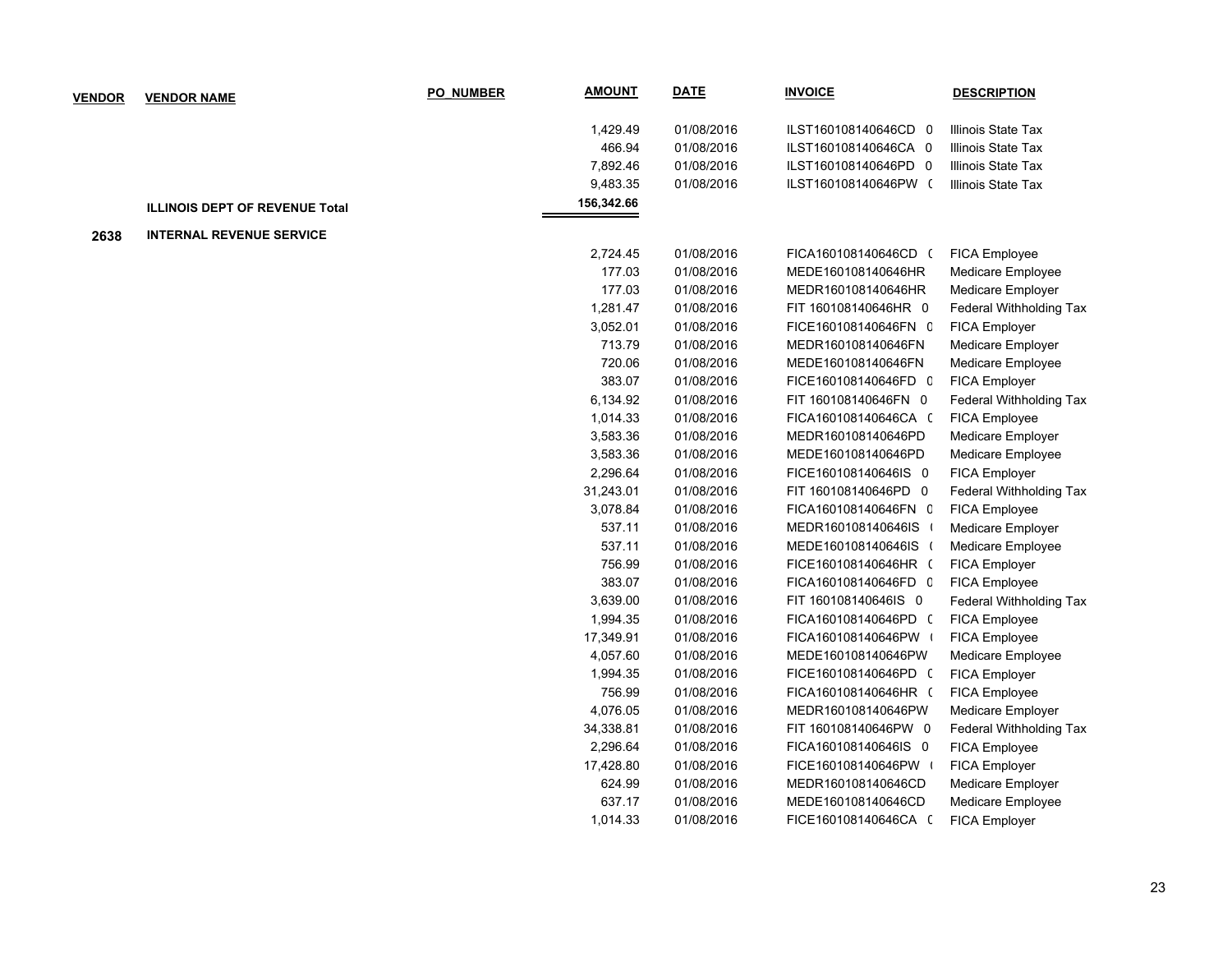| <b>VENDOR</b> | <b>VENDOR NAME</b>                    | <b>PO NUMBER</b> | <b>AMOUNT</b> | <b>DATE</b> | <b>INVOICE</b>       | <b>DESCRIPTION</b>      |
|---------------|---------------------------------------|------------------|---------------|-------------|----------------------|-------------------------|
|               |                                       |                  | 1,429.49      | 01/08/2016  | ILST160108140646CD 0 | Illinois State Tax      |
|               |                                       |                  | 466.94        | 01/08/2016  | ILST160108140646CA 0 | Illinois State Tax      |
|               |                                       |                  | 7,892.46      | 01/08/2016  | ILST160108140646PD 0 | Illinois State Tax      |
|               |                                       |                  | 9,483.35      | 01/08/2016  | ILST160108140646PW ( | Illinois State Tax      |
|               | <b>ILLINOIS DEPT OF REVENUE Total</b> |                  | 156,342.66    |             |                      |                         |
| 2638          | <b>INTERNAL REVENUE SERVICE</b>       |                  |               |             |                      |                         |
|               |                                       |                  | 2,724.45      | 01/08/2016  | FICA160108140646CD ( | <b>FICA Employee</b>    |
|               |                                       |                  | 177.03        | 01/08/2016  | MEDE160108140646HR   | Medicare Employee       |
|               |                                       |                  | 177.03        | 01/08/2016  | MEDR160108140646HR   | Medicare Employer       |
|               |                                       |                  | 1,281.47      | 01/08/2016  | FIT 160108140646HR 0 | Federal Withholding Tax |
|               |                                       |                  | 3,052.01      | 01/08/2016  | FICE160108140646FN C | FICA Employer           |
|               |                                       |                  | 713.79        | 01/08/2016  | MEDR160108140646FN   | Medicare Employer       |
|               |                                       |                  | 720.06        | 01/08/2016  | MEDE160108140646FN   | Medicare Employee       |
|               |                                       |                  | 383.07        | 01/08/2016  | FICE160108140646FD 0 | FICA Employer           |
|               |                                       |                  | 6,134.92      | 01/08/2016  | FIT 160108140646FN 0 | Federal Withholding Tax |
|               |                                       |                  | 1,014.33      | 01/08/2016  | FICA160108140646CA ( | <b>FICA Employee</b>    |
|               |                                       |                  | 3,583.36      | 01/08/2016  | MEDR160108140646PD   | Medicare Employer       |
|               |                                       |                  | 3,583.36      | 01/08/2016  | MEDE160108140646PD   | Medicare Employee       |
|               |                                       |                  | 2,296.64      | 01/08/2016  | FICE160108140646IS 0 | FICA Employer           |
|               |                                       |                  | 31,243.01     | 01/08/2016  | FIT 160108140646PD 0 | Federal Withholding Tax |
|               |                                       |                  | 3,078.84      | 01/08/2016  | FICA160108140646FN C | <b>FICA Employee</b>    |
|               |                                       |                  | 537.11        | 01/08/2016  | MEDR160108140646IS   | Medicare Employer       |
|               |                                       |                  | 537.11        | 01/08/2016  | MEDE160108140646IS ( | Medicare Employee       |
|               |                                       |                  | 756.99        | 01/08/2016  | FICE160108140646HR ( | FICA Employer           |
|               |                                       |                  | 383.07        | 01/08/2016  | FICA160108140646FD C | FICA Employee           |
|               |                                       |                  | 3,639.00      | 01/08/2016  | FIT 160108140646IS 0 | Federal Withholding Tax |
|               |                                       |                  | 1,994.35      | 01/08/2016  | FICA160108140646PD ( | FICA Employee           |
|               |                                       |                  | 17,349.91     | 01/08/2016  | FICA160108140646PW   | FICA Employee           |
|               |                                       |                  | 4,057.60      | 01/08/2016  | MEDE160108140646PW   | Medicare Employee       |
|               |                                       |                  | 1,994.35      | 01/08/2016  | FICE160108140646PD ( | FICA Employer           |
|               |                                       |                  | 756.99        | 01/08/2016  | FICA160108140646HR ( | FICA Employee           |
|               |                                       |                  | 4,076.05      | 01/08/2016  | MEDR160108140646PW   | Medicare Employer       |
|               |                                       |                  | 34,338.81     | 01/08/2016  | FIT 160108140646PW 0 | Federal Withholding Tax |
|               |                                       |                  | 2,296.64      | 01/08/2016  | FICA160108140646IS 0 | FICA Employee           |
|               |                                       |                  | 17,428.80     | 01/08/2016  | FICE160108140646PW   | FICA Employer           |
|               |                                       |                  | 624.99        | 01/08/2016  | MEDR160108140646CD   | Medicare Employer       |
|               |                                       |                  | 637.17        | 01/08/2016  | MEDE160108140646CD   | Medicare Employee       |
|               |                                       |                  | 1,014.33      | 01/08/2016  | FICE160108140646CA ( | <b>FICA Employer</b>    |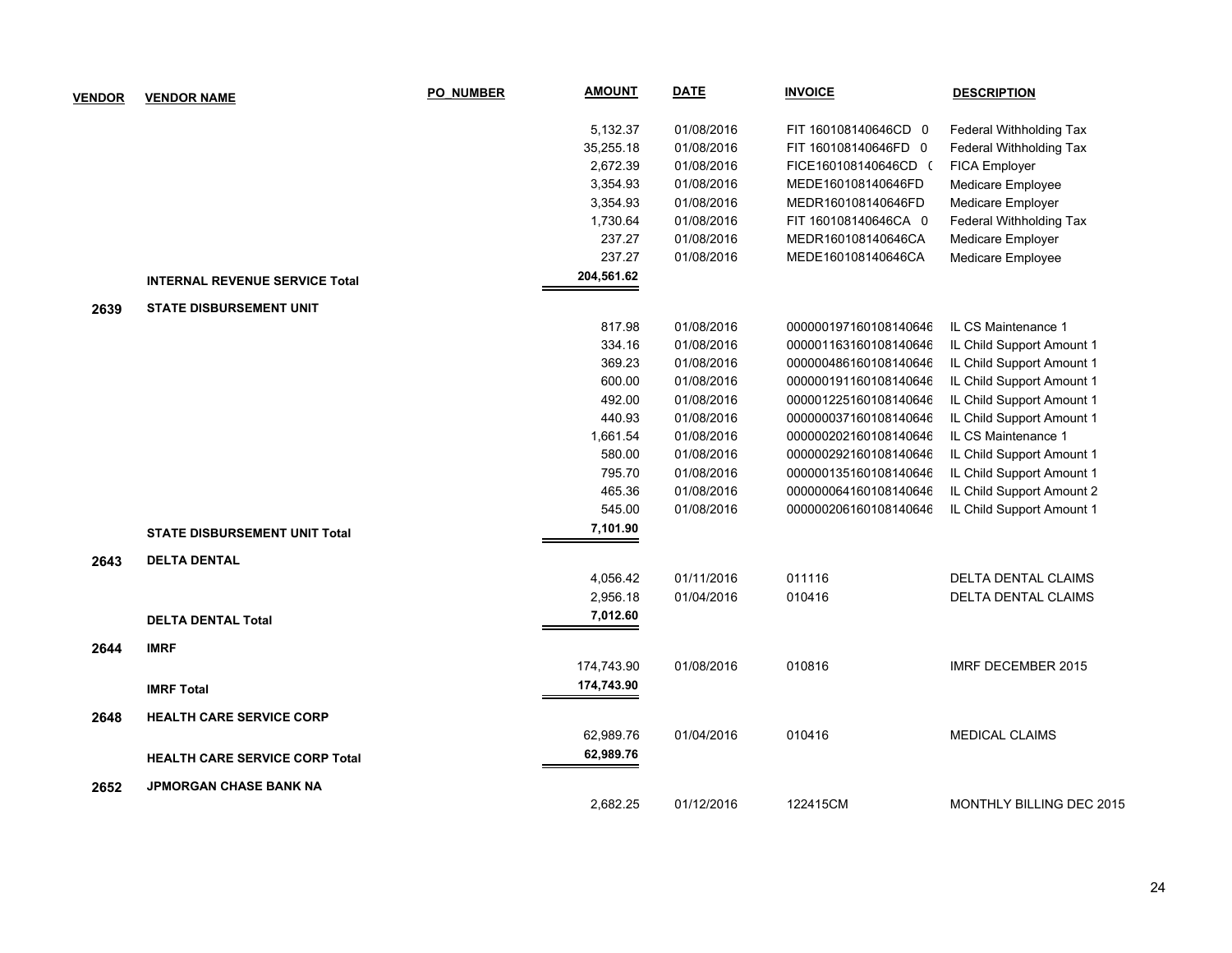| <b>VENDOR</b> | <b>VENDOR NAME</b>                    | <b>PO NUMBER</b> | <b>AMOUNT</b> | <b>DATE</b> | <b>INVOICE</b>        | <b>DESCRIPTION</b>              |
|---------------|---------------------------------------|------------------|---------------|-------------|-----------------------|---------------------------------|
|               |                                       |                  | 5,132.37      | 01/08/2016  | FIT 160108140646CD 0  | Federal Withholding Tax         |
|               |                                       |                  | 35,255.18     | 01/08/2016  | FIT 160108140646FD 0  | Federal Withholding Tax         |
|               |                                       |                  | 2,672.39      | 01/08/2016  | FICE160108140646CD (  | <b>FICA Employer</b>            |
|               |                                       |                  | 3,354.93      | 01/08/2016  | MEDE160108140646FD    | Medicare Employee               |
|               |                                       |                  | 3,354.93      | 01/08/2016  | MEDR160108140646FD    | Medicare Employer               |
|               |                                       |                  | 1,730.64      | 01/08/2016  | FIT 160108140646CA 0  | Federal Withholding Tax         |
|               |                                       |                  | 237.27        | 01/08/2016  | MEDR160108140646CA    | Medicare Employer               |
|               |                                       |                  | 237.27        | 01/08/2016  | MEDE160108140646CA    | Medicare Employee               |
|               | <b>INTERNAL REVENUE SERVICE Total</b> |                  | 204,561.62    |             |                       |                                 |
| 2639          | <b>STATE DISBURSEMENT UNIT</b>        |                  |               |             |                       |                                 |
|               |                                       |                  | 817.98        | 01/08/2016  | 000000197160108140646 | IL CS Maintenance 1             |
|               |                                       |                  | 334.16        | 01/08/2016  | 000001163160108140646 | IL Child Support Amount 1       |
|               |                                       |                  | 369.23        | 01/08/2016  | 000000486160108140646 | IL Child Support Amount 1       |
|               |                                       |                  | 600.00        | 01/08/2016  | 000000191160108140646 | IL Child Support Amount 1       |
|               |                                       |                  | 492.00        | 01/08/2016  | 000001225160108140646 | IL Child Support Amount 1       |
|               |                                       |                  | 440.93        | 01/08/2016  | 000000037160108140646 | IL Child Support Amount 1       |
|               |                                       |                  | 1,661.54      | 01/08/2016  | 000000202160108140646 | IL CS Maintenance 1             |
|               |                                       |                  | 580.00        | 01/08/2016  | 000000292160108140646 | IL Child Support Amount 1       |
|               |                                       |                  | 795.70        | 01/08/2016  | 000000135160108140646 | IL Child Support Amount 1       |
|               |                                       |                  | 465.36        | 01/08/2016  | 000000064160108140646 | IL Child Support Amount 2       |
|               |                                       |                  | 545.00        | 01/08/2016  | 000000206160108140646 | IL Child Support Amount 1       |
|               | <b>STATE DISBURSEMENT UNIT Total</b>  |                  | 7,101.90      |             |                       |                                 |
| 2643          | <b>DELTA DENTAL</b>                   |                  |               |             |                       |                                 |
|               |                                       |                  | 4,056.42      | 01/11/2016  | 011116                | <b>DELTA DENTAL CLAIMS</b>      |
|               |                                       |                  | 2,956.18      | 01/04/2016  | 010416                | <b>DELTA DENTAL CLAIMS</b>      |
|               | <b>DELTA DENTAL Total</b>             |                  | 7,012.60      |             |                       |                                 |
| 2644          | <b>IMRF</b>                           |                  |               |             |                       |                                 |
|               |                                       |                  | 174,743.90    | 01/08/2016  | 010816                | <b>IMRF DECEMBER 2015</b>       |
|               | <b>IMRF Total</b>                     |                  | 174,743.90    |             |                       |                                 |
| 2648          | <b>HEALTH CARE SERVICE CORP</b>       |                  |               |             |                       |                                 |
|               |                                       |                  | 62,989.76     | 01/04/2016  | 010416                | <b>MEDICAL CLAIMS</b>           |
|               | <b>HEALTH CARE SERVICE CORP Total</b> |                  | 62,989.76     |             |                       |                                 |
|               |                                       |                  |               |             |                       |                                 |
| 2652          | <b>JPMORGAN CHASE BANK NA</b>         |                  | 2.682.25      | 01/12/2016  | 122415CM              | <b>MONTHLY BILLING DEC 2015</b> |
|               |                                       |                  |               |             |                       |                                 |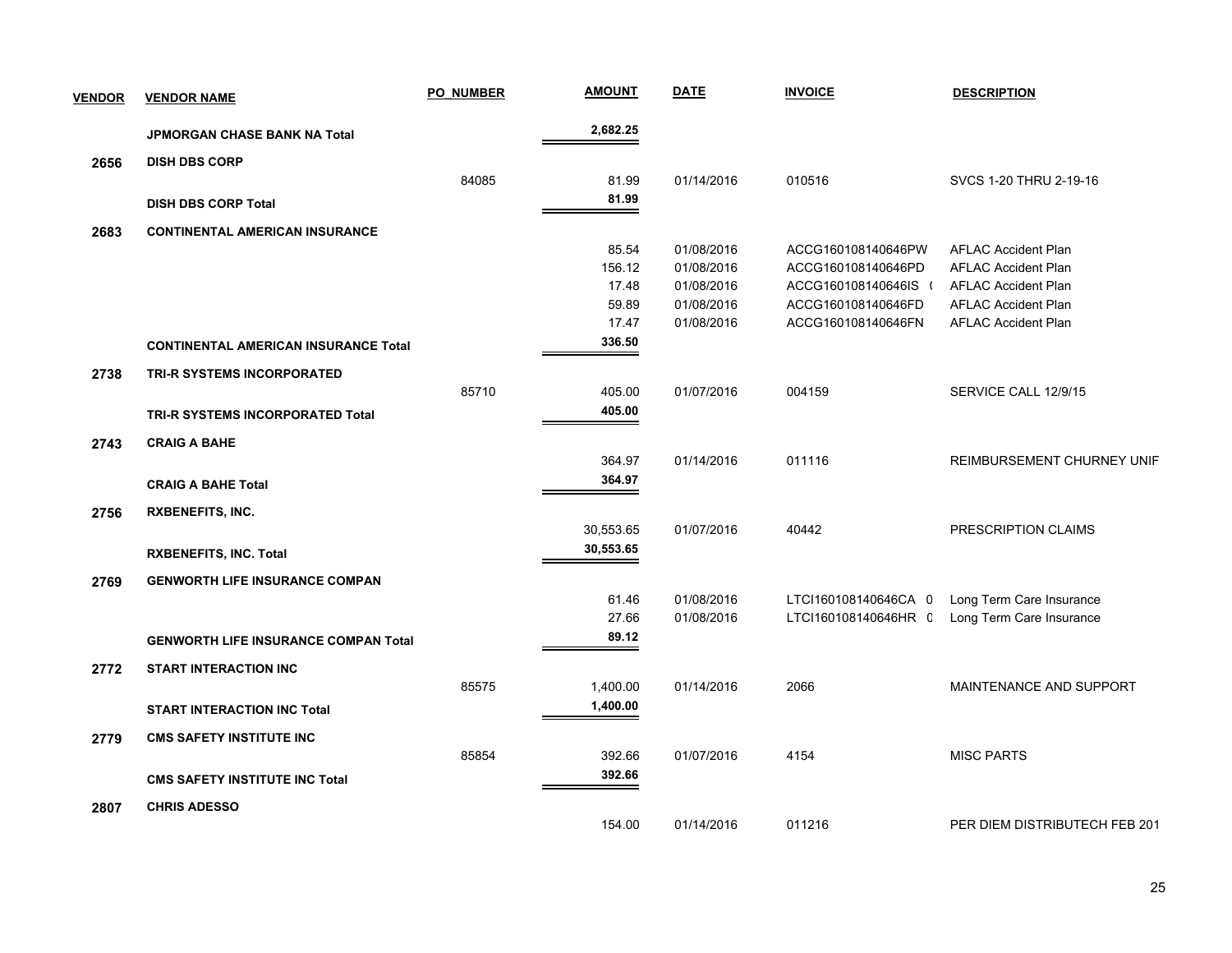| <b>VENDOR</b> | <b>VENDOR NAME</b>                          | <b>PO NUMBER</b> | <b>AMOUNT</b> | <b>DATE</b> | <b>INVOICE</b>       | <b>DESCRIPTION</b>            |
|---------------|---------------------------------------------|------------------|---------------|-------------|----------------------|-------------------------------|
|               | JPMORGAN CHASE BANK NA Total                |                  | 2,682.25      |             |                      |                               |
| 2656          | <b>DISH DBS CORP</b>                        |                  |               |             |                      |                               |
|               |                                             | 84085            | 81.99         | 01/14/2016  | 010516               | SVCS 1-20 THRU 2-19-16        |
|               | <b>DISH DBS CORP Total</b>                  |                  | 81.99         |             |                      |                               |
| 2683          | <b>CONTINENTAL AMERICAN INSURANCE</b>       |                  |               |             |                      |                               |
|               |                                             |                  | 85.54         | 01/08/2016  | ACCG160108140646PW   | <b>AFLAC Accident Plan</b>    |
|               |                                             |                  | 156.12        | 01/08/2016  | ACCG160108140646PD   | <b>AFLAC Accident Plan</b>    |
|               |                                             |                  | 17.48         | 01/08/2016  | ACCG160108140646IS   | <b>AFLAC Accident Plan</b>    |
|               |                                             |                  | 59.89         | 01/08/2016  | ACCG160108140646FD   | <b>AFLAC Accident Plan</b>    |
|               |                                             |                  | 17.47         | 01/08/2016  | ACCG160108140646FN   | <b>AFLAC Accident Plan</b>    |
|               | <b>CONTINENTAL AMERICAN INSURANCE Total</b> |                  | 336.50        |             |                      |                               |
| 2738          | TRI-R SYSTEMS INCORPORATED                  |                  |               |             |                      |                               |
|               |                                             | 85710            | 405.00        | 01/07/2016  | 004159               | SERVICE CALL 12/9/15          |
|               | TRI-R SYSTEMS INCORPORATED Total            |                  | 405.00        |             |                      |                               |
| 2743          | <b>CRAIG A BAHE</b>                         |                  |               |             |                      |                               |
|               |                                             |                  | 364.97        | 01/14/2016  | 011116               | REIMBURSEMENT CHURNEY UNIF    |
|               | <b>CRAIG A BAHE Total</b>                   |                  | 364.97        |             |                      |                               |
| 2756          | <b>RXBENEFITS, INC.</b>                     |                  |               |             |                      |                               |
|               |                                             |                  | 30,553.65     | 01/07/2016  | 40442                | PRESCRIPTION CLAIMS           |
|               | <b>RXBENEFITS, INC. Total</b>               |                  | 30,553.65     |             |                      |                               |
| 2769          | <b>GENWORTH LIFE INSURANCE COMPAN</b>       |                  |               |             |                      |                               |
|               |                                             |                  | 61.46         | 01/08/2016  | LTCI160108140646CA 0 | Long Term Care Insurance      |
|               |                                             |                  | 27.66         | 01/08/2016  | LTCI160108140646HR C | Long Term Care Insurance      |
|               | <b>GENWORTH LIFE INSURANCE COMPAN Total</b> |                  | 89.12         |             |                      |                               |
| 2772          | <b>START INTERACTION INC</b>                |                  |               |             |                      |                               |
|               |                                             | 85575            | 1,400.00      | 01/14/2016  | 2066                 | MAINTENANCE AND SUPPORT       |
|               | <b>START INTERACTION INC Total</b>          |                  | 1,400.00      |             |                      |                               |
| 2779          | <b>CMS SAFETY INSTITUTE INC</b>             |                  |               |             |                      |                               |
|               |                                             | 85854            | 392.66        | 01/07/2016  | 4154                 | <b>MISC PARTS</b>             |
|               | <b>CMS SAFETY INSTITUTE INC Total</b>       |                  | 392.66        |             |                      |                               |
| 2807          | <b>CHRIS ADESSO</b>                         |                  |               |             |                      |                               |
|               |                                             |                  | 154.00        | 01/14/2016  | 011216               | PER DIEM DISTRIBUTECH FEB 201 |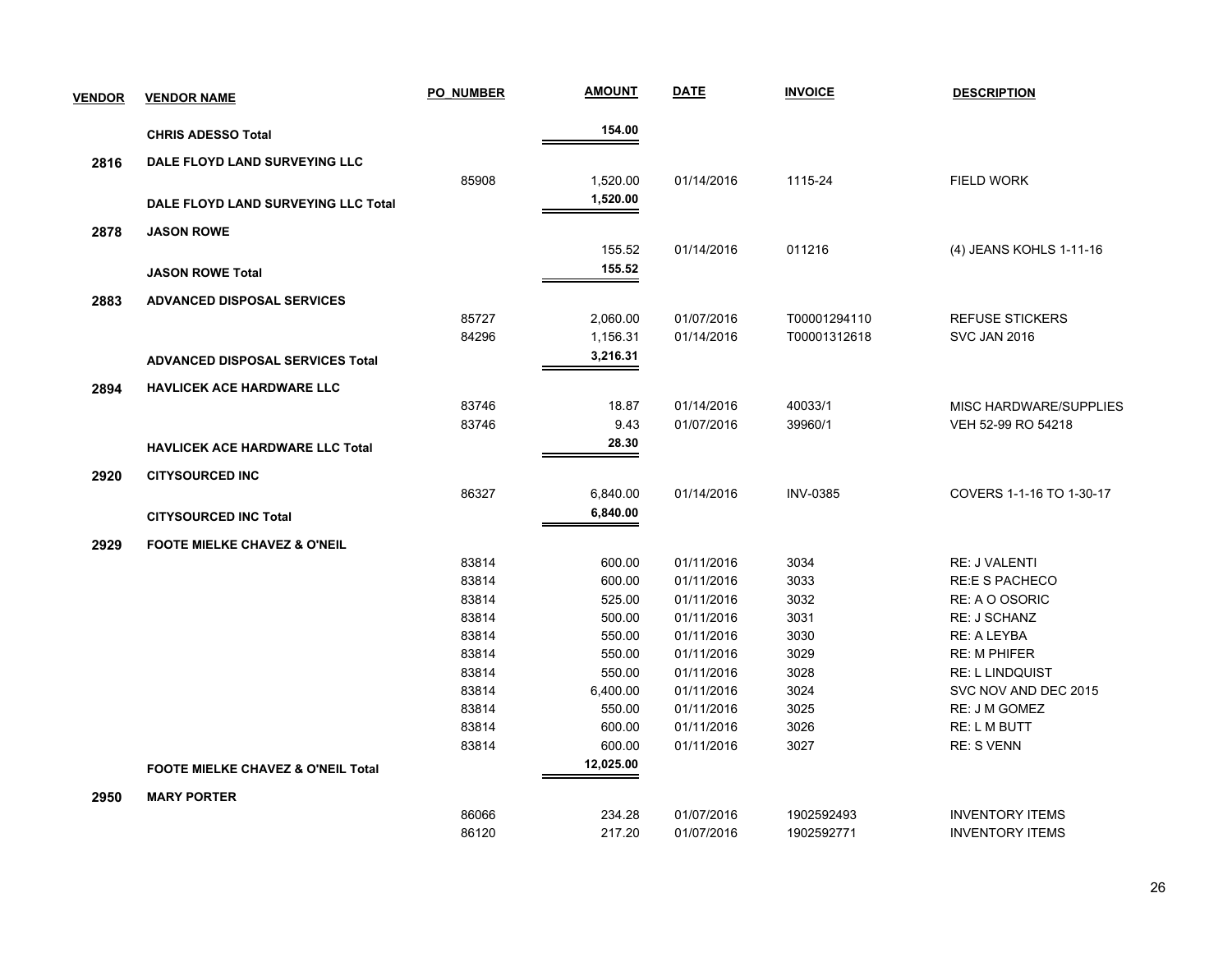| <b>VENDOR</b> | <b>VENDOR NAME</b>                      | <b>PO NUMBER</b> | <b>AMOUNT</b> | <b>DATE</b> | <b>INVOICE</b>  | <b>DESCRIPTION</b>       |
|---------------|-----------------------------------------|------------------|---------------|-------------|-----------------|--------------------------|
|               | <b>CHRIS ADESSO Total</b>               |                  | 154.00        |             |                 |                          |
| 2816          | DALE FLOYD LAND SURVEYING LLC           |                  |               |             |                 |                          |
|               |                                         | 85908            | 1,520.00      | 01/14/2016  | 1115-24         | <b>FIELD WORK</b>        |
|               |                                         |                  | 1,520.00      |             |                 |                          |
|               | DALE FLOYD LAND SURVEYING LLC Total     |                  |               |             |                 |                          |
| 2878          | <b>JASON ROWE</b>                       |                  |               |             |                 |                          |
|               |                                         |                  | 155.52        | 01/14/2016  | 011216          | (4) JEANS KOHLS 1-11-16  |
|               | <b>JASON ROWE Total</b>                 |                  | 155.52        |             |                 |                          |
| 2883          | <b>ADVANCED DISPOSAL SERVICES</b>       |                  |               |             |                 |                          |
|               |                                         | 85727            | 2,060.00      | 01/07/2016  | T00001294110    | <b>REFUSE STICKERS</b>   |
|               |                                         | 84296            | 1,156.31      | 01/14/2016  | T00001312618    | <b>SVC JAN 2016</b>      |
|               | <b>ADVANCED DISPOSAL SERVICES Total</b> |                  | 3,216.31      |             |                 |                          |
| 2894          | <b>HAVLICEK ACE HARDWARE LLC</b>        |                  |               |             |                 |                          |
|               |                                         | 83746            | 18.87         | 01/14/2016  | 40033/1         | MISC HARDWARE/SUPPLIES   |
|               |                                         | 83746            | 9.43          | 01/07/2016  | 39960/1         | VEH 52-99 RO 54218       |
|               | <b>HAVLICEK ACE HARDWARE LLC Total</b>  |                  | 28.30         |             |                 |                          |
| 2920          | <b>CITYSOURCED INC</b>                  |                  |               |             |                 |                          |
|               |                                         | 86327            | 6,840.00      | 01/14/2016  | <b>INV-0385</b> | COVERS 1-1-16 TO 1-30-17 |
|               | <b>CITYSOURCED INC Total</b>            |                  | 6,840.00      |             |                 |                          |
| 2929          | <b>FOOTE MIELKE CHAVEZ &amp; O'NEIL</b> |                  |               |             |                 |                          |
|               |                                         | 83814            | 600.00        | 01/11/2016  | 3034            | <b>RE: J VALENTI</b>     |
|               |                                         | 83814            | 600.00        | 01/11/2016  | 3033            | <b>RE:E S PACHECO</b>    |
|               |                                         | 83814            | 525.00        | 01/11/2016  | 3032            | RE: A O OSORIC           |
|               |                                         | 83814            | 500.00        | 01/11/2016  | 3031            | RE: J SCHANZ             |
|               |                                         | 83814            | 550.00        | 01/11/2016  | 3030            | <b>RE: A LEYBA</b>       |
|               |                                         | 83814            | 550.00        | 01/11/2016  | 3029            | <b>RE: M PHIFER</b>      |
|               |                                         | 83814            | 550.00        | 01/11/2016  | 3028            | <b>RE: L LINDQUIST</b>   |
|               |                                         | 83814            | 6,400.00      | 01/11/2016  | 3024            | SVC NOV AND DEC 2015     |
|               |                                         | 83814            | 550.00        | 01/11/2016  | 3025            | RE: J M GOMEZ            |
|               |                                         | 83814            | 600.00        | 01/11/2016  | 3026            | <b>RE: L M BUTT</b>      |
|               |                                         | 83814            | 600.00        | 01/11/2016  | 3027            | <b>RE: S VENN</b>        |
|               | FOOTE MIELKE CHAVEZ & O'NEIL Total      |                  | 12,025.00     |             |                 |                          |
| 2950          | <b>MARY PORTER</b>                      |                  |               |             |                 |                          |
|               |                                         | 86066            | 234.28        | 01/07/2016  | 1902592493      | <b>INVENTORY ITEMS</b>   |
|               |                                         | 86120            | 217.20        | 01/07/2016  | 1902592771      | <b>INVENTORY ITEMS</b>   |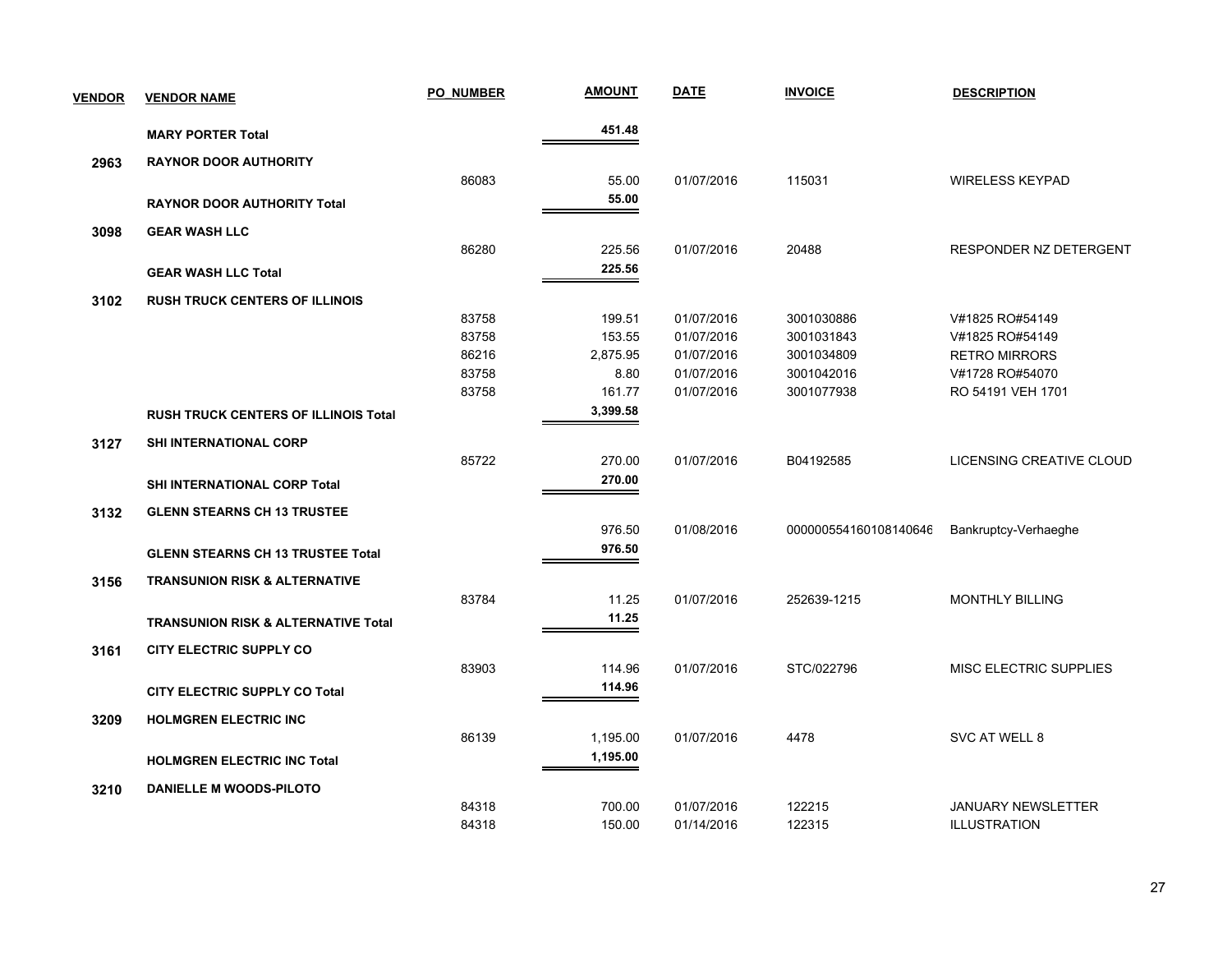| <b>VENDOR</b> | <b>VENDOR NAME</b>                             | <b>PO NUMBER</b> | <u>AMOUNT</u> | <b>DATE</b> | <b>INVOICE</b>        | <b>DESCRIPTION</b>            |
|---------------|------------------------------------------------|------------------|---------------|-------------|-----------------------|-------------------------------|
|               | <b>MARY PORTER Total</b>                       |                  | 451.48        |             |                       |                               |
| 2963          | <b>RAYNOR DOOR AUTHORITY</b>                   |                  |               |             |                       |                               |
|               |                                                | 86083            | 55.00         | 01/07/2016  | 115031                | <b>WIRELESS KEYPAD</b>        |
|               | <b>RAYNOR DOOR AUTHORITY Total</b>             |                  | 55.00         |             |                       |                               |
| 3098          | <b>GEAR WASH LLC</b>                           |                  |               |             |                       |                               |
|               |                                                | 86280            | 225.56        | 01/07/2016  | 20488                 | <b>RESPONDER NZ DETERGENT</b> |
|               | <b>GEAR WASH LLC Total</b>                     |                  | 225.56        |             |                       |                               |
| 3102          | <b>RUSH TRUCK CENTERS OF ILLINOIS</b>          |                  |               |             |                       |                               |
|               |                                                | 83758            | 199.51        | 01/07/2016  | 3001030886            | V#1825 RO#54149               |
|               |                                                | 83758            | 153.55        | 01/07/2016  | 3001031843            | V#1825 RO#54149               |
|               |                                                | 86216            | 2,875.95      | 01/07/2016  | 3001034809            | <b>RETRO MIRRORS</b>          |
|               |                                                | 83758            | 8.80          | 01/07/2016  | 3001042016            | V#1728 RO#54070               |
|               |                                                | 83758            | 161.77        | 01/07/2016  | 3001077938            | RO 54191 VEH 1701             |
|               | <b>RUSH TRUCK CENTERS OF ILLINOIS Total</b>    |                  | 3,399.58      |             |                       |                               |
| 3127          | <b>SHI INTERNATIONAL CORP</b>                  |                  |               |             |                       |                               |
|               |                                                | 85722            | 270.00        | 01/07/2016  | B04192585             | LICENSING CREATIVE CLOUD      |
|               | SHI INTERNATIONAL CORP Total                   |                  | 270.00        |             |                       |                               |
| 3132          | <b>GLENN STEARNS CH 13 TRUSTEE</b>             |                  |               |             |                       |                               |
|               |                                                |                  | 976.50        | 01/08/2016  | 000000554160108140646 | Bankruptcy-Verhaeghe          |
|               | <b>GLENN STEARNS CH 13 TRUSTEE Total</b>       |                  | 976.50        |             |                       |                               |
| 3156          | <b>TRANSUNION RISK &amp; ALTERNATIVE</b>       |                  |               |             |                       |                               |
|               |                                                | 83784            | 11.25         | 01/07/2016  | 252639-1215           | <b>MONTHLY BILLING</b>        |
|               | <b>TRANSUNION RISK &amp; ALTERNATIVE Total</b> |                  | 11.25         |             |                       |                               |
| 3161          | <b>CITY ELECTRIC SUPPLY CO</b>                 |                  |               |             |                       |                               |
|               |                                                | 83903            | 114.96        | 01/07/2016  | STC/022796            | MISC ELECTRIC SUPPLIES        |
|               | <b>CITY ELECTRIC SUPPLY CO Total</b>           |                  | 114.96        |             |                       |                               |
|               |                                                |                  |               |             |                       |                               |
| 3209          | <b>HOLMGREN ELECTRIC INC</b>                   | 86139            | 1,195.00      | 01/07/2016  | 4478                  | SVC AT WELL 8                 |
|               |                                                |                  | 1,195.00      |             |                       |                               |
|               | <b>HOLMGREN ELECTRIC INC Total</b>             |                  |               |             |                       |                               |
| 3210          | <b>DANIELLE M WOODS-PILOTO</b>                 |                  |               |             |                       |                               |
|               |                                                | 84318            | 700.00        | 01/07/2016  | 122215                | <b>JANUARY NEWSLETTER</b>     |
|               |                                                | 84318            | 150.00        | 01/14/2016  | 122315                | <b>ILLUSTRATION</b>           |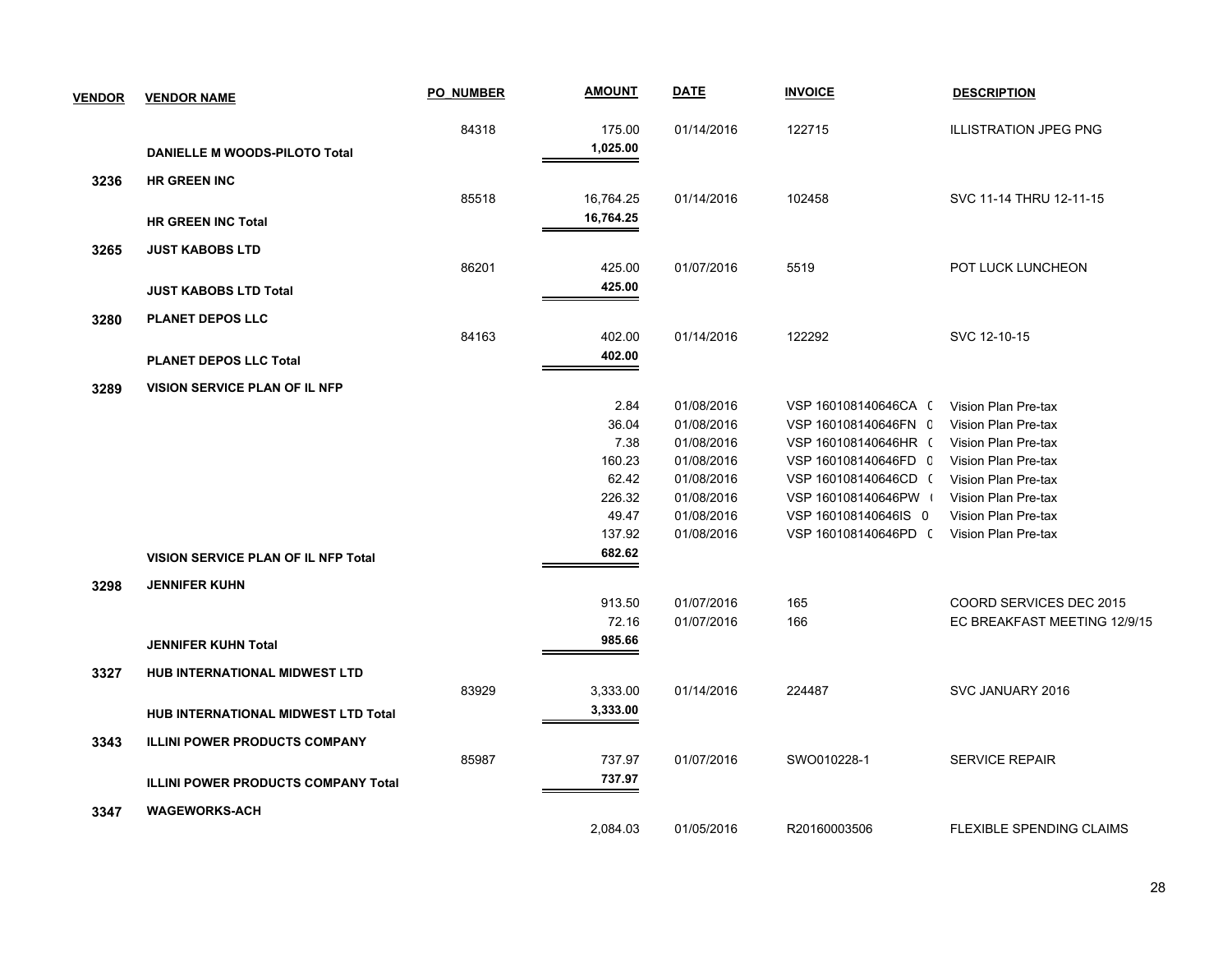| <b>VENDOR</b> | <b>VENDOR NAME</b>                         | <b>PO NUMBER</b> | <b>AMOUNT</b> | <b>DATE</b> | <b>INVOICE</b>       | <b>DESCRIPTION</b>              |
|---------------|--------------------------------------------|------------------|---------------|-------------|----------------------|---------------------------------|
|               |                                            | 84318            | 175.00        | 01/14/2016  | 122715               | <b>ILLISTRATION JPEG PNG</b>    |
|               | DANIELLE M WOODS-PILOTO Total              |                  | 1,025.00      |             |                      |                                 |
| 3236          | <b>HR GREEN INC</b>                        |                  |               |             |                      |                                 |
|               |                                            | 85518            | 16,764.25     | 01/14/2016  | 102458               | SVC 11-14 THRU 12-11-15         |
|               | <b>HR GREEN INC Total</b>                  |                  | 16,764.25     |             |                      |                                 |
| 3265          | <b>JUST KABOBS LTD</b>                     |                  |               |             |                      |                                 |
|               |                                            | 86201            | 425.00        | 01/07/2016  | 5519                 | POT LUCK LUNCHEON               |
|               | <b>JUST KABOBS LTD Total</b>               |                  | 425.00        |             |                      |                                 |
| 3280          | <b>PLANET DEPOS LLC</b>                    |                  |               |             |                      |                                 |
|               |                                            | 84163            | 402.00        | 01/14/2016  | 122292               | SVC 12-10-15                    |
|               | <b>PLANET DEPOS LLC Total</b>              |                  | 402.00        |             |                      |                                 |
| 3289          | <b>VISION SERVICE PLAN OF IL NFP</b>       |                  |               |             |                      |                                 |
|               |                                            |                  | 2.84          | 01/08/2016  | VSP 160108140646CA ( | Vision Plan Pre-tax             |
|               |                                            |                  | 36.04         | 01/08/2016  | VSP 160108140646FN C | Vision Plan Pre-tax             |
|               |                                            |                  | 7.38          | 01/08/2016  | VSP 160108140646HR ( | Vision Plan Pre-tax             |
|               |                                            |                  | 160.23        | 01/08/2016  | VSP 160108140646FD C | Vision Plan Pre-tax             |
|               |                                            |                  | 62.42         | 01/08/2016  | VSP 160108140646CD ( | Vision Plan Pre-tax             |
|               |                                            |                  | 226.32        | 01/08/2016  | VSP 160108140646PW   | Vision Plan Pre-tax             |
|               |                                            |                  | 49.47         | 01/08/2016  | VSP 160108140646IS 0 | Vision Plan Pre-tax             |
|               |                                            |                  | 137.92        | 01/08/2016  | VSP 160108140646PD ( | Vision Plan Pre-tax             |
|               | VISION SERVICE PLAN OF IL NFP Total        |                  | 682.62        |             |                      |                                 |
| 3298          | <b>JENNIFER KUHN</b>                       |                  |               |             |                      |                                 |
|               |                                            |                  | 913.50        | 01/07/2016  | 165                  | COORD SERVICES DEC 2015         |
|               |                                            |                  | 72.16         | 01/07/2016  | 166                  | EC BREAKFAST MEETING 12/9/15    |
|               | <b>JENNIFER KUHN Total</b>                 |                  | 985.66        |             |                      |                                 |
| 3327          | HUB INTERNATIONAL MIDWEST LTD              |                  |               |             |                      |                                 |
|               |                                            | 83929            | 3,333.00      | 01/14/2016  | 224487               | SVC JANUARY 2016                |
|               | HUB INTERNATIONAL MIDWEST LTD Total        |                  | 3,333.00      |             |                      |                                 |
| 3343          | <b>ILLINI POWER PRODUCTS COMPANY</b>       |                  |               |             |                      |                                 |
|               |                                            | 85987            | 737.97        | 01/07/2016  | SWO010228-1          | <b>SERVICE REPAIR</b>           |
|               | <b>ILLINI POWER PRODUCTS COMPANY Total</b> |                  | 737.97        |             |                      |                                 |
| 3347          | <b>WAGEWORKS-ACH</b>                       |                  |               |             |                      |                                 |
|               |                                            |                  | 2,084.03      | 01/05/2016  | R20160003506         | <b>FLEXIBLE SPENDING CLAIMS</b> |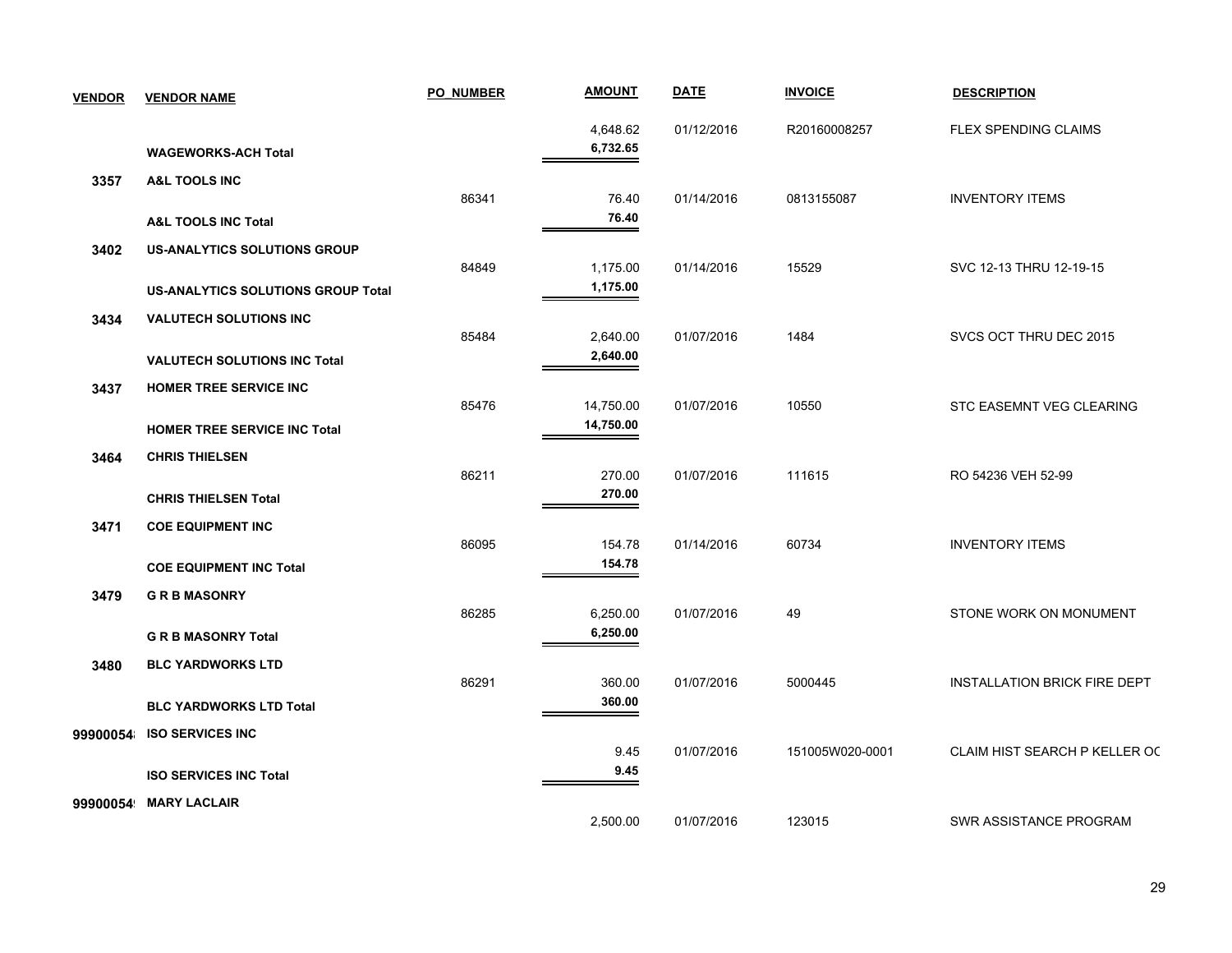| <b>VENDOR</b> | <b>VENDOR NAME</b>                                                         | <b>PO NUMBER</b> | <b>AMOUNT</b>          | <b>DATE</b> | <b>INVOICE</b>  | <b>DESCRIPTION</b>                  |
|---------------|----------------------------------------------------------------------------|------------------|------------------------|-------------|-----------------|-------------------------------------|
|               | <b>WAGEWORKS-ACH Total</b>                                                 |                  | 4,648.62<br>6,732.65   | 01/12/2016  | R20160008257    | <b>FLEX SPENDING CLAIMS</b>         |
| 3357          | A&L TOOLS INC<br><b>A&amp;L TOOLS INC Total</b>                            | 86341            | 76.40<br>76.40         | 01/14/2016  | 0813155087      | <b>INVENTORY ITEMS</b>              |
| 3402          | <b>US-ANALYTICS SOLUTIONS GROUP</b>                                        | 84849            | 1,175.00               | 01/14/2016  | 15529           | SVC 12-13 THRU 12-19-15             |
| 3434          | <b>US-ANALYTICS SOLUTIONS GROUP Total</b><br><b>VALUTECH SOLUTIONS INC</b> | 85484            | 1,175.00<br>2,640.00   | 01/07/2016  | 1484            | SVCS OCT THRU DEC 2015              |
| 3437          | <b>VALUTECH SOLUTIONS INC Total</b><br><b>HOMER TREE SERVICE INC</b>       |                  | 2,640.00               |             |                 |                                     |
| 3464          | <b>HOMER TREE SERVICE INC Total</b><br><b>CHRIS THIELSEN</b>               | 85476            | 14,750.00<br>14,750.00 | 01/07/2016  | 10550           | <b>STC EASEMNT VEG CLEARING</b>     |
|               | <b>CHRIS THIELSEN Total</b>                                                | 86211            | 270.00<br>270.00       | 01/07/2016  | 111615          | RO 54236 VEH 52-99                  |
| 3471          | <b>COE EQUIPMENT INC</b><br><b>COE EQUIPMENT INC Total</b>                 | 86095            | 154.78<br>154.78       | 01/14/2016  | 60734           | <b>INVENTORY ITEMS</b>              |
| 3479          | <b>GRBMASONRY</b>                                                          | 86285            | 6,250.00               | 01/07/2016  | 49              | STONE WORK ON MONUMENT              |
| 3480          | <b>G R B MASONRY Total</b><br><b>BLC YARDWORKS LTD</b>                     | 86291            | 6,250.00<br>360.00     | 01/07/2016  | 5000445         | <b>INSTALLATION BRICK FIRE DEPT</b> |
| 99900054      | <b>BLC YARDWORKS LTD Total</b><br><b>ISO SERVICES INC</b>                  |                  | 360.00                 |             |                 |                                     |
|               | <b>ISO SERVICES INC Total</b>                                              |                  | 9.45<br>9.45           | 01/07/2016  | 151005W020-0001 | CLAIM HIST SEARCH P KELLER OC       |
| 99900054      | <b>MARY LACLAIR</b>                                                        |                  | 2,500.00               | 01/07/2016  | 123015          | SWR ASSISTANCE PROGRAM              |